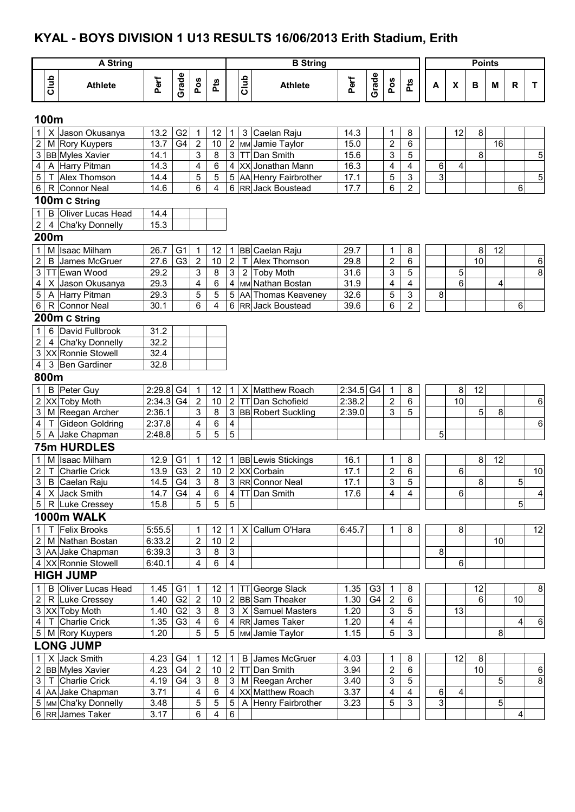# **KYAL - BOYS DIVISION 1 U13 RESULTS 16/06/2013 Erith Stadium, Erith**

|                                |      | <b>A String</b>                        |                            |                |                                  |                 |                           |                | <b>B</b> String                        |                       |                |                                  |                         |         |              | <b>Points</b> |    |                         |                         |
|--------------------------------|------|----------------------------------------|----------------------------|----------------|----------------------------------|-----------------|---------------------------|----------------|----------------------------------------|-----------------------|----------------|----------------------------------|-------------------------|---------|--------------|---------------|----|-------------------------|-------------------------|
|                                | Club | <b>Athlete</b>                         | Perf                       | Grade          | Pos                              | Pts             |                           | <b>Slub</b>    | <b>Athlete</b>                         | Perf                  | Grade          | Pos                              | Pts                     | А       | $\pmb{\chi}$ | В             | M  | $\mathsf{R}$            | T                       |
|                                | 100m |                                        |                            |                |                                  |                 |                           |                |                                        |                       |                |                                  |                         |         |              |               |    |                         |                         |
| $\mathbf{1}$                   |      | X Jason Okusanya                       | 13.2                       | G <sub>2</sub> | $\mathbf 1$                      | 12              | 1                         | 3              | Caelan Raju                            | 14.3                  |                | 1                                | 8                       |         | 12           | 8             |    |                         |                         |
| $\overline{2}$                 |      | M Rory Kuypers                         | 13.7                       | G <sub>4</sub> | $\overline{2}$                   | 10              | $\sqrt{2}$                |                | MM Jamie Taylor                        | 15.0                  |                | $\overline{2}$                   | 6                       |         |              |               | 16 |                         |                         |
|                                |      | 3 BB Myles Xavier                      | 14.1                       |                | 3                                | 8               | $\overline{3}$            |                | TT Dan Smith                           | 15.6                  |                | 3                                | 5                       |         |              | 8             |    |                         | 5                       |
| 4                              |      | A Harry Pitman                         | 14.3                       |                | 4                                | 6               | $\overline{\mathbf{4}}$   |                | XX Jonathan Mann                       | 16.3                  |                | 4                                | $\overline{\mathbf{4}}$ | 6       | 4            |               |    |                         |                         |
| 5                              |      | T Alex Thomson                         | 14.4                       |                | 5                                | 5               | 5                         |                | AA Henry Fairbrother                   | 17.1                  |                | 5                                | $\mathsf 3$             | 3       |              |               |    |                         | 5                       |
| 6                              |      | R Connor Neal                          | 14.6                       |                | 6                                | 4               | 6                         |                | RR Jack Boustead                       | 17.7                  |                | 6                                | $\boldsymbol{2}$        |         |              |               |    | 6                       |                         |
|                                |      | 100m C String                          |                            |                |                                  |                 |                           |                |                                        |                       |                |                                  |                         |         |              |               |    |                         |                         |
| $\mathbf{1}$                   |      | <b>B</b> Oliver Lucas Head             | 14.4                       |                |                                  |                 |                           |                |                                        |                       |                |                                  |                         |         |              |               |    |                         |                         |
| $\overline{2}$                 |      | 4 Cha'ky Donnelly                      | 15.3                       |                |                                  |                 |                           |                |                                        |                       |                |                                  |                         |         |              |               |    |                         |                         |
|                                | 200m |                                        |                            |                |                                  |                 |                           |                |                                        |                       |                |                                  |                         |         |              |               |    |                         |                         |
| 1                              |      | M Isaac Milham                         | 26.7                       | G <sub>1</sub> | $\mathbf{1}$                     | 12              | 1                         |                | <b>BB</b> Caelan Raju                  | 29.7                  |                | 1                                | 8                       |         |              | 8             | 12 |                         |                         |
| $\overline{a}$                 |      | <b>B</b> James McGruer                 | 27.6                       | G <sub>3</sub> | $\boldsymbol{2}$                 | 10              | $\boldsymbol{2}$          | T.             | Alex Thomson                           | 29.8                  |                | $\overline{2}$                   | 6                       |         |              | 10            |    |                         | $\,6$                   |
| 3                              |      | TT Ewan Wood                           | 29.2                       |                | 3                                | $\bf 8$         | $\ensuremath{\mathsf{3}}$ | $\overline{2}$ | <b>Toby Moth</b>                       | 31.6                  |                | 3                                | 5                       |         | 5            |               |    |                         | 8                       |
| 4                              |      | X Jason Okusanya                       | 29.3                       |                | 4                                | $\overline{6}$  | $\overline{\mathbf{4}}$   |                | MM Nathan Bostan                       | 31.9                  |                | 4                                | 4<br>$\overline{3}$     |         | 6            |               | 4  |                         |                         |
| 5<br>6                         |      | A Harry Pitman<br>R Connor Neal        | 29.3<br>30.1               |                | 5<br>6                           | 5<br>4          | $\mathbf 5$<br>6          |                | AA Thomas Keaveney<br>RR Jack Boustead | 32.6<br>39.6          |                | 5<br>6                           | $\overline{c}$          | 8       |              |               |    | 6                       |                         |
|                                |      | 200m C String                          |                            |                |                                  |                 |                           |                |                                        |                       |                |                                  |                         |         |              |               |    |                         |                         |
|                                |      |                                        |                            |                |                                  |                 |                           |                |                                        |                       |                |                                  |                         |         |              |               |    |                         |                         |
| $\mathbf{1}$<br>$\overline{2}$ |      | 6 David Fullbrook<br>4 Cha'ky Donnelly | 31.2<br>32.2               |                |                                  |                 |                           |                |                                        |                       |                |                                  |                         |         |              |               |    |                         |                         |
| 3                              |      | XX Ronnie Stowell                      | 32.4                       |                |                                  |                 |                           |                |                                        |                       |                |                                  |                         |         |              |               |    |                         |                         |
| 4                              |      | 3 Ben Gardiner                         | 32.8                       |                |                                  |                 |                           |                |                                        |                       |                |                                  |                         |         |              |               |    |                         |                         |
|                                | 800m |                                        |                            |                |                                  |                 |                           |                |                                        |                       |                |                                  |                         |         |              |               |    |                         |                         |
|                                |      |                                        |                            |                |                                  |                 |                           |                |                                        |                       |                |                                  |                         |         |              |               |    |                         |                         |
| $\mathbf{1}$<br>$\overline{2}$ |      | <b>B</b> Peter Guy<br>XX Toby Moth     | $2:29.8$ G4<br>$2:34.3$ G4 |                | $\overline{1}$<br>$\overline{2}$ | 12<br>10        | 1<br>$\overline{2}$       |                | X Matthew Roach<br>TT Dan Schofield    | $2:34.5$ G4<br>2:38.2 |                | $\overline{1}$<br>$\overline{2}$ | 8<br>6                  |         | 8<br>10      | 12            |    |                         | $\,6$                   |
| 3                              |      | M Reegan Archer                        | 2:36.1                     |                | 3                                | $\overline{8}$  | 3                         |                | <b>BB</b> Robert Suckling              | 2:39.0                |                | 3                                | 5                       |         |              | 5             | 8  |                         |                         |
| 4                              |      | T Gideon Goldring                      | 2:37.8                     |                | 4                                | 6               | 4                         |                |                                        |                       |                |                                  |                         |         |              |               |    |                         | 6                       |
| 5                              |      | A Jake Chapman                         | 2:48.8                     |                | 5                                | $\overline{5}$  | 5                         |                |                                        |                       |                |                                  |                         | 5       |              |               |    |                         |                         |
|                                |      | <b>75m HURDLES</b>                     |                            |                |                                  |                 |                           |                |                                        |                       |                |                                  |                         |         |              |               |    |                         |                         |
| $\mathbf{1}$                   |      | M Isaac Milham                         | 12.9                       | G <sub>1</sub> | $\mathbf 1$                      | 12              | $\mathbf{1}$              |                | <b>BB</b> Lewis Stickings              | 16.1                  |                | 1                                | 8                       |         |              | 8             | 12 |                         |                         |
| $\overline{2}$                 |      | T Charlie Crick                        | 13.9                       | G <sub>3</sub> | $\overline{2}$                   | $10$            |                           |                | 2 XX Corbain                           | 17.1                  |                | $\overline{\mathbf{c}}$          | 6                       |         | 6            |               |    |                         | 10                      |
|                                |      | 3 B Caelan Raju                        | 14.5                       | G4             | $\overline{3}$                   | $\overline{8}$  |                           |                | 3 RR Connor Neal                       | 17.1                  |                | 3                                | 5                       |         |              | 8             |    | 5                       |                         |
|                                |      | 4 X Jack Smith                         | 14.7                       | G <sub>4</sub> | 4                                | 6               |                           |                | 4 TT Dan Smith                         | 17.6                  |                | $\overline{4}$                   | $\overline{4}$          |         | 6            |               |    |                         | $\overline{\mathbf{4}}$ |
|                                |      | 5 R Luke Cressey                       | 15.8                       |                | 5                                | 5               | 5                         |                |                                        |                       |                |                                  |                         |         |              |               |    | 5                       |                         |
|                                |      | 1000m WALK                             |                            |                |                                  |                 |                           |                |                                        |                       |                |                                  |                         |         |              |               |    |                         |                         |
| 1 <sup>1</sup>                 |      | T Felix Brooks                         | 5:55.5                     |                | 1                                | 12              | 1                         |                | X Callum O'Hara                        | 6:45.7                |                | 1                                | 8                       |         | 8            |               |    |                         | 12                      |
|                                |      | 2 M Nathan Bostan                      | 6:33.2                     |                | $\mathbf 2$                      | 10              | $\overline{2}$            |                |                                        |                       |                |                                  |                         |         |              |               | 10 |                         |                         |
|                                |      | 3 AA Jake Chapman                      | 6:39.3                     |                | $\mathsf 3$                      | 8               | $\sqrt{3}$                |                |                                        |                       |                |                                  |                         | $\bf 8$ |              |               |    |                         |                         |
|                                |      | 4 XX Ronnie Stowell                    | 6:40.1                     |                | $\overline{4}$                   | 6               | $\overline{4}$            |                |                                        |                       |                |                                  |                         |         | 6            |               |    |                         |                         |
|                                |      | <b>HIGH JUMP</b>                       |                            |                |                                  |                 |                           |                |                                        |                       |                |                                  |                         |         |              |               |    |                         |                         |
| 1                              |      | <b>B</b> Oliver Lucas Head             | 1.45                       | G <sub>1</sub> | $\overline{1}$                   | 12              |                           |                | 1   TT George Slack                    | 1.35                  | G <sub>3</sub> | $\overline{1}$                   | 8                       |         |              | 12            |    |                         | 8                       |
|                                |      | 2 R Luke Cressey                       | 1.40 G2                    |                | $\overline{2}$                   | 10 <sup>1</sup> |                           |                | 2 BB Sam Theaker                       | 1.30                  | G4             | $\overline{2}$                   | 6                       |         |              | 6             |    | 10                      |                         |
|                                |      | 3 XX Toby Moth                         | 1.40                       | G <sub>2</sub> | $\mathbf{3}$                     | 8               |                           |                | 3   X Samuel Masters                   | 1.20                  |                | $\mathsf 3$                      | 5                       |         | 13           |               |    |                         |                         |
|                                |      | 4   T Charlie Crick                    | 1.35                       | G <sub>3</sub> | $\overline{4}$                   | $\,6$           |                           |                | 4 RR James Taker                       | 1.20                  |                | 4                                | $\overline{\mathbf{4}}$ |         |              |               |    | 4 <sup>1</sup>          | $\overline{6}$          |
|                                |      | 5 M Rory Kuypers                       | 1.20                       |                | 5                                | $\overline{5}$  |                           |                | 5 MM Jamie Taylor                      | 1.15                  |                | 5                                | $\mathfrak{S}$          |         |              |               | 8  |                         |                         |
|                                |      | <b>LONG JUMP</b>                       |                            |                |                                  |                 |                           |                |                                        |                       |                |                                  |                         |         |              |               |    |                         |                         |
| 1 <sup>1</sup>                 |      | X Jack Smith                           | 4.23                       | G <sub>4</sub> | $\overline{1}$                   | 12              | $\mathbf 1$               |                | <b>B</b> James McGruer                 | 4.03                  |                | 1                                | 8                       |         | 12           | 8             |    |                         |                         |
|                                |      | 2 BB Myles Xavier                      | 4.23                       | G <sub>4</sub> | $\overline{2}$                   | 10 <sup>1</sup> | $\overline{2}$            |                | TT Dan Smith                           | 3.94                  |                | $\overline{2}$                   | 6                       |         |              | 10            |    |                         | $\,6\,$                 |
|                                |      | 3   T Charlie Crick                    | 4.19                       | G <sub>4</sub> | $\mathbf{3}$                     | 8               | $\mathbf{3}$              |                | M Reegan Archer                        | 3.40                  |                | 3                                | $\sqrt{5}$              |         |              |               | 5  |                         | 8                       |
|                                |      | 4 AA Jake Chapman                      | 3.71                       |                | 4                                | $\,6$           | $\overline{\mathbf{4}}$   |                | XX Matthew Roach                       | 3.37                  |                | 4                                | $\overline{\mathbf{4}}$ | 6       | 4            |               |    |                         |                         |
|                                |      | 5 MM Cha'ky Donnelly                   | 3.48                       |                | $\overline{5}$                   | $\overline{5}$  | $\sqrt{5}$                |                | A Henry Fairbrother                    | 3.23                  |                | $\overline{5}$                   | 3                       | 3       |              |               | 5  |                         |                         |
|                                |      | 6 RR James Taker                       | 3.17                       |                | 6                                | $\overline{4}$  | $\,6\,$                   |                |                                        |                       |                |                                  |                         |         |              |               |    | $\overline{\mathbf{4}}$ |                         |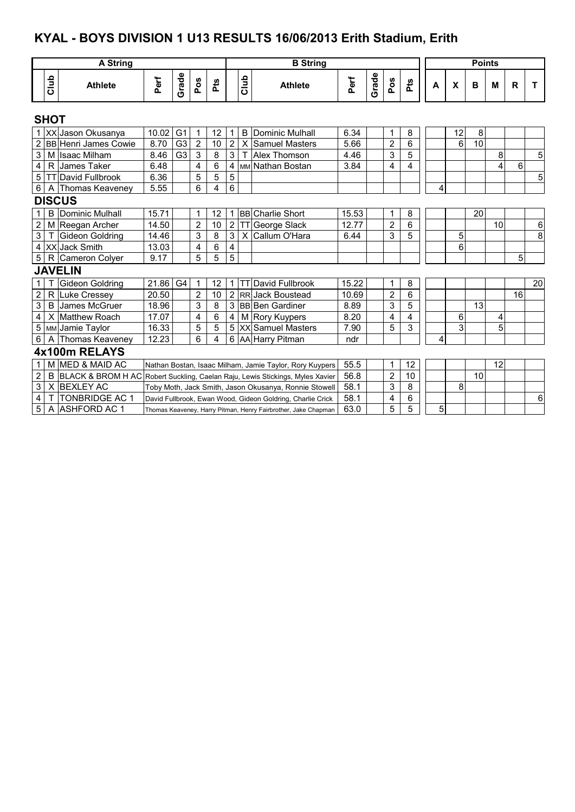# **KYAL - BOYS DIVISION 1 U13 RESULTS 16/06/2013 Erith Stadium, Erith**

|                         |                | <b>A String</b>              |       |                 |                |                |                         |              | <b>B</b> String                                                |       |       |                |                |   |    | <b>Points</b> |                |              |                |
|-------------------------|----------------|------------------------------|-------|-----------------|----------------|----------------|-------------------------|--------------|----------------------------------------------------------------|-------|-------|----------------|----------------|---|----|---------------|----------------|--------------|----------------|
|                         | Club           | <b>Athlete</b>               | Perf  | Grade           | Pos            | Pts            |                         | Club         | <b>Athlete</b>                                                 | Perf  | Grade | Pos            | Pts            | A | X  | в             | М              | $\mathsf{R}$ | т              |
|                         | <b>SHOT</b>    |                              |       |                 |                |                |                         |              |                                                                |       |       |                |                |   |    |               |                |              |                |
|                         |                | 1 XX Jason Okusanya          | 10.02 | G <sub>1</sub>  | $\mathbf{1}$   | 12             | $\mathbf{1}$            |              | <b>B</b> Dominic Mulhall                                       | 6.34  |       | 1              | 8              |   | 12 | 8             |                |              |                |
|                         |                | 2 BB Henri James Cowie       | 8.70  | G <sub>3</sub>  | $\overline{2}$ | 10             | $\overline{2}$          | $\mathsf{X}$ | <b>Samuel Masters</b>                                          | 5.66  |       | $\overline{2}$ | 6              |   | 6  | 10            |                |              |                |
| 3                       |                | M Isaac Milham               | 8.46  | $\overline{G3}$ | $\overline{3}$ | 8              | $\overline{3}$          | $\mathsf{T}$ | Alex Thomson                                                   | 4.46  |       | 3              | $\overline{5}$ |   |    |               | 8              |              | 5              |
| $\overline{\mathbf{4}}$ | R              | James Taker                  | 6.48  |                 | 4              | 6              | $\overline{4}$          |              | MM Nathan Bostan                                               | 3.84  |       | 4              | 4              |   |    |               | 4              | 6            |                |
| $\mathbf 5$             |                | <b>TT David Fullbrook</b>    | 6.36  |                 | 5              | 5              | 5                       |              |                                                                |       |       |                |                |   |    |               |                |              | 5              |
| 6                       | A              | Thomas Keaveney              | 5.55  |                 | 6              | 4              | 6                       |              |                                                                |       |       |                |                | 4 |    |               |                |              |                |
|                         |                | <b>DISCUS</b>                |       |                 |                |                |                         |              |                                                                |       |       |                |                |   |    |               |                |              |                |
| 1                       | B              | Dominic Mulhall              | 15.71 |                 | 1              | 12             |                         |              | 1 BB Charlie Short                                             | 15.53 |       | 1              | $\bf 8$        |   |    | 20            |                |              |                |
| $\overline{2}$          |                | M Reegan Archer              | 14.50 |                 | $\overline{2}$ | 10             | $\overline{2}$          |              | TT George Slack                                                | 12.77 |       | $\overline{2}$ | 6              |   |    |               | 10             |              | 6              |
| 3                       |                | Gideon Goldring              | 14.46 |                 | 3              | 8              | $\overline{3}$          |              | X Callum O'Hara                                                | 6.44  |       | 3              | 5              |   | 5  |               |                |              | $\overline{8}$ |
|                         |                | 4 XX Jack Smith              | 13.03 |                 | 4              | 6              | $\overline{\mathbf{4}}$ |              |                                                                |       |       |                |                |   | 6  |               |                |              |                |
| 5 <sup>1</sup>          | R              | Cameron Colyer               | 9.17  |                 | 5              | 5              | 5                       |              |                                                                |       |       |                |                |   |    |               |                | 5            |                |
|                         |                | <b>JAVELIN</b>               |       |                 |                |                |                         |              |                                                                |       |       |                |                |   |    |               |                |              |                |
| 1 <sup>1</sup>          |                | Gideon Goldring              | 21.86 | G4              | 1              | 12             |                         |              | 1   TT David Fullbrook                                         | 15.22 |       | 1              | 8              |   |    |               |                |              | 20             |
| $\overline{2}$          | R              | Luke Cressey                 | 20.50 |                 | $\overline{2}$ | 10             |                         |              | 2 RR Jack Boustead                                             | 10.69 |       | $\overline{2}$ | 6              |   |    |               |                | 16           |                |
| 3                       | B              | James McGruer                | 18.96 |                 | 3              | 8              | 3                       |              | <b>BB</b> Ben Gardiner                                         | 8.89  |       | 3              | 5              |   |    | 13            |                |              |                |
| 4                       | X              | <b>Matthew Roach</b>         | 17.07 |                 | 4              | 6              | 4                       |              | M Rory Kuypers                                                 | 8.20  |       | 4              | 4              |   | 6  |               | 4              |              |                |
| 5                       |                | MM Jamie Taylor              | 16.33 |                 | 5              | $\overline{5}$ | $\overline{5}$          |              | XX Samuel Masters                                              | 7.90  |       | 5              | $\overline{3}$ |   | 3  |               | $\overline{5}$ |              |                |
| 6                       | $\overline{A}$ | Thomas Keaveney              | 12.23 |                 | 6              | 4              |                         |              | 6 AA Harry Pitman                                              | ndr   |       |                |                | 4 |    |               |                |              |                |
|                         |                | 4x100m RELAYS                |       |                 |                |                |                         |              |                                                                |       |       |                |                |   |    |               |                |              |                |
| $\mathbf{1}$            |                | M MED & MAID AC              |       |                 |                |                |                         |              | Nathan Bostan, Isaac Milham, Jamie Taylor, Rory Kuypers        | 55.5  |       | 1              | 12             |   |    |               | 12             |              |                |
| 2                       | B              | <b>BLACK &amp; BROM H AC</b> |       |                 |                |                |                         |              | Robert Suckling, Caelan Raju, Lewis Stickings, Myles Xavier    | 56.8  |       | $\overline{2}$ | 10             |   |    | 10            |                |              |                |
| 3                       |                | X BEXLEY AC                  |       |                 |                |                |                         |              | Toby Moth, Jack Smith, Jason Okusanya, Ronnie Stowell          | 58.1  |       | 3              | 8              |   | 8  |               |                |              |                |
| 4                       |                | <b>TONBRIDGE AC 1</b>        |       |                 |                |                |                         |              | David Fullbrook, Ewan Wood, Gideon Goldring, Charlie Crick     | 58.1  |       | 4              | 6              |   |    |               |                |              | 6              |
| 5                       |                | A ASHFORD AC 1               |       |                 |                |                |                         |              | Thomas Keaveney, Harry Pitman, Henry Fairbrother, Jake Chapman | 63.0  |       | 5              | $\overline{5}$ | 5 |    |               |                |              |                |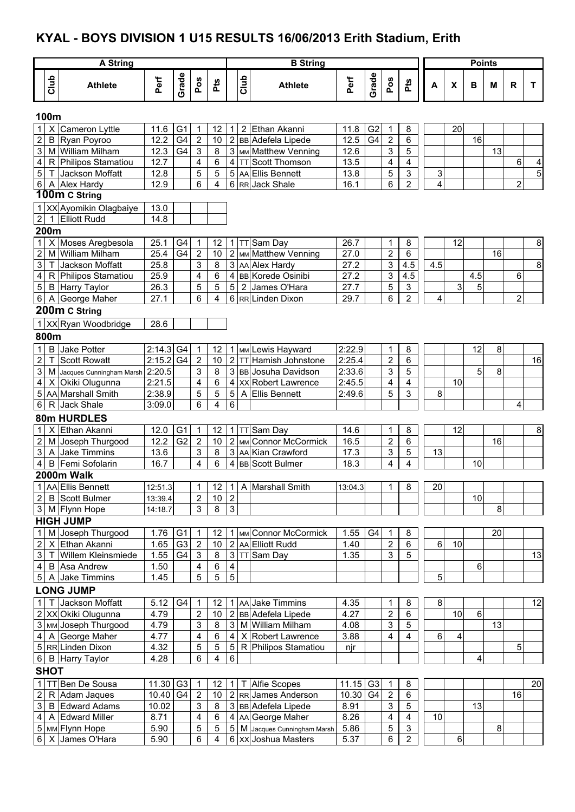### **KYAL - BOYS DIVISION 1 U15 RESULTS 16/06/2013 Erith Stadium, Erith**

|                         |              | <b>A String</b>                                |                    |                |                           |                         |                              |            | <b>B</b> String                                   |              |                |                |                  |     |    | <b>Points</b> |    |                         |                |
|-------------------------|--------------|------------------------------------------------|--------------------|----------------|---------------------------|-------------------------|------------------------------|------------|---------------------------------------------------|--------------|----------------|----------------|------------------|-----|----|---------------|----|-------------------------|----------------|
|                         | Club         | <b>Athlete</b>                                 | Perf               | Grade          | Pos                       | Pts                     |                              | Club       | <b>Athlete</b>                                    | Perf         | Grade          | Pos            | Pts              | A   | X  | B             | M  | $\mathsf{R}$            | T              |
|                         | 100m         |                                                |                    |                |                           |                         |                              |            |                                                   |              |                |                |                  |     |    |               |    |                         |                |
| 1 <sup>1</sup>          |              | X Cameron Lyttle                               | 11.6               | G <sub>1</sub> | 1                         | 12                      | $\mathbf{1}$                 | 2          | Ethan Akanni                                      | 11.8         | G <sub>2</sub> | 1              | 8                |     | 20 |               |    |                         |                |
| $\overline{2}$          |              | <b>B</b> Ryan Poyroo                           | 12.2               | G4             | $\mathbf 2$               | 10                      | $\overline{2}$               |            | <b>BB</b> Adefela Lipede                          | 12.5         | G4             | $\mathbf 2$    | 6                |     |    | 16            |    |                         |                |
| 3                       |              | M William Milham                               | 12.3               | G4             | $\ensuremath{\mathsf{3}}$ | 8                       |                              |            | 3 MM Matthew Venning                              | 12.6         |                | 3              | 5                |     |    |               | 13 |                         |                |
| 4                       |              | R Philipos Stamatiou                           | 12.7               |                | 4                         | 6                       | $\overline{4}$               |            | <b>TT</b> Scott Thomson                           | 13.5         |                | 4              | 4                |     |    |               |    | 6                       | 4              |
| $5\,$                   |              | Jackson Moffatt                                | 12.8               |                | 5                         | 5                       |                              |            | 5 AA Ellis Bennett                                | 13.8         |                | 5              | 3                | 3   |    |               |    |                         | $\overline{5}$ |
| $6\phantom{.}6$         |              | A Alex Hardy                                   | 12.9               |                | 6                         | 4                       |                              |            | 6 RR Jack Shale                                   | 16.1         |                | 6              | $\overline{2}$   | 4   |    |               |    | $\overline{\mathbf{c}}$ |                |
|                         |              | 100m C String                                  |                    |                |                           |                         |                              |            |                                                   |              |                |                |                  |     |    |               |    |                         |                |
|                         |              | 1 XX Ayomikin Olagbaiye<br><b>Elliott Rudd</b> | 13.0<br>14.8       |                |                           |                         |                              |            |                                                   |              |                |                |                  |     |    |               |    |                         |                |
| $\mathbf{2}$            | 1<br>200m    |                                                |                    |                |                           |                         |                              |            |                                                   |              |                |                |                  |     |    |               |    |                         |                |
| 1 <sup>1</sup>          |              | X Moses Aregbesola                             | 25.1               | G4             | 1                         | 12                      | $\mathbf{1}$                 |            | TT Sam Day                                        | 26.7         |                | 1              | 8                |     | 12 |               |    |                         | 8              |
| $\overline{a}$          |              | M William Milham                               | 25.4               | G4             | $\overline{2}$            | 10                      |                              |            | 2 MM Matthew Venning                              | 27.0         |                | $\overline{2}$ | 6                |     |    |               | 16 |                         |                |
| $\overline{3}$          | $\mathsf{T}$ | Jackson Moffatt                                | 25.8               |                | 3                         | 8                       |                              |            | 3 AA Alex Hardy                                   | 27.2         |                | 3              | $4.\overline{5}$ | 4.5 |    |               |    |                         | 8              |
| $\overline{\mathbf{4}}$ |              | R Philipos Stamatiou                           | 25.9               |                | $\overline{\mathbf{4}}$   | 6                       |                              |            | 4 BB Korede Osinibi                               | 27.2         |                | 3              | $4.\overline{5}$ |     |    | 4.5           |    | 6                       |                |
| 5                       |              | <b>B</b> Harry Taylor                          | 26.3               |                | 5                         | 5                       | $\overline{5}$               |            | 2 James O'Hara                                    | 27.7         |                | 5              | $\mathfrak{S}$   |     | 3  | 5             |    |                         |                |
|                         |              | 6   A George Maher                             | 27.1               |                | 6                         | 4                       |                              |            | 6 RR Linden Dixon                                 | 29.7         |                | 6              | $\overline{2}$   | 4   |    |               |    | $\overline{2}$          |                |
|                         |              | 200m C String                                  |                    |                |                           |                         |                              |            |                                                   |              |                |                |                  |     |    |               |    |                         |                |
|                         |              | 1 XX Ryan Woodbridge                           | 28.6               |                |                           |                         |                              |            |                                                   |              |                |                |                  |     |    |               |    |                         |                |
|                         | 800m         |                                                |                    |                |                           |                         |                              |            |                                                   |              |                |                |                  |     |    |               |    |                         |                |
| $\mathbf{1}$            |              | <b>B</b> Jake Potter                           | 2:14.3             | G4             | $\mathbf{1}$              | 12                      |                              |            | 1 MM Lewis Hayward                                | 2:22.9       |                | 1              | 8                |     |    | 12            | 8  |                         |                |
| $\overline{c}$          |              | <b>Scott Rowatt</b>                            | 2:15.2             | G <sub>4</sub> | $\overline{2}$            | 10                      | 2 <sup>1</sup>               | <b>TTI</b> | Hamish Johnstone                                  | 2:25.4       |                | 2              | 6                |     |    |               |    |                         | 16             |
| $\overline{3}$          |              | M Jacques Cunningham Marsh 2:20.5              |                    |                | 3                         | 8                       |                              |            | 3 BB Josuha Davidson                              | 2:33.6       |                | 3              | 5                |     |    | 5             | 8  |                         |                |
| $\overline{\mathbf{4}}$ |              | X Okiki Olugunna                               | 2:21.5             |                | 4                         | 6                       | $\overline{4}$               |            | <b>XX</b> Robert Lawrence                         | 2:45.5       |                | 4              | 4                |     | 10 |               |    |                         |                |
| 5                       |              | AA Marshall Smith                              | 2:38.9             |                | 5                         | 5                       | 5                            |            | A Ellis Bennett                                   | 2:49.6       |                | 5              | 3                | 8   |    |               |    |                         |                |
| 6                       |              | R Jack Shale                                   | 3:09.0             |                | 6                         | 4                       | 6                            |            |                                                   |              |                |                |                  |     |    |               |    | 4                       |                |
|                         |              | 80m HURDLES                                    |                    |                |                           |                         |                              |            |                                                   |              |                |                |                  |     |    |               |    |                         |                |
| 1                       | X            | Ethan Akanni                                   | 12.0               | G <sub>1</sub> | $\mathbf{1}$              | 12                      |                              |            | 1 TT Sam Day                                      | 14.6         |                | 1              | 8                |     | 12 |               |    |                         | 8              |
| $\overline{2}$          |              | M Joseph Thurgood                              | 12.2               | G <sub>2</sub> | $\overline{2}$            | 10                      |                              |            | 2 MM Connor McCormick                             | 16.5         |                | 2              | 6                |     |    |               | 16 |                         |                |
| $\mathbf{3}$            |              | A Jake Timmins                                 | 13.6               |                | 3                         | 8                       |                              |            | 3 AA Kian Crawford                                | 17.3         |                | 3              | 5                | 13  |    |               |    |                         |                |
| 4                       |              | B Femi Sofolarin                               | 16.7               |                | $\overline{4}$            | 6                       | 4                            |            | <b>BB</b> Scott Bulmer                            | 18.3         |                | 4              | 4                |     |    | 10            |    |                         |                |
|                         |              | 2000m Walk                                     |                    |                |                           |                         |                              |            |                                                   |              |                |                |                  |     |    |               |    |                         |                |
|                         |              | 1 AA Ellis Bennett                             | 12:51.3            |                | 1                         | 12                      |                              |            | 1 A Marshall Smith                                | 13:04.3      |                | 1              | 8                | 20  |    |               |    |                         |                |
| $2 \mid$                |              | <b>B</b> Scott Bulmer<br>3   M   Flynn Hope    | 13:39.4<br>14:18.7 |                | 2<br>$\mathfrak{S}$       | 10<br>8                 | $\sqrt{2}$<br>$\overline{3}$ |            |                                                   |              |                |                |                  |     |    | 10            | 8  |                         |                |
|                         |              | <b>HIGH JUMP</b>                               |                    |                |                           |                         |                              |            |                                                   |              |                |                |                  |     |    |               |    |                         |                |
| 1 <sup>1</sup>          |              | M Joseph Thurgood                              | 1.76               | G <sub>1</sub> | 1                         | 12                      |                              |            | 1 MM Connor McCormick                             | 1.55         | G4             | 1              | 8                |     |    |               | 20 |                         |                |
| 2                       |              | X Ethan Akanni                                 | 1.65               | G <sub>3</sub> | $\overline{2}$            | 10                      |                              |            | 2 AA Elliott Rudd                                 | 1.40         |                | 2              | 6                | 6   | 10 |               |    |                         |                |
| $\mathbf{3}$            |              | Willem Kleinsmiede                             | 1.55               | G4             | 3                         | 8                       |                              |            | 3 TT Sam Day                                      | 1.35         |                | 3              | 5                |     |    |               |    |                         | 13             |
| $4 \mid$                |              | <b>B</b> Asa Andrew                            | 1.50               |                | 4                         | 6                       | $\overline{\mathbf{4}}$      |            |                                                   |              |                |                |                  |     |    | 6             |    |                         |                |
|                         |              | 5 A Jake Timmins                               | 1.45               |                | 5                         | $\overline{5}$          | $\overline{5}$               |            |                                                   |              |                |                |                  | 5   |    |               |    |                         |                |
|                         |              | <b>LONG JUMP</b>                               |                    |                |                           |                         |                              |            |                                                   |              |                |                |                  |     |    |               |    |                         |                |
| 1                       |              | Jackson Moffatt                                | 5.12               | G4             | $\mathbf 1$               | 12                      |                              |            | 1 AA Jake Timmins                                 | 4.35         |                | 1              | 8                | 8   |    |               |    |                         | 12             |
|                         |              | 2 XX Okiki Olugunna                            | 4.79               |                | $\boldsymbol{2}$          | 10                      |                              |            | 2 BB Adefela Lipede                               | 4.27         |                | 2              | 6                |     | 10 | 6             |    |                         |                |
|                         |              | 3 MM Joseph Thurgood                           | 4.79               |                | 3                         | 8                       |                              |            | 3 M William Milham                                | 4.08         |                | 3              | 5                |     |    |               | 13 |                         |                |
|                         |              | 4 A George Maher                               | 4.77               |                | 4                         | 6                       | 4 <sup>1</sup>               |            | X Robert Lawrence                                 | 3.88         |                | 4              | 4                | 6   | 4  |               |    |                         |                |
|                         |              | 5 RR Linden Dixon                              | 4.32               |                | 5                         | 5                       | 5 <sup>1</sup>               |            | R Philipos Stamatiou                              | njr          |                |                |                  |     |    |               |    | 5                       |                |
|                         |              | 6 B Harry Taylor                               | 4.28               |                | 6                         | $\overline{\mathbf{4}}$ | $\,6\,$                      |            |                                                   |              |                |                |                  |     |    | 4             |    |                         |                |
|                         | <b>SHOT</b>  |                                                |                    |                |                           |                         |                              |            |                                                   |              |                |                |                  |     |    |               |    |                         |                |
| 1                       |              | TBen De Sousa                                  | 11.30              | G <sub>3</sub> | $\mathbf{1}$              | 12                      |                              | $1 \mid T$ | <b>Alfie Scopes</b>                               | 11.15        | G <sub>3</sub> | $\mathbf{1}$   | 8                |     |    |               |    |                         | 20             |
| $2 \mid$                |              | R Adam Jaques                                  | 10.40              | G4             | $\overline{2}$            | 10                      |                              |            | 2 RR James Anderson                               | 10.30        | G4             | 2              | 6                |     |    |               |    | 16                      |                |
| 3 <sup>1</sup>          |              | <b>B</b> Edward Adams<br>A Edward Miller       | 10.02              |                | 3                         | 8                       |                              |            | 3 BB Adefela Lipede                               | 8.91         |                | 3              | 5<br>4           |     |    | 13            |    |                         |                |
| 4 <sup>1</sup>          |              | 5   мм Flynn Hope                              | 8.71<br>5.90       |                | 4<br>5                    | 6<br>5                  |                              |            | 4 AA George Maher<br>5 M Jacques Cunningham Marsh | 8.26<br>5.86 |                | 4<br>5         | 3                | 10  |    |               | 8  |                         |                |
|                         |              | 6 X James O'Hara                               | 5.90               |                | 6                         | 4                       |                              |            | 6 XX Joshua Masters                               | 5.37         |                | 6              | $\overline{2}$   |     | 6  |               |    |                         |                |
|                         |              |                                                |                    |                |                           |                         |                              |            |                                                   |              |                |                |                  |     |    |               |    |                         |                |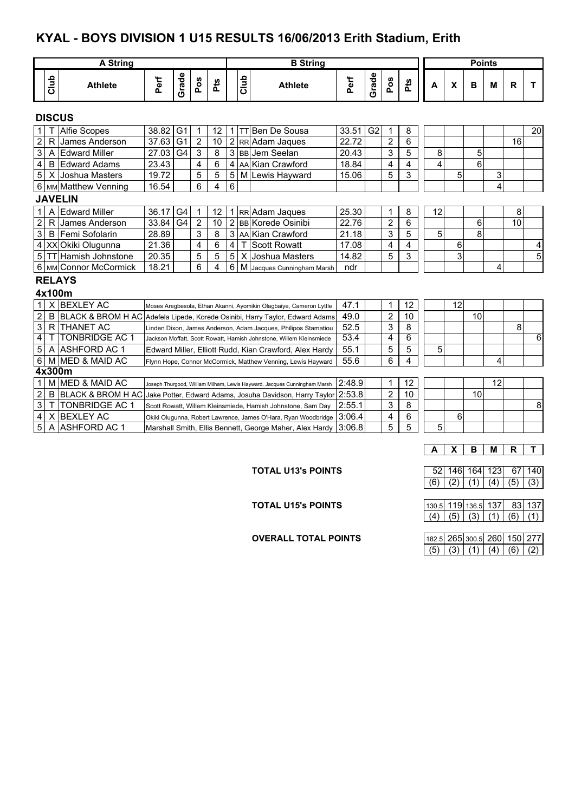## **KYAL - BOYS DIVISION 1 U15 RESULTS 16/06/2013 Erith Stadium, Erith**

|                |                                                                                     | <b>A String</b>                | <b>B</b> String                                                |                |                |     |                |      |                                                                          | <b>Points</b> |                |                |                |    |                           |    |    |              |    |
|----------------|-------------------------------------------------------------------------------------|--------------------------------|----------------------------------------------------------------|----------------|----------------|-----|----------------|------|--------------------------------------------------------------------------|---------------|----------------|----------------|----------------|----|---------------------------|----|----|--------------|----|
|                | Club                                                                                | <b>Athlete</b>                 | Perf                                                           | Grade          | Pos            | Pts |                | Club | <b>Athlete</b>                                                           | Perf          | Grade          | Pos            | Pts            | A  | $\boldsymbol{\mathsf{x}}$ | B  | M  | $\mathsf{R}$ | T  |
|                |                                                                                     | <b>DISCUS</b>                  |                                                                |                |                |     |                |      |                                                                          |               |                |                |                |    |                           |    |    |              |    |
|                |                                                                                     | <b>Alfie Scopes</b>            | 38.82                                                          | G <sub>1</sub> | 1              | 12  | $\mathbf{1}$   |      | <b>TT Ben De Sousa</b>                                                   | 33.51         | G <sub>2</sub> | 1              | 8              |    |                           |    |    |              | 20 |
| $\overline{c}$ |                                                                                     | R James Anderson               | 37.63                                                          | G <sub>1</sub> | $\overline{c}$ | 10  | $\overline{2}$ |      | RR Adam Jaques                                                           | 22.72         |                | 2              | 6              |    |                           |    |    | 16           |    |
| 3              |                                                                                     | A Edward Miller                | 27.03                                                          | G4             | 3              | 8   |                |      | 3 BB Jem Seelan                                                          | 20.43         |                | 3              | 5              | 8  |                           | 5  |    |              |    |
| 4              |                                                                                     | <b>B</b> Edward Adams          | 23.43                                                          |                | $\overline{4}$ | 6   | $\overline{4}$ |      | AA Kian Crawford                                                         | 18.84         |                | 4              | 4              | 4  |                           | 6  |    |              |    |
| 5 <sup>1</sup> |                                                                                     | X Joshua Masters               | 19.72                                                          |                | 5              | 5   | 5              |      | M Lewis Hayward                                                          | 15.06         |                | 5              | 3              |    | 5                         |    | 3  |              |    |
|                |                                                                                     | 6   MM Matthew Venning         | 16.54                                                          |                | 6              | 4   | 6              |      |                                                                          |               |                |                |                |    |                           |    | 4  |              |    |
|                |                                                                                     | <b>JAVELIN</b>                 |                                                                |                |                |     |                |      |                                                                          |               |                |                |                |    |                           |    |    |              |    |
| 1 I            |                                                                                     | A Edward Miller                | 36.17                                                          | G <sub>4</sub> | 1              | 12  |                |      | 1 RR Adam Jaques                                                         | 25.30         |                | 1              | 8              | 12 |                           |    |    | 8            |    |
| $\overline{c}$ |                                                                                     | R James Anderson               | 33.84                                                          | G <sub>4</sub> | $\overline{2}$ | 10  |                |      | 2 BB Korede Osinibi                                                      | 22.76         |                | $\overline{c}$ | 6              |    |                           | 6  |    | 10           |    |
| $\overline{3}$ |                                                                                     | B Femi Sofolarin               | 28.89                                                          |                | 3              | 8   |                |      | 3 AA Kian Crawford                                                       | 21.18         |                | 3              | 5              | 5  |                           | 8  |    |              |    |
|                | 6<br>21.36<br>$\overline{\mathbf{4}}$<br>4 XX Okiki Olugunna<br>4<br>T Scott Rowatt |                                |                                                                |                |                |     |                |      |                                                                          |               |                | 4              | 4              |    | 6                         |    |    |              | 4  |
|                | 5<br>5<br>5<br>5 TT Hamish Johnstone<br>20.35<br>X Joshua Masters                   |                                |                                                                |                |                |     |                |      |                                                                          |               |                | 5              | 3              |    | 3                         |    |    |              | 5  |
|                |                                                                                     | 6   мм Connor McCormick        | 18.21                                                          |                | 6              | 4   | 6              |      | M Jacques Cunningham Marsh                                               | ndr           |                |                |                |    |                           |    | 4  |              |    |
|                |                                                                                     | <b>RELAYS</b>                  |                                                                |                |                |     |                |      |                                                                          |               |                |                |                |    |                           |    |    |              |    |
|                |                                                                                     | 4x100m                         |                                                                |                |                |     |                |      |                                                                          |               |                |                |                |    |                           |    |    |              |    |
| 11             |                                                                                     | X BEXLEY AC                    |                                                                |                |                |     |                |      | Moses Aregbesola, Ethan Akanni, Ayomikin Olagbaiye, Cameron Lyttle       | 47.1          |                | 1              | 12             |    | 12                        |    |    |              |    |
| $\overline{a}$ |                                                                                     | B BLACK & BROM H AC            |                                                                |                |                |     |                |      | Adefela Lipede, Korede Osinibi, Harry Taylor, Edward Adams               | 49.0          |                | 2              | 10             |    |                           | 10 |    |              |    |
| 3              |                                                                                     | R THANET AC                    |                                                                |                |                |     |                |      | Linden Dixon, James Anderson, Adam Jacques, Philipos Stamatiou           | 52.5          |                | 3              | 8              |    |                           |    |    | 8            |    |
| 4              | т                                                                                   | <b>TONBRIDGE AC 1</b>          |                                                                |                |                |     |                |      | Jackson Moffatt, Scott Rowatt, Hamish Johnstone, Willem Kleinsmiede      | 53.4          |                | 4              | $\overline{6}$ |    |                           |    |    |              | 6  |
| 5              | A                                                                                   | <b>ASHFORD AC 1</b>            |                                                                |                |                |     |                |      | Edward Miller, Elliott Rudd, Kian Crawford, Alex Hardy                   | 55.1          |                | 5              | $\overline{5}$ | 5  |                           |    |    |              |    |
| 6              |                                                                                     | M MED & MAID AC                |                                                                |                |                |     |                |      | Flynn Hope, Connor McCormick, Matthew Venning, Lewis Hayward             | 55.6          |                | 6              | 4              |    |                           |    | 4  |              |    |
|                |                                                                                     | 4x300m                         |                                                                |                |                |     |                |      |                                                                          |               |                |                |                |    |                           |    |    |              |    |
| 1 <sup>1</sup> |                                                                                     | M MED & MAID AC                |                                                                |                |                |     |                |      | Joseph Thurgood, William Milham, Lewis Hayward, Jacques Cunningham Marsh | 2:48.9        |                | 1              | 12             |    |                           |    | 12 |              |    |
| $\overline{2}$ |                                                                                     | <b>B BLACK &amp; BROM H AC</b> |                                                                |                |                |     |                |      | Jake Potter, Edward Adams, Josuha Davidson, Harry Taylor 2:53.8          |               |                | 2              | 10             |    |                           | 10 |    |              |    |
| 3              | T                                                                                   | <b>TONBRIDGE AC 1</b>          |                                                                |                |                |     |                |      | Scott Rowatt, Willem Kleinsmiede, Hamish Johnstone, Sam Day              | 2:55.1        |                | 3              | 8              |    |                           |    |    |              | 8  |
| 4              |                                                                                     | X BEXLEY AC                    | Okiki Olugunna, Robert Lawrence, James O'Hara, Ryan Woodbridge | 3:06.4         |                | 4   | 6<br>5         |      | 6                                                                        |               |                |                |                |    |                           |    |    |              |    |
| 5              | Α                                                                                   | <b>ASHFORD AC 1</b>            | Marshall Smith, Ellis Bennett, George Maher, Alex Hardy        |                |                |     |                |      |                                                                          |               |                |                |                | 5  |                           |    |    |              |    |
|                |                                                                                     |                                |                                                                |                |                |     |                |      |                                                                          |               |                |                |                |    |                           |    |    |              |    |
|                |                                                                                     |                                |                                                                |                |                |     |                |      |                                                                          |               |                |                |                | A  | X                         | в  | M  | R            | T. |

**TOTAL U15's POINTS** 

**OVERALL TOTAL POINTS** 

**TOTAL U13's POINTS** 52 146 164 123 67 140  $(6) (2) (1) (4) (5) (3)$ 

|  | 130.5 119 136.5 137 |  | -83L 137 |
|--|---------------------|--|----------|
|  | $(5)$ $(3)$         |  |          |

|  | 182.5 265 300.5 260 150 277       |  |  |
|--|-----------------------------------|--|--|
|  | (5)   (3)   (1)   (4)   (6)   (2) |  |  |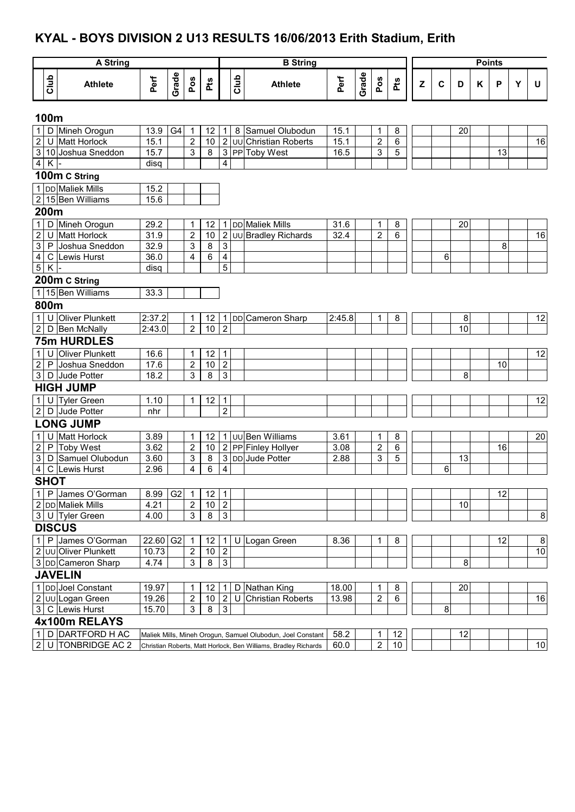## **KYAL - BOYS DIVISION 2 U13 RESULTS 16/06/2013 Erith Stadium, Erith**

|                |             | <b>A String</b>                            |               |                |                              |                 |                                  |      | <b>B</b> String                                                 |        |       |                |     |   |             |                 | <b>Points</b> |    |   |                  |
|----------------|-------------|--------------------------------------------|---------------|----------------|------------------------------|-----------------|----------------------------------|------|-----------------------------------------------------------------|--------|-------|----------------|-----|---|-------------|-----------------|---------------|----|---|------------------|
|                |             |                                            |               |                |                              |                 |                                  |      |                                                                 |        |       |                |     |   |             |                 |               |    |   |                  |
|                | Club        | <b>Athlete</b>                             | Perf          | Grade          | Pos                          | Pts             |                                  | Club | <b>Athlete</b>                                                  | Perf   | Grade | Pos            | Pts | Z | $\mathbf c$ | D               | Κ             | P  | Y | U                |
|                | 100m        |                                            |               |                |                              |                 |                                  |      |                                                                 |        |       |                |     |   |             |                 |               |    |   |                  |
|                |             | 1 D Mineh Orogun                           | 13.9          | G4             | 1                            | 12              | 1                                | 8    | Samuel Olubodun                                                 | 15.1   |       | 1              | 8   |   |             | 20              |               |    |   |                  |
| $\sqrt{2}$     |             | U Matt Horlock                             | 15.1          |                | $\boldsymbol{2}$             | 10              | $\overline{2}$                   |      | <b>UU</b> Christian Roberts                                     | 15.1   |       | $\overline{2}$ | 6   |   |             |                 |               |    |   | 16               |
|                |             | 3 10 Joshua Sneddon                        | 15.7          |                | $\ensuremath{\mathsf{3}}$    | 8               | $\overline{3}$                   |      | PP Toby West                                                    | 16.5   |       | 3              | 5   |   |             |                 |               | 13 |   |                  |
| $\overline{4}$ | K           |                                            | disg          |                |                              |                 | 4                                |      |                                                                 |        |       |                |     |   |             |                 |               |    |   |                  |
|                |             | 100m C String                              |               |                |                              |                 |                                  |      |                                                                 |        |       |                |     |   |             |                 |               |    |   |                  |
|                |             | 1 DD Maliek Mills                          | 15.2          |                |                              |                 |                                  |      |                                                                 |        |       |                |     |   |             |                 |               |    |   |                  |
|                |             | 2 15 Ben Williams                          | 15.6          |                |                              |                 |                                  |      |                                                                 |        |       |                |     |   |             |                 |               |    |   |                  |
|                | 200m        |                                            |               |                |                              |                 |                                  |      |                                                                 |        |       |                |     |   |             |                 |               |    |   |                  |
|                |             | 1 D Mineh Orogun                           | 29.2          |                | 1                            | 12              | 1                                |      | DD Maliek Mills                                                 | 31.6   |       | 1              | 8   |   |             | 20              |               |    |   |                  |
| $\overline{2}$ |             | U Matt Horlock                             | 31.9          |                | $\mathbf 2$                  | 10              | $\sqrt{2}$                       |      | UU Bradley Richards                                             | 32.4   |       | $\overline{2}$ | 6   |   |             |                 |               |    |   | 16               |
| $\overline{3}$ |             | P Joshua Sneddon                           | 32.9          |                | $\ensuremath{\mathsf{3}}$    | 8               | 3                                |      |                                                                 |        |       |                |     |   |             |                 |               | 8  |   |                  |
| $\overline{4}$ |             | C Lewis Hurst                              | 36.0          |                | $\overline{\mathbf{4}}$      | $\,6$           | 4                                |      |                                                                 |        |       |                |     |   | 6           |                 |               |    |   |                  |
| $\overline{5}$ | $\sf K$     |                                            | disq          |                |                              |                 | 5                                |      |                                                                 |        |       |                |     |   |             |                 |               |    |   |                  |
|                |             | 200m C String                              |               |                |                              |                 |                                  |      |                                                                 |        |       |                |     |   |             |                 |               |    |   |                  |
|                |             | 1 15 Ben Williams                          | 33.3          |                |                              |                 |                                  |      |                                                                 |        |       |                |     |   |             |                 |               |    |   |                  |
|                | 800m        |                                            |               |                |                              |                 |                                  |      |                                                                 |        |       |                |     |   |             |                 |               |    |   |                  |
|                |             | 1 U Oliver Plunkett                        | 2:37.2        |                | 1                            | 12              | 1                                |      | DD Cameron Sharp                                                | 2:45.8 |       | 1              | 8   |   |             | 8               |               |    |   | 12               |
|                |             | 2 D Ben McNally                            | 2:43.0        |                | $\overline{2}$               | 10              | $\overline{2}$                   |      |                                                                 |        |       |                |     |   |             | $\overline{10}$ |               |    |   |                  |
|                |             | <b>75m HURDLES</b>                         |               |                |                              |                 |                                  |      |                                                                 |        |       |                |     |   |             |                 |               |    |   |                  |
| $\mathbf 1$    | U           | <b>Oliver Plunkett</b>                     | 16.6          |                | 1                            | 12              | 1                                |      |                                                                 |        |       |                |     |   |             |                 |               |    |   | $\overline{12}$  |
| $\overline{2}$ |             | P Joshua Sneddon                           | 17.6          |                | $\boldsymbol{2}$             | $10$            | $\overline{2}$                   |      |                                                                 |        |       |                |     |   |             |                 |               | 10 |   |                  |
| 3              |             | D Jude Potter                              | 18.2          |                | 3                            | 8               | 3                                |      |                                                                 |        |       |                |     |   |             | 8               |               |    |   |                  |
|                |             | <b>HIGH JUMP</b>                           |               |                |                              |                 |                                  |      |                                                                 |        |       |                |     |   |             |                 |               |    |   |                  |
| 1              |             | U Tyler Green                              | 1.10          |                | 1                            | 12              | 1                                |      |                                                                 |        |       |                |     |   |             |                 |               |    |   | 12               |
|                |             | 2 D Jude Potter                            | nhr           |                |                              |                 | $\overline{2}$                   |      |                                                                 |        |       |                |     |   |             |                 |               |    |   |                  |
|                |             | <b>LONG JUMP</b>                           |               |                |                              |                 |                                  |      |                                                                 |        |       |                |     |   |             |                 |               |    |   |                  |
| 1              |             | U Matt Horlock                             | 3.89          |                | 1                            | 12              |                                  |      | 1 JUU Ben Williams                                              | 3.61   |       | $\mathbf 1$    | 8   |   |             |                 |               |    |   | 20               |
| $\overline{2}$ |             | P Toby West                                | 3.62          |                | $\overline{\mathbf{c}}$      | 10              |                                  |      | 2 PP Finley Hollyer                                             | 3.08   |       | $\overline{c}$ | 6   |   |             |                 |               | 16 |   |                  |
| $\overline{3}$ |             | D Samuel Olubodun                          | 3.60          |                | 3                            | 8               | $\ensuremath{\mathsf{3}}$        |      | DD Jude Potter                                                  | 2.88   |       | 3              | 5   |   |             | 13              |               |    |   |                  |
| $4\overline{}$ |             | C Lewis Hurst                              | 2.96          |                | 4                            | 6               | 4                                |      |                                                                 |        |       |                |     |   | 6           |                 |               |    |   |                  |
|                | <b>SHOT</b> |                                            |               |                |                              |                 |                                  |      |                                                                 |        |       |                |     |   |             |                 |               |    |   |                  |
|                |             | 1 P James O'Gorman                         | 8.99          | G <sub>2</sub> |                              | 12              |                                  |      |                                                                 |        |       |                |     |   |             |                 |               | 12 |   |                  |
|                |             | 2 DD Maliek Mills                          | 4.21          |                | 1<br>$\overline{\mathbf{c}}$ | 10 <sub>1</sub> | 1<br>$\overline{2}$              |      |                                                                 |        |       |                |     |   |             | 10              |               |    |   |                  |
|                |             | 3 U Tyler Green                            | 4.00          |                | $\mathsf 3$                  | $\bf8$          | $\mathfrak{S}$                   |      |                                                                 |        |       |                |     |   |             |                 |               |    |   | $\boldsymbol{8}$ |
|                |             | <b>DISCUS</b>                              |               |                |                              |                 |                                  |      |                                                                 |        |       |                |     |   |             |                 |               |    |   |                  |
|                |             |                                            |               |                |                              |                 |                                  |      |                                                                 |        |       |                |     |   |             |                 |               |    |   |                  |
|                |             | 1 P James O'Gorman                         | 22.60         | G <sub>2</sub> | 1                            | 12              | 1                                | U    | Logan Green                                                     | 8.36   |       | 1              | 8   |   |             |                 |               | 12 |   | 8                |
|                |             | 2 UU Oliver Plunkett<br>3 DD Cameron Sharp | 10.73<br>4.74 |                | $\sqrt{2}$<br>3              | $10$<br>$\bf 8$ | $\overline{2}$<br>$\mathfrak{S}$ |      |                                                                 |        |       |                |     |   |             |                 |               |    |   | 10               |
|                |             |                                            |               |                |                              |                 |                                  |      |                                                                 |        |       |                |     |   |             | 8               |               |    |   |                  |
|                |             | <b>JAVELIN</b>                             |               |                |                              |                 |                                  |      |                                                                 |        |       |                |     |   |             |                 |               |    |   |                  |
|                |             | 1 DD Joel Constant                         | 19.97         |                | 1                            | 12              |                                  | D    | Nathan King                                                     | 18.00  |       | 1              | 8   |   |             | 20              |               |    |   |                  |
|                |             | 2 UU Logan Green                           | 19.26         |                | $\boldsymbol{2}$             | $10$            | $\overline{2}$                   | U    | <b>Christian Roberts</b>                                        | 13.98  |       | 2              | 6   |   |             |                 |               |    |   | 16               |
|                |             | 3 C Lewis Hurst                            | 15.70         |                | 3                            | 8               | $\overline{3}$                   |      |                                                                 |        |       |                |     |   | 8           |                 |               |    |   |                  |
|                |             | 4x100m RELAYS                              |               |                |                              |                 |                                  |      |                                                                 |        |       |                |     |   |             |                 |               |    |   |                  |
|                |             | 1 D DARTFORD H AC                          |               |                |                              |                 |                                  |      | Maliek Mills, Mineh Orogun, Samuel Olubodun, Joel Constant      | 58.2   |       | 1              | 12  |   |             | 12              |               |    |   |                  |
|                |             | 2 U TONBRIDGE AC 2                         |               |                |                              |                 |                                  |      | Christian Roberts, Matt Horlock, Ben Williams, Bradley Richards | 60.0   |       | $\overline{2}$ | 10  |   |             |                 |               |    |   | 10               |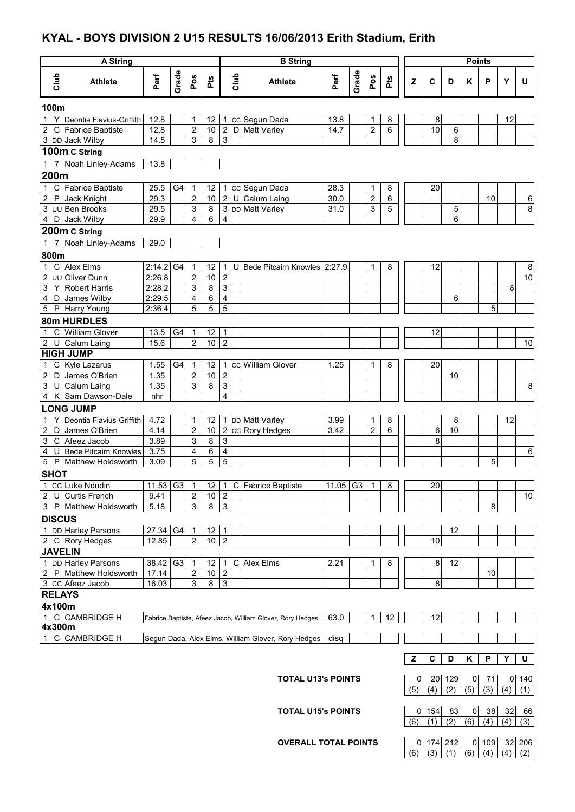### **KYAL - BOYS DIVISION 2 U15 RESULTS 16/06/2013 Erith Stadium, Erith**

| Grade<br>Grade<br>Club<br>Club<br>Perf<br>Perf<br>Pos<br>Pos<br>Pts<br>Pts<br>Z<br>$\mathbf c$<br><b>Athlete</b><br>D<br>Υ<br>U<br><b>Athlete</b><br>Κ<br>P<br>100m<br>Υ<br>Deontia Flavius-Griffith<br>cc Segun Dada<br>1<br>12.8<br>12<br>1<br>12<br>13.8<br>8<br>8<br>1<br>1<br>$\overline{2}$<br>$\overline{2}$<br>$\overline{c}$<br>10<br>12.8<br>$\overline{\mathbf{c}}$<br>$10$<br>6<br><b>Fabrice Baptiste</b><br>D Matt Varley<br>14.7<br>6<br>C<br>3 DD Jack Wilby<br>3<br>8<br>3<br>8<br>14.5<br>100m C String<br>1 7 Noah Linley-Adams<br>13.8<br>200m<br>$\mathsf C$<br>Fabrice Baptiste<br>1<br>25.5<br>G4<br>12<br>cc Segun Dada<br>28.3<br>1<br>8<br>20<br>1<br>1<br>$\overline{\mathbf{c}}$<br>$\overline{2}$<br>10<br>$\boldsymbol{2}$<br>U Calum Laing<br>$\mathsf{P}$<br>Jack Knight<br>29.3<br>30.0<br>$\overline{2}$<br>6<br>10<br>6<br>3<br>3 DD Matt Varley<br>8<br>29.5<br>3<br>8<br>UU Ben Brooks<br>31.0<br>3<br>5<br>5<br>4<br>4<br>D<br>Jack Wilby<br>29.9<br>4<br>6<br>6<br>200m C String<br>Noah Linley-Adams<br>1<br>$\overline{7}$<br>29.0<br>800m<br>$\mathbf{1}$<br>$\mathsf C$<br><b>Alex Elms</b><br>$2:14.2$ G4<br>U Bede Pitcairn Knowles 2:27.9<br>12<br>1<br>12<br>8<br>1<br>8<br>1<br>$\mathbf 2$<br>$\mathbf 2$<br>$\boldsymbol{2}$<br>10<br>UU Oliver Dunn<br>2:26.8<br>10<br>3<br>3<br><b>Robert Harris</b><br>3<br>8<br>2:28.2<br>8<br>Y<br>4<br>2:29.5<br>6<br>4<br>James Wilby<br>4<br>6<br>D<br>5<br>5<br>5<br>5<br>5<br><b>Harry Young</b><br>2:36.4<br>P<br>80m HURDLES<br>$\mathsf{C}$<br><b>William Glover</b><br>13.5<br>G4<br>12<br>$\mathbf{1}$<br>12<br>$\mathbf 1$<br>1<br>$\overline{2}$<br>$\overline{c}$<br>$\boldsymbol{2}$<br>15.6<br>10<br>10<br>U<br>Calum Laing<br><b>HIGH JUMP</b><br>$\overline{C}$ Kyle Lazarus<br>cc William Glover<br>$\mathbf{1}$<br>1.55<br>G4<br>$\mathbf{1}$<br>12<br>1.25<br>20<br>1<br>8<br>1<br>$\boldsymbol{2}$<br>James O'Brien<br>$\mathbf 2$<br>$\boldsymbol{2}$<br>1.35<br>10<br>D<br>10<br>3<br>8<br>3<br>3<br>U<br>Calum Laing<br>1.35<br>8<br>$\overline{4}$<br>4<br>Sam Dawson-Dale<br>K<br>nhr<br><b>LONG JUMP</b><br>Deontia Flavius-Griffith<br>4.72<br><b>DD</b> Matt Varley<br>8<br>12<br>1<br>12<br>3.99<br>8<br>1<br>1<br>1<br>2 cc Rory Hedges<br>$\boldsymbol{2}$<br>$\overline{\mathbf{c}}$<br>10<br>$\overline{2}$<br>10<br>D<br>4.14<br>3.42<br>6<br>6<br>James O'Brien<br>3<br>3.89<br>3<br>8<br>3<br>C Afeez Jacob<br>8<br>4<br>3.75<br><b>Bede Pitcairn Knowles</b><br>4<br>U<br>4<br>6<br>6<br>5<br>5<br>5<br>5<br>Matthew Holdsworth<br>5<br>P<br>3.09<br><b>SHOT</b><br>1 CC Luke Ndudin<br>11.53 G3<br>$\overline{1}$<br>12   1   C   Fabrice Baptiste<br>11.05 G3<br>8<br>20<br>1<br>2 U Curtis French<br>9.41<br>$\overline{2}$<br>10<br>$\overline{2}$<br>10<br>3 P Matthew Holdsworth<br>3<br>8<br>3<br>5.18<br>8<br><b>DISCUS</b><br>1 DD Harley Parsons<br>27.34 G4<br>12<br>$\mathbf{1}$<br>12<br>$\mathbf 1$<br>2 C Rory Hedges<br>$\overline{2}$<br>$\overline{c}$<br>10<br>12.85<br>10<br><b>JAVELIN</b><br>1 DD Harley Parsons<br>38.42 G3<br>1 C Alex Elms<br>12<br>2.21<br>8<br>8<br>1<br>12<br>1<br>2 P Matthew Holdsworth<br>2<br>$\sqrt{2}$<br>10<br>17.14<br>10<br>3 CC Afeez Jacob<br>$\ensuremath{\mathsf{3}}$<br>16.03<br>3<br>8<br>8<br><b>RELAYS</b><br>4x100m<br>1 C CAMBRIDGE H<br>12<br>12<br>63.0<br>1<br>Fabrice Baptiste, Afeez Jacob, William Glover, Rory Hedges<br>4x300m<br>1 C CAMBRIDGE H<br>Segun Dada, Alex Elms, William Glover, Rory Hedges<br>disq<br>Y<br>U<br>z<br>C<br>Κ<br>P<br>D<br><b>TOTAL U13's POINTS</b><br>20 129<br>0<br>71<br>$0$ 140<br>0<br>(2)<br>(5)<br>(3)<br>(5)<br>(4)<br>$\overline{(4)}$<br>(1)<br><b>TOTAL U15's POINTS</b><br>83<br>38<br>32<br>$0$ 154<br>0<br>66<br>(2)<br>(6)<br>(4)<br>(3)<br>(6)<br>(1)<br>(4) |  | <b>A String</b> |  |  |  | <b>B</b> String |  |  |  |  | <b>Points</b> |  |  |
|--------------------------------------------------------------------------------------------------------------------------------------------------------------------------------------------------------------------------------------------------------------------------------------------------------------------------------------------------------------------------------------------------------------------------------------------------------------------------------------------------------------------------------------------------------------------------------------------------------------------------------------------------------------------------------------------------------------------------------------------------------------------------------------------------------------------------------------------------------------------------------------------------------------------------------------------------------------------------------------------------------------------------------------------------------------------------------------------------------------------------------------------------------------------------------------------------------------------------------------------------------------------------------------------------------------------------------------------------------------------------------------------------------------------------------------------------------------------------------------------------------------------------------------------------------------------------------------------------------------------------------------------------------------------------------------------------------------------------------------------------------------------------------------------------------------------------------------------------------------------------------------------------------------------------------------------------------------------------------------------------------------------------------------------------------------------------------------------------------------------------------------------------------------------------------------------------------------------------------------------------------------------------------------------------------------------------------------------------------------------------------------------------------------------------------------------------------------------------------------------------------------------------------------------------------------------------------------------------------------------------------------------------------------------------------------------------------------------------------------------------------------------------------------------------------------------------------------------------------------------------------------------------------------------------------------------------------------------------------------------------------------------------------------------------------------------------------------------------------------------------------------------------------------------------------------------------------------------------------------------------------------------------------------------------------------------------------------------------------------------------------------------------------------------------------------------------------------------------------------------------------------------------------------------------------------------------------------------------------------------------------------------------------------------------------------------------------------------------------------------------------------------------------------------------------------|--|-----------------|--|--|--|-----------------|--|--|--|--|---------------|--|--|
|                                                                                                                                                                                                                                                                                                                                                                                                                                                                                                                                                                                                                                                                                                                                                                                                                                                                                                                                                                                                                                                                                                                                                                                                                                                                                                                                                                                                                                                                                                                                                                                                                                                                                                                                                                                                                                                                                                                                                                                                                                                                                                                                                                                                                                                                                                                                                                                                                                                                                                                                                                                                                                                                                                                                                                                                                                                                                                                                                                                                                                                                                                                                                                                                                                                                                                                                                                                                                                                                                                                                                                                                                                                                                                                                                                                                              |  |                 |  |  |  |                 |  |  |  |  |               |  |  |
|                                                                                                                                                                                                                                                                                                                                                                                                                                                                                                                                                                                                                                                                                                                                                                                                                                                                                                                                                                                                                                                                                                                                                                                                                                                                                                                                                                                                                                                                                                                                                                                                                                                                                                                                                                                                                                                                                                                                                                                                                                                                                                                                                                                                                                                                                                                                                                                                                                                                                                                                                                                                                                                                                                                                                                                                                                                                                                                                                                                                                                                                                                                                                                                                                                                                                                                                                                                                                                                                                                                                                                                                                                                                                                                                                                                                              |  |                 |  |  |  |                 |  |  |  |  |               |  |  |
|                                                                                                                                                                                                                                                                                                                                                                                                                                                                                                                                                                                                                                                                                                                                                                                                                                                                                                                                                                                                                                                                                                                                                                                                                                                                                                                                                                                                                                                                                                                                                                                                                                                                                                                                                                                                                                                                                                                                                                                                                                                                                                                                                                                                                                                                                                                                                                                                                                                                                                                                                                                                                                                                                                                                                                                                                                                                                                                                                                                                                                                                                                                                                                                                                                                                                                                                                                                                                                                                                                                                                                                                                                                                                                                                                                                                              |  |                 |  |  |  |                 |  |  |  |  |               |  |  |
|                                                                                                                                                                                                                                                                                                                                                                                                                                                                                                                                                                                                                                                                                                                                                                                                                                                                                                                                                                                                                                                                                                                                                                                                                                                                                                                                                                                                                                                                                                                                                                                                                                                                                                                                                                                                                                                                                                                                                                                                                                                                                                                                                                                                                                                                                                                                                                                                                                                                                                                                                                                                                                                                                                                                                                                                                                                                                                                                                                                                                                                                                                                                                                                                                                                                                                                                                                                                                                                                                                                                                                                                                                                                                                                                                                                                              |  |                 |  |  |  |                 |  |  |  |  |               |  |  |
|                                                                                                                                                                                                                                                                                                                                                                                                                                                                                                                                                                                                                                                                                                                                                                                                                                                                                                                                                                                                                                                                                                                                                                                                                                                                                                                                                                                                                                                                                                                                                                                                                                                                                                                                                                                                                                                                                                                                                                                                                                                                                                                                                                                                                                                                                                                                                                                                                                                                                                                                                                                                                                                                                                                                                                                                                                                                                                                                                                                                                                                                                                                                                                                                                                                                                                                                                                                                                                                                                                                                                                                                                                                                                                                                                                                                              |  |                 |  |  |  |                 |  |  |  |  |               |  |  |
|                                                                                                                                                                                                                                                                                                                                                                                                                                                                                                                                                                                                                                                                                                                                                                                                                                                                                                                                                                                                                                                                                                                                                                                                                                                                                                                                                                                                                                                                                                                                                                                                                                                                                                                                                                                                                                                                                                                                                                                                                                                                                                                                                                                                                                                                                                                                                                                                                                                                                                                                                                                                                                                                                                                                                                                                                                                                                                                                                                                                                                                                                                                                                                                                                                                                                                                                                                                                                                                                                                                                                                                                                                                                                                                                                                                                              |  |                 |  |  |  |                 |  |  |  |  |               |  |  |
|                                                                                                                                                                                                                                                                                                                                                                                                                                                                                                                                                                                                                                                                                                                                                                                                                                                                                                                                                                                                                                                                                                                                                                                                                                                                                                                                                                                                                                                                                                                                                                                                                                                                                                                                                                                                                                                                                                                                                                                                                                                                                                                                                                                                                                                                                                                                                                                                                                                                                                                                                                                                                                                                                                                                                                                                                                                                                                                                                                                                                                                                                                                                                                                                                                                                                                                                                                                                                                                                                                                                                                                                                                                                                                                                                                                                              |  |                 |  |  |  |                 |  |  |  |  |               |  |  |
|                                                                                                                                                                                                                                                                                                                                                                                                                                                                                                                                                                                                                                                                                                                                                                                                                                                                                                                                                                                                                                                                                                                                                                                                                                                                                                                                                                                                                                                                                                                                                                                                                                                                                                                                                                                                                                                                                                                                                                                                                                                                                                                                                                                                                                                                                                                                                                                                                                                                                                                                                                                                                                                                                                                                                                                                                                                                                                                                                                                                                                                                                                                                                                                                                                                                                                                                                                                                                                                                                                                                                                                                                                                                                                                                                                                                              |  |                 |  |  |  |                 |  |  |  |  |               |  |  |
|                                                                                                                                                                                                                                                                                                                                                                                                                                                                                                                                                                                                                                                                                                                                                                                                                                                                                                                                                                                                                                                                                                                                                                                                                                                                                                                                                                                                                                                                                                                                                                                                                                                                                                                                                                                                                                                                                                                                                                                                                                                                                                                                                                                                                                                                                                                                                                                                                                                                                                                                                                                                                                                                                                                                                                                                                                                                                                                                                                                                                                                                                                                                                                                                                                                                                                                                                                                                                                                                                                                                                                                                                                                                                                                                                                                                              |  |                 |  |  |  |                 |  |  |  |  |               |  |  |
|                                                                                                                                                                                                                                                                                                                                                                                                                                                                                                                                                                                                                                                                                                                                                                                                                                                                                                                                                                                                                                                                                                                                                                                                                                                                                                                                                                                                                                                                                                                                                                                                                                                                                                                                                                                                                                                                                                                                                                                                                                                                                                                                                                                                                                                                                                                                                                                                                                                                                                                                                                                                                                                                                                                                                                                                                                                                                                                                                                                                                                                                                                                                                                                                                                                                                                                                                                                                                                                                                                                                                                                                                                                                                                                                                                                                              |  |                 |  |  |  |                 |  |  |  |  |               |  |  |
|                                                                                                                                                                                                                                                                                                                                                                                                                                                                                                                                                                                                                                                                                                                                                                                                                                                                                                                                                                                                                                                                                                                                                                                                                                                                                                                                                                                                                                                                                                                                                                                                                                                                                                                                                                                                                                                                                                                                                                                                                                                                                                                                                                                                                                                                                                                                                                                                                                                                                                                                                                                                                                                                                                                                                                                                                                                                                                                                                                                                                                                                                                                                                                                                                                                                                                                                                                                                                                                                                                                                                                                                                                                                                                                                                                                                              |  |                 |  |  |  |                 |  |  |  |  |               |  |  |
|                                                                                                                                                                                                                                                                                                                                                                                                                                                                                                                                                                                                                                                                                                                                                                                                                                                                                                                                                                                                                                                                                                                                                                                                                                                                                                                                                                                                                                                                                                                                                                                                                                                                                                                                                                                                                                                                                                                                                                                                                                                                                                                                                                                                                                                                                                                                                                                                                                                                                                                                                                                                                                                                                                                                                                                                                                                                                                                                                                                                                                                                                                                                                                                                                                                                                                                                                                                                                                                                                                                                                                                                                                                                                                                                                                                                              |  |                 |  |  |  |                 |  |  |  |  |               |  |  |
|                                                                                                                                                                                                                                                                                                                                                                                                                                                                                                                                                                                                                                                                                                                                                                                                                                                                                                                                                                                                                                                                                                                                                                                                                                                                                                                                                                                                                                                                                                                                                                                                                                                                                                                                                                                                                                                                                                                                                                                                                                                                                                                                                                                                                                                                                                                                                                                                                                                                                                                                                                                                                                                                                                                                                                                                                                                                                                                                                                                                                                                                                                                                                                                                                                                                                                                                                                                                                                                                                                                                                                                                                                                                                                                                                                                                              |  |                 |  |  |  |                 |  |  |  |  |               |  |  |
|                                                                                                                                                                                                                                                                                                                                                                                                                                                                                                                                                                                                                                                                                                                                                                                                                                                                                                                                                                                                                                                                                                                                                                                                                                                                                                                                                                                                                                                                                                                                                                                                                                                                                                                                                                                                                                                                                                                                                                                                                                                                                                                                                                                                                                                                                                                                                                                                                                                                                                                                                                                                                                                                                                                                                                                                                                                                                                                                                                                                                                                                                                                                                                                                                                                                                                                                                                                                                                                                                                                                                                                                                                                                                                                                                                                                              |  |                 |  |  |  |                 |  |  |  |  |               |  |  |
|                                                                                                                                                                                                                                                                                                                                                                                                                                                                                                                                                                                                                                                                                                                                                                                                                                                                                                                                                                                                                                                                                                                                                                                                                                                                                                                                                                                                                                                                                                                                                                                                                                                                                                                                                                                                                                                                                                                                                                                                                                                                                                                                                                                                                                                                                                                                                                                                                                                                                                                                                                                                                                                                                                                                                                                                                                                                                                                                                                                                                                                                                                                                                                                                                                                                                                                                                                                                                                                                                                                                                                                                                                                                                                                                                                                                              |  |                 |  |  |  |                 |  |  |  |  |               |  |  |
|                                                                                                                                                                                                                                                                                                                                                                                                                                                                                                                                                                                                                                                                                                                                                                                                                                                                                                                                                                                                                                                                                                                                                                                                                                                                                                                                                                                                                                                                                                                                                                                                                                                                                                                                                                                                                                                                                                                                                                                                                                                                                                                                                                                                                                                                                                                                                                                                                                                                                                                                                                                                                                                                                                                                                                                                                                                                                                                                                                                                                                                                                                                                                                                                                                                                                                                                                                                                                                                                                                                                                                                                                                                                                                                                                                                                              |  |                 |  |  |  |                 |  |  |  |  |               |  |  |
|                                                                                                                                                                                                                                                                                                                                                                                                                                                                                                                                                                                                                                                                                                                                                                                                                                                                                                                                                                                                                                                                                                                                                                                                                                                                                                                                                                                                                                                                                                                                                                                                                                                                                                                                                                                                                                                                                                                                                                                                                                                                                                                                                                                                                                                                                                                                                                                                                                                                                                                                                                                                                                                                                                                                                                                                                                                                                                                                                                                                                                                                                                                                                                                                                                                                                                                                                                                                                                                                                                                                                                                                                                                                                                                                                                                                              |  |                 |  |  |  |                 |  |  |  |  |               |  |  |
|                                                                                                                                                                                                                                                                                                                                                                                                                                                                                                                                                                                                                                                                                                                                                                                                                                                                                                                                                                                                                                                                                                                                                                                                                                                                                                                                                                                                                                                                                                                                                                                                                                                                                                                                                                                                                                                                                                                                                                                                                                                                                                                                                                                                                                                                                                                                                                                                                                                                                                                                                                                                                                                                                                                                                                                                                                                                                                                                                                                                                                                                                                                                                                                                                                                                                                                                                                                                                                                                                                                                                                                                                                                                                                                                                                                                              |  |                 |  |  |  |                 |  |  |  |  |               |  |  |
|                                                                                                                                                                                                                                                                                                                                                                                                                                                                                                                                                                                                                                                                                                                                                                                                                                                                                                                                                                                                                                                                                                                                                                                                                                                                                                                                                                                                                                                                                                                                                                                                                                                                                                                                                                                                                                                                                                                                                                                                                                                                                                                                                                                                                                                                                                                                                                                                                                                                                                                                                                                                                                                                                                                                                                                                                                                                                                                                                                                                                                                                                                                                                                                                                                                                                                                                                                                                                                                                                                                                                                                                                                                                                                                                                                                                              |  |                 |  |  |  |                 |  |  |  |  |               |  |  |
|                                                                                                                                                                                                                                                                                                                                                                                                                                                                                                                                                                                                                                                                                                                                                                                                                                                                                                                                                                                                                                                                                                                                                                                                                                                                                                                                                                                                                                                                                                                                                                                                                                                                                                                                                                                                                                                                                                                                                                                                                                                                                                                                                                                                                                                                                                                                                                                                                                                                                                                                                                                                                                                                                                                                                                                                                                                                                                                                                                                                                                                                                                                                                                                                                                                                                                                                                                                                                                                                                                                                                                                                                                                                                                                                                                                                              |  |                 |  |  |  |                 |  |  |  |  |               |  |  |
|                                                                                                                                                                                                                                                                                                                                                                                                                                                                                                                                                                                                                                                                                                                                                                                                                                                                                                                                                                                                                                                                                                                                                                                                                                                                                                                                                                                                                                                                                                                                                                                                                                                                                                                                                                                                                                                                                                                                                                                                                                                                                                                                                                                                                                                                                                                                                                                                                                                                                                                                                                                                                                                                                                                                                                                                                                                                                                                                                                                                                                                                                                                                                                                                                                                                                                                                                                                                                                                                                                                                                                                                                                                                                                                                                                                                              |  |                 |  |  |  |                 |  |  |  |  |               |  |  |
|                                                                                                                                                                                                                                                                                                                                                                                                                                                                                                                                                                                                                                                                                                                                                                                                                                                                                                                                                                                                                                                                                                                                                                                                                                                                                                                                                                                                                                                                                                                                                                                                                                                                                                                                                                                                                                                                                                                                                                                                                                                                                                                                                                                                                                                                                                                                                                                                                                                                                                                                                                                                                                                                                                                                                                                                                                                                                                                                                                                                                                                                                                                                                                                                                                                                                                                                                                                                                                                                                                                                                                                                                                                                                                                                                                                                              |  |                 |  |  |  |                 |  |  |  |  |               |  |  |
|                                                                                                                                                                                                                                                                                                                                                                                                                                                                                                                                                                                                                                                                                                                                                                                                                                                                                                                                                                                                                                                                                                                                                                                                                                                                                                                                                                                                                                                                                                                                                                                                                                                                                                                                                                                                                                                                                                                                                                                                                                                                                                                                                                                                                                                                                                                                                                                                                                                                                                                                                                                                                                                                                                                                                                                                                                                                                                                                                                                                                                                                                                                                                                                                                                                                                                                                                                                                                                                                                                                                                                                                                                                                                                                                                                                                              |  |                 |  |  |  |                 |  |  |  |  |               |  |  |
|                                                                                                                                                                                                                                                                                                                                                                                                                                                                                                                                                                                                                                                                                                                                                                                                                                                                                                                                                                                                                                                                                                                                                                                                                                                                                                                                                                                                                                                                                                                                                                                                                                                                                                                                                                                                                                                                                                                                                                                                                                                                                                                                                                                                                                                                                                                                                                                                                                                                                                                                                                                                                                                                                                                                                                                                                                                                                                                                                                                                                                                                                                                                                                                                                                                                                                                                                                                                                                                                                                                                                                                                                                                                                                                                                                                                              |  |                 |  |  |  |                 |  |  |  |  |               |  |  |
|                                                                                                                                                                                                                                                                                                                                                                                                                                                                                                                                                                                                                                                                                                                                                                                                                                                                                                                                                                                                                                                                                                                                                                                                                                                                                                                                                                                                                                                                                                                                                                                                                                                                                                                                                                                                                                                                                                                                                                                                                                                                                                                                                                                                                                                                                                                                                                                                                                                                                                                                                                                                                                                                                                                                                                                                                                                                                                                                                                                                                                                                                                                                                                                                                                                                                                                                                                                                                                                                                                                                                                                                                                                                                                                                                                                                              |  |                 |  |  |  |                 |  |  |  |  |               |  |  |
|                                                                                                                                                                                                                                                                                                                                                                                                                                                                                                                                                                                                                                                                                                                                                                                                                                                                                                                                                                                                                                                                                                                                                                                                                                                                                                                                                                                                                                                                                                                                                                                                                                                                                                                                                                                                                                                                                                                                                                                                                                                                                                                                                                                                                                                                                                                                                                                                                                                                                                                                                                                                                                                                                                                                                                                                                                                                                                                                                                                                                                                                                                                                                                                                                                                                                                                                                                                                                                                                                                                                                                                                                                                                                                                                                                                                              |  |                 |  |  |  |                 |  |  |  |  |               |  |  |
|                                                                                                                                                                                                                                                                                                                                                                                                                                                                                                                                                                                                                                                                                                                                                                                                                                                                                                                                                                                                                                                                                                                                                                                                                                                                                                                                                                                                                                                                                                                                                                                                                                                                                                                                                                                                                                                                                                                                                                                                                                                                                                                                                                                                                                                                                                                                                                                                                                                                                                                                                                                                                                                                                                                                                                                                                                                                                                                                                                                                                                                                                                                                                                                                                                                                                                                                                                                                                                                                                                                                                                                                                                                                                                                                                                                                              |  |                 |  |  |  |                 |  |  |  |  |               |  |  |
|                                                                                                                                                                                                                                                                                                                                                                                                                                                                                                                                                                                                                                                                                                                                                                                                                                                                                                                                                                                                                                                                                                                                                                                                                                                                                                                                                                                                                                                                                                                                                                                                                                                                                                                                                                                                                                                                                                                                                                                                                                                                                                                                                                                                                                                                                                                                                                                                                                                                                                                                                                                                                                                                                                                                                                                                                                                                                                                                                                                                                                                                                                                                                                                                                                                                                                                                                                                                                                                                                                                                                                                                                                                                                                                                                                                                              |  |                 |  |  |  |                 |  |  |  |  |               |  |  |
|                                                                                                                                                                                                                                                                                                                                                                                                                                                                                                                                                                                                                                                                                                                                                                                                                                                                                                                                                                                                                                                                                                                                                                                                                                                                                                                                                                                                                                                                                                                                                                                                                                                                                                                                                                                                                                                                                                                                                                                                                                                                                                                                                                                                                                                                                                                                                                                                                                                                                                                                                                                                                                                                                                                                                                                                                                                                                                                                                                                                                                                                                                                                                                                                                                                                                                                                                                                                                                                                                                                                                                                                                                                                                                                                                                                                              |  |                 |  |  |  |                 |  |  |  |  |               |  |  |
|                                                                                                                                                                                                                                                                                                                                                                                                                                                                                                                                                                                                                                                                                                                                                                                                                                                                                                                                                                                                                                                                                                                                                                                                                                                                                                                                                                                                                                                                                                                                                                                                                                                                                                                                                                                                                                                                                                                                                                                                                                                                                                                                                                                                                                                                                                                                                                                                                                                                                                                                                                                                                                                                                                                                                                                                                                                                                                                                                                                                                                                                                                                                                                                                                                                                                                                                                                                                                                                                                                                                                                                                                                                                                                                                                                                                              |  |                 |  |  |  |                 |  |  |  |  |               |  |  |
|                                                                                                                                                                                                                                                                                                                                                                                                                                                                                                                                                                                                                                                                                                                                                                                                                                                                                                                                                                                                                                                                                                                                                                                                                                                                                                                                                                                                                                                                                                                                                                                                                                                                                                                                                                                                                                                                                                                                                                                                                                                                                                                                                                                                                                                                                                                                                                                                                                                                                                                                                                                                                                                                                                                                                                                                                                                                                                                                                                                                                                                                                                                                                                                                                                                                                                                                                                                                                                                                                                                                                                                                                                                                                                                                                                                                              |  |                 |  |  |  |                 |  |  |  |  |               |  |  |
|                                                                                                                                                                                                                                                                                                                                                                                                                                                                                                                                                                                                                                                                                                                                                                                                                                                                                                                                                                                                                                                                                                                                                                                                                                                                                                                                                                                                                                                                                                                                                                                                                                                                                                                                                                                                                                                                                                                                                                                                                                                                                                                                                                                                                                                                                                                                                                                                                                                                                                                                                                                                                                                                                                                                                                                                                                                                                                                                                                                                                                                                                                                                                                                                                                                                                                                                                                                                                                                                                                                                                                                                                                                                                                                                                                                                              |  |                 |  |  |  |                 |  |  |  |  |               |  |  |
|                                                                                                                                                                                                                                                                                                                                                                                                                                                                                                                                                                                                                                                                                                                                                                                                                                                                                                                                                                                                                                                                                                                                                                                                                                                                                                                                                                                                                                                                                                                                                                                                                                                                                                                                                                                                                                                                                                                                                                                                                                                                                                                                                                                                                                                                                                                                                                                                                                                                                                                                                                                                                                                                                                                                                                                                                                                                                                                                                                                                                                                                                                                                                                                                                                                                                                                                                                                                                                                                                                                                                                                                                                                                                                                                                                                                              |  |                 |  |  |  |                 |  |  |  |  |               |  |  |
|                                                                                                                                                                                                                                                                                                                                                                                                                                                                                                                                                                                                                                                                                                                                                                                                                                                                                                                                                                                                                                                                                                                                                                                                                                                                                                                                                                                                                                                                                                                                                                                                                                                                                                                                                                                                                                                                                                                                                                                                                                                                                                                                                                                                                                                                                                                                                                                                                                                                                                                                                                                                                                                                                                                                                                                                                                                                                                                                                                                                                                                                                                                                                                                                                                                                                                                                                                                                                                                                                                                                                                                                                                                                                                                                                                                                              |  |                 |  |  |  |                 |  |  |  |  |               |  |  |
|                                                                                                                                                                                                                                                                                                                                                                                                                                                                                                                                                                                                                                                                                                                                                                                                                                                                                                                                                                                                                                                                                                                                                                                                                                                                                                                                                                                                                                                                                                                                                                                                                                                                                                                                                                                                                                                                                                                                                                                                                                                                                                                                                                                                                                                                                                                                                                                                                                                                                                                                                                                                                                                                                                                                                                                                                                                                                                                                                                                                                                                                                                                                                                                                                                                                                                                                                                                                                                                                                                                                                                                                                                                                                                                                                                                                              |  |                 |  |  |  |                 |  |  |  |  |               |  |  |
|                                                                                                                                                                                                                                                                                                                                                                                                                                                                                                                                                                                                                                                                                                                                                                                                                                                                                                                                                                                                                                                                                                                                                                                                                                                                                                                                                                                                                                                                                                                                                                                                                                                                                                                                                                                                                                                                                                                                                                                                                                                                                                                                                                                                                                                                                                                                                                                                                                                                                                                                                                                                                                                                                                                                                                                                                                                                                                                                                                                                                                                                                                                                                                                                                                                                                                                                                                                                                                                                                                                                                                                                                                                                                                                                                                                                              |  |                 |  |  |  |                 |  |  |  |  |               |  |  |
|                                                                                                                                                                                                                                                                                                                                                                                                                                                                                                                                                                                                                                                                                                                                                                                                                                                                                                                                                                                                                                                                                                                                                                                                                                                                                                                                                                                                                                                                                                                                                                                                                                                                                                                                                                                                                                                                                                                                                                                                                                                                                                                                                                                                                                                                                                                                                                                                                                                                                                                                                                                                                                                                                                                                                                                                                                                                                                                                                                                                                                                                                                                                                                                                                                                                                                                                                                                                                                                                                                                                                                                                                                                                                                                                                                                                              |  |                 |  |  |  |                 |  |  |  |  |               |  |  |
|                                                                                                                                                                                                                                                                                                                                                                                                                                                                                                                                                                                                                                                                                                                                                                                                                                                                                                                                                                                                                                                                                                                                                                                                                                                                                                                                                                                                                                                                                                                                                                                                                                                                                                                                                                                                                                                                                                                                                                                                                                                                                                                                                                                                                                                                                                                                                                                                                                                                                                                                                                                                                                                                                                                                                                                                                                                                                                                                                                                                                                                                                                                                                                                                                                                                                                                                                                                                                                                                                                                                                                                                                                                                                                                                                                                                              |  |                 |  |  |  |                 |  |  |  |  |               |  |  |
|                                                                                                                                                                                                                                                                                                                                                                                                                                                                                                                                                                                                                                                                                                                                                                                                                                                                                                                                                                                                                                                                                                                                                                                                                                                                                                                                                                                                                                                                                                                                                                                                                                                                                                                                                                                                                                                                                                                                                                                                                                                                                                                                                                                                                                                                                                                                                                                                                                                                                                                                                                                                                                                                                                                                                                                                                                                                                                                                                                                                                                                                                                                                                                                                                                                                                                                                                                                                                                                                                                                                                                                                                                                                                                                                                                                                              |  |                 |  |  |  |                 |  |  |  |  |               |  |  |
|                                                                                                                                                                                                                                                                                                                                                                                                                                                                                                                                                                                                                                                                                                                                                                                                                                                                                                                                                                                                                                                                                                                                                                                                                                                                                                                                                                                                                                                                                                                                                                                                                                                                                                                                                                                                                                                                                                                                                                                                                                                                                                                                                                                                                                                                                                                                                                                                                                                                                                                                                                                                                                                                                                                                                                                                                                                                                                                                                                                                                                                                                                                                                                                                                                                                                                                                                                                                                                                                                                                                                                                                                                                                                                                                                                                                              |  |                 |  |  |  |                 |  |  |  |  |               |  |  |
|                                                                                                                                                                                                                                                                                                                                                                                                                                                                                                                                                                                                                                                                                                                                                                                                                                                                                                                                                                                                                                                                                                                                                                                                                                                                                                                                                                                                                                                                                                                                                                                                                                                                                                                                                                                                                                                                                                                                                                                                                                                                                                                                                                                                                                                                                                                                                                                                                                                                                                                                                                                                                                                                                                                                                                                                                                                                                                                                                                                                                                                                                                                                                                                                                                                                                                                                                                                                                                                                                                                                                                                                                                                                                                                                                                                                              |  |                 |  |  |  |                 |  |  |  |  |               |  |  |
|                                                                                                                                                                                                                                                                                                                                                                                                                                                                                                                                                                                                                                                                                                                                                                                                                                                                                                                                                                                                                                                                                                                                                                                                                                                                                                                                                                                                                                                                                                                                                                                                                                                                                                                                                                                                                                                                                                                                                                                                                                                                                                                                                                                                                                                                                                                                                                                                                                                                                                                                                                                                                                                                                                                                                                                                                                                                                                                                                                                                                                                                                                                                                                                                                                                                                                                                                                                                                                                                                                                                                                                                                                                                                                                                                                                                              |  |                 |  |  |  |                 |  |  |  |  |               |  |  |
|                                                                                                                                                                                                                                                                                                                                                                                                                                                                                                                                                                                                                                                                                                                                                                                                                                                                                                                                                                                                                                                                                                                                                                                                                                                                                                                                                                                                                                                                                                                                                                                                                                                                                                                                                                                                                                                                                                                                                                                                                                                                                                                                                                                                                                                                                                                                                                                                                                                                                                                                                                                                                                                                                                                                                                                                                                                                                                                                                                                                                                                                                                                                                                                                                                                                                                                                                                                                                                                                                                                                                                                                                                                                                                                                                                                                              |  |                 |  |  |  |                 |  |  |  |  |               |  |  |
|                                                                                                                                                                                                                                                                                                                                                                                                                                                                                                                                                                                                                                                                                                                                                                                                                                                                                                                                                                                                                                                                                                                                                                                                                                                                                                                                                                                                                                                                                                                                                                                                                                                                                                                                                                                                                                                                                                                                                                                                                                                                                                                                                                                                                                                                                                                                                                                                                                                                                                                                                                                                                                                                                                                                                                                                                                                                                                                                                                                                                                                                                                                                                                                                                                                                                                                                                                                                                                                                                                                                                                                                                                                                                                                                                                                                              |  |                 |  |  |  |                 |  |  |  |  |               |  |  |
|                                                                                                                                                                                                                                                                                                                                                                                                                                                                                                                                                                                                                                                                                                                                                                                                                                                                                                                                                                                                                                                                                                                                                                                                                                                                                                                                                                                                                                                                                                                                                                                                                                                                                                                                                                                                                                                                                                                                                                                                                                                                                                                                                                                                                                                                                                                                                                                                                                                                                                                                                                                                                                                                                                                                                                                                                                                                                                                                                                                                                                                                                                                                                                                                                                                                                                                                                                                                                                                                                                                                                                                                                                                                                                                                                                                                              |  |                 |  |  |  |                 |  |  |  |  |               |  |  |
|                                                                                                                                                                                                                                                                                                                                                                                                                                                                                                                                                                                                                                                                                                                                                                                                                                                                                                                                                                                                                                                                                                                                                                                                                                                                                                                                                                                                                                                                                                                                                                                                                                                                                                                                                                                                                                                                                                                                                                                                                                                                                                                                                                                                                                                                                                                                                                                                                                                                                                                                                                                                                                                                                                                                                                                                                                                                                                                                                                                                                                                                                                                                                                                                                                                                                                                                                                                                                                                                                                                                                                                                                                                                                                                                                                                                              |  |                 |  |  |  |                 |  |  |  |  |               |  |  |
|                                                                                                                                                                                                                                                                                                                                                                                                                                                                                                                                                                                                                                                                                                                                                                                                                                                                                                                                                                                                                                                                                                                                                                                                                                                                                                                                                                                                                                                                                                                                                                                                                                                                                                                                                                                                                                                                                                                                                                                                                                                                                                                                                                                                                                                                                                                                                                                                                                                                                                                                                                                                                                                                                                                                                                                                                                                                                                                                                                                                                                                                                                                                                                                                                                                                                                                                                                                                                                                                                                                                                                                                                                                                                                                                                                                                              |  |                 |  |  |  |                 |  |  |  |  |               |  |  |
|                                                                                                                                                                                                                                                                                                                                                                                                                                                                                                                                                                                                                                                                                                                                                                                                                                                                                                                                                                                                                                                                                                                                                                                                                                                                                                                                                                                                                                                                                                                                                                                                                                                                                                                                                                                                                                                                                                                                                                                                                                                                                                                                                                                                                                                                                                                                                                                                                                                                                                                                                                                                                                                                                                                                                                                                                                                                                                                                                                                                                                                                                                                                                                                                                                                                                                                                                                                                                                                                                                                                                                                                                                                                                                                                                                                                              |  |                 |  |  |  |                 |  |  |  |  |               |  |  |
|                                                                                                                                                                                                                                                                                                                                                                                                                                                                                                                                                                                                                                                                                                                                                                                                                                                                                                                                                                                                                                                                                                                                                                                                                                                                                                                                                                                                                                                                                                                                                                                                                                                                                                                                                                                                                                                                                                                                                                                                                                                                                                                                                                                                                                                                                                                                                                                                                                                                                                                                                                                                                                                                                                                                                                                                                                                                                                                                                                                                                                                                                                                                                                                                                                                                                                                                                                                                                                                                                                                                                                                                                                                                                                                                                                                                              |  |                 |  |  |  |                 |  |  |  |  |               |  |  |
|                                                                                                                                                                                                                                                                                                                                                                                                                                                                                                                                                                                                                                                                                                                                                                                                                                                                                                                                                                                                                                                                                                                                                                                                                                                                                                                                                                                                                                                                                                                                                                                                                                                                                                                                                                                                                                                                                                                                                                                                                                                                                                                                                                                                                                                                                                                                                                                                                                                                                                                                                                                                                                                                                                                                                                                                                                                                                                                                                                                                                                                                                                                                                                                                                                                                                                                                                                                                                                                                                                                                                                                                                                                                                                                                                                                                              |  |                 |  |  |  |                 |  |  |  |  |               |  |  |
|                                                                                                                                                                                                                                                                                                                                                                                                                                                                                                                                                                                                                                                                                                                                                                                                                                                                                                                                                                                                                                                                                                                                                                                                                                                                                                                                                                                                                                                                                                                                                                                                                                                                                                                                                                                                                                                                                                                                                                                                                                                                                                                                                                                                                                                                                                                                                                                                                                                                                                                                                                                                                                                                                                                                                                                                                                                                                                                                                                                                                                                                                                                                                                                                                                                                                                                                                                                                                                                                                                                                                                                                                                                                                                                                                                                                              |  |                 |  |  |  |                 |  |  |  |  |               |  |  |
|                                                                                                                                                                                                                                                                                                                                                                                                                                                                                                                                                                                                                                                                                                                                                                                                                                                                                                                                                                                                                                                                                                                                                                                                                                                                                                                                                                                                                                                                                                                                                                                                                                                                                                                                                                                                                                                                                                                                                                                                                                                                                                                                                                                                                                                                                                                                                                                                                                                                                                                                                                                                                                                                                                                                                                                                                                                                                                                                                                                                                                                                                                                                                                                                                                                                                                                                                                                                                                                                                                                                                                                                                                                                                                                                                                                                              |  |                 |  |  |  |                 |  |  |  |  |               |  |  |
|                                                                                                                                                                                                                                                                                                                                                                                                                                                                                                                                                                                                                                                                                                                                                                                                                                                                                                                                                                                                                                                                                                                                                                                                                                                                                                                                                                                                                                                                                                                                                                                                                                                                                                                                                                                                                                                                                                                                                                                                                                                                                                                                                                                                                                                                                                                                                                                                                                                                                                                                                                                                                                                                                                                                                                                                                                                                                                                                                                                                                                                                                                                                                                                                                                                                                                                                                                                                                                                                                                                                                                                                                                                                                                                                                                                                              |  |                 |  |  |  |                 |  |  |  |  |               |  |  |
| 0 174 212<br><b>OVERALL TOTAL POINTS</b><br>$0$ 109<br>32<br>206<br>(3)<br>(6)<br>(1)<br>(6)<br>(4)<br>(4)<br>(2)                                                                                                                                                                                                                                                                                                                                                                                                                                                                                                                                                                                                                                                                                                                                                                                                                                                                                                                                                                                                                                                                                                                                                                                                                                                                                                                                                                                                                                                                                                                                                                                                                                                                                                                                                                                                                                                                                                                                                                                                                                                                                                                                                                                                                                                                                                                                                                                                                                                                                                                                                                                                                                                                                                                                                                                                                                                                                                                                                                                                                                                                                                                                                                                                                                                                                                                                                                                                                                                                                                                                                                                                                                                                                            |  |                 |  |  |  |                 |  |  |  |  |               |  |  |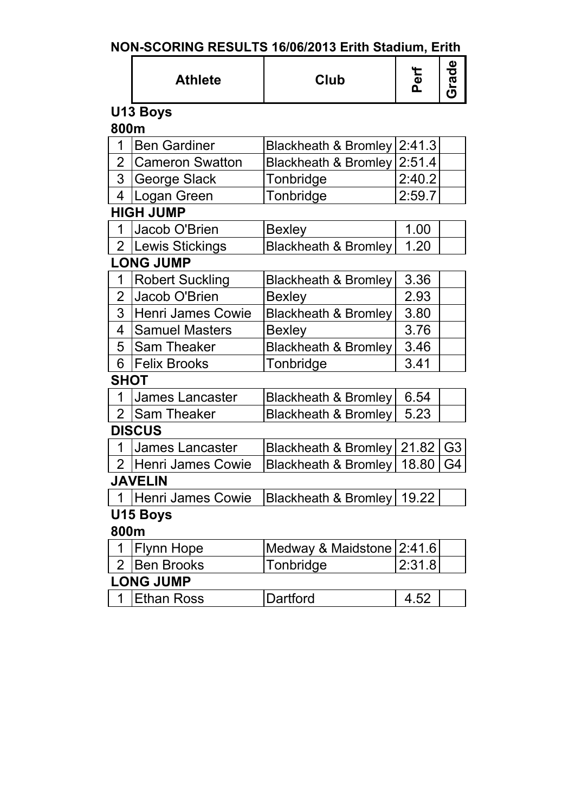| NON-SCORING RESULTS 16/06/2013 Erith Stadium, Erith |  |  |
|-----------------------------------------------------|--|--|
|-----------------------------------------------------|--|--|

|                | <b>Athlete</b>         | <b>Club</b>                     | Perf   | Grade          |
|----------------|------------------------|---------------------------------|--------|----------------|
|                | U13 Boys               |                                 |        |                |
| 800m           |                        |                                 |        |                |
| 1              | <b>Ben Gardiner</b>    | <b>Blackheath &amp; Bromley</b> | 2:41.3 |                |
| 2              | <b>Cameron Swatton</b> | Blackheath & Bromley            | 2:51.4 |                |
| 3 <sup>1</sup> | George Slack           | Tonbridge                       | 2:40.2 |                |
| 4              | Logan Green            | Tonbridge                       | 2:59.7 |                |
|                | <b>HIGH JUMP</b>       |                                 |        |                |
| 1              | Jacob O'Brien          | <b>Bexley</b>                   | 1.00   |                |
|                | 2 Lewis Stickings      | <b>Blackheath &amp; Bromley</b> | 1.20   |                |
|                | <b>LONG JUMP</b>       |                                 |        |                |
| 1              | <b>Robert Suckling</b> | <b>Blackheath &amp; Bromley</b> | 3.36   |                |
| $\overline{2}$ | Jacob O'Brien          | <b>Bexley</b>                   | 2.93   |                |
| 3              | Henri James Cowie      | <b>Blackheath &amp; Bromley</b> | 3.80   |                |
| 4              | <b>Samuel Masters</b>  | <b>Bexley</b>                   | 3.76   |                |
| 5              | <b>Sam Theaker</b>     | Blackheath & Bromley            | 3.46   |                |
| 6              | <b>Felix Brooks</b>    | Tonbridge                       | 3.41   |                |
| SHOT           |                        |                                 |        |                |
| 1              | <b>James Lancaster</b> | <b>Blackheath &amp; Bromley</b> | 6.54   |                |
| 2              | Sam Theaker            | <b>Blackheath &amp; Bromley</b> | 5.23   |                |
|                | <b>DISCUS</b>          |                                 |        |                |
| 1              | <b>James Lancaster</b> | Blackheath & Bromley            | 21.82  | G <sub>3</sub> |
| 2 <sup>1</sup> | Henri James Cowie      | Blackheath & Bromley            | 18.80  | G4             |
|                | IAVFI IN               |                                 |        |                |
|                | Henri James Cowie      | Blackheath & Bromley   19.22    |        |                |
|                | U15 Boys               |                                 |        |                |
| 800m           |                        |                                 |        |                |
|                | <b>Flynn Hope</b>      | Medway & Maidstone              | 2:41.6 |                |
| $\overline{2}$ | <b>Ben Brooks</b>      | Tonbridge                       | 2:31.8 |                |
|                | <b>LONG JUMP</b>       |                                 |        |                |
| 1              | <b>Ethan Ross</b>      | Dartford                        | 4.52   |                |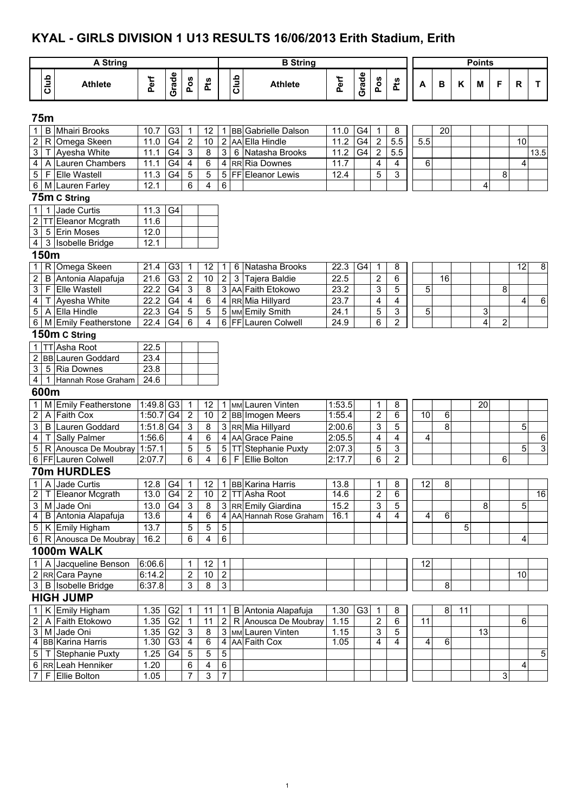# **KYAL - GIRLS DIVISION 1 U13 RESULTS 16/06/2013 Erith Stadium, Erith**

|                           |              | <b>A String</b>          |             |                |                         |         |                |      | <b>B</b> String                             |        |                |                         |                         |                 |                |    | <b>Points</b> |                |    |                         |
|---------------------------|--------------|--------------------------|-------------|----------------|-------------------------|---------|----------------|------|---------------------------------------------|--------|----------------|-------------------------|-------------------------|-----------------|----------------|----|---------------|----------------|----|-------------------------|
|                           | Club         | <b>Athlete</b>           | Perf        | Grade          | Pos                     | Pts     |                | Club | <b>Athlete</b>                              | Perf   | Grade          | Pos                     | Pts                     | A               | В              | Κ  | M             | F              | R  | T.                      |
|                           | 75m          |                          |             |                |                         |         |                |      |                                             |        |                |                         |                         |                 |                |    |               |                |    |                         |
| 1                         | B            | <b>Mhairi Brooks</b>     | 10.7        | G <sub>3</sub> | 1                       | 12      |                |      | 1 BB Gabrielle Dalson                       | 11.0   | G4             | 1                       | 8                       |                 | 20             |    |               |                |    |                         |
| $\overline{\mathbf{c}}$   | ${\sf R}$    | Omega Skeen              | 11.0        | G <sub>4</sub> | $\boldsymbol{2}$        | 10      |                |      | 2 AA Ella Hindle                            | 11.2   | G4             | $\overline{2}$          | 5.5                     | 5.5             |                |    |               |                | 10 |                         |
| $\overline{3}$            | т            | Ayesha White             | 11.1        | G4             | 3                       | 8       | 3 <sup>1</sup> |      | 6 Natasha Brooks                            | 11.2   | G4             | $\overline{\mathbf{c}}$ | 5.5                     |                 |                |    |               |                |    | 13.5                    |
| 4                         | A            | Lauren Chambers          | 11.1        | G4             | 4                       | 6       |                |      | 4 RR Ria Downes                             | 11.7   |                | 4                       | 4                       | 6               |                |    |               |                | 4  |                         |
| 5                         | F            | <b>Elle Wastell</b>      | 11.3        | G4             | 5                       | 5       |                |      | 5 FF Eleanor Lewis                          | 12.4   |                | 5                       | 3                       |                 |                |    |               | 8              |    |                         |
| $\,6\,$                   |              | M Lauren Farley          | 12.1        |                | 6                       | 4       | 6              |      |                                             |        |                |                         |                         |                 |                |    | 4             |                |    |                         |
|                           |              | 75m C String             |             |                |                         |         |                |      |                                             |        |                |                         |                         |                 |                |    |               |                |    |                         |
| $\mathbf{1}$              |              | Jade Curtis              | 11.3        | G <sub>4</sub> |                         |         |                |      |                                             |        |                |                         |                         |                 |                |    |               |                |    |                         |
| 2                         | TТ           | Eleanor Mcgrath          | 11.6        |                |                         |         |                |      |                                             |        |                |                         |                         |                 |                |    |               |                |    |                         |
| $\ensuremath{\mathsf{3}}$ | 5            | <b>Erin Moses</b>        | 12.0        |                |                         |         |                |      |                                             |        |                |                         |                         |                 |                |    |               |                |    |                         |
| $\overline{\mathbf{4}}$   |              | 3 Isobelle Bridge        | 12.1        |                |                         |         |                |      |                                             |        |                |                         |                         |                 |                |    |               |                |    |                         |
|                           | 150m         |                          |             |                |                         |         |                |      |                                             |        |                |                         |                         |                 |                |    |               |                |    |                         |
| $\mathbf{1}$              | R            | Omega Skeen              | 21.4        | G3             | 1                       | 12      | 1.             | 6    | Natasha Brooks                              | 22.3   | G4             | 1                       | 8                       |                 |                |    |               |                | 12 | $\overline{\mathbf{8}}$ |
| 2                         | B            | Antonia Alapafuja        | 21.6        | G <sub>3</sub> | $\overline{\mathbf{c}}$ | 10      | $\overline{c}$ | 3    | Tajera Baldie                               | 22.5   |                | $\mathbf 2$             | 6                       |                 | 16             |    |               |                |    |                         |
| 3                         | $\mathsf{F}$ | <b>Elle Wastell</b>      | 22.2        | G4             | 3                       | $\bf 8$ |                |      | 3 AA Faith Etokowo                          | 23.2   |                | 3                       | 5                       | 5               |                |    |               | 8              |    |                         |
| 4                         |              | Ayesha White             | 22.2        | G4             | $\overline{\mathbf{4}}$ | 6       |                |      | 4 RR Mia Hillyard                           | 23.7   |                | 4                       | $\overline{\mathbf{4}}$ |                 |                |    |               |                | 4  | $\,6\,$                 |
| 5                         | A            | Ella Hindle              | 22.3        | G4             | $\mathbf 5$             | 5       |                |      | 5 MM Emily Smith                            | 24.1   |                | 5                       | 3                       | 5               |                |    | 3             |                |    |                         |
| 6                         |              | M Emily Featherstone     | 22.4        | G <sub>4</sub> | 6                       | 4       |                |      | 6 FF Lauren Colwell                         | 24.9   |                | 6                       | $\overline{2}$          |                 |                |    | 4             | $\overline{2}$ |    |                         |
|                           |              | 150m C String            |             |                |                         |         |                |      |                                             |        |                |                         |                         |                 |                |    |               |                |    |                         |
|                           | $1$ TT       | Asha Root                | 22.5        |                |                         |         |                |      |                                             |        |                |                         |                         |                 |                |    |               |                |    |                         |
| $\overline{c}$            |              | <b>BB</b> Lauren Goddard | 23.4        |                |                         |         |                |      |                                             |        |                |                         |                         |                 |                |    |               |                |    |                         |
| 3                         | 5            | <b>Ria Downes</b>        | 23.8        |                |                         |         |                |      |                                             |        |                |                         |                         |                 |                |    |               |                |    |                         |
| $\overline{\mathbf{4}}$   | 1            | Hannah Rose Graham       | 24.6        |                |                         |         |                |      |                                             |        |                |                         |                         |                 |                |    |               |                |    |                         |
|                           | 600m         |                          |             |                |                         |         |                |      |                                             |        |                |                         |                         |                 |                |    |               |                |    |                         |
| $\mathbf{1}$              |              | M Emily Featherstone     | 1:49.8 G3   |                | 1                       | 12      |                |      | 1 MM Lauren Vinten                          | 1:53.5 |                | 1                       | 8                       |                 |                |    | 20            |                |    |                         |
| $\overline{2}$            | A            | <b>Faith Cox</b>         | 1:50.7      | G <sub>4</sub> | $\overline{2}$          | 10      |                |      | 2 BB Imogen Meers                           | 1:55.4 |                | 2                       | $\overline{6}$          | 10              | 6              |    |               |                |    |                         |
| 3                         | B            | Lauren Goddard           | $1:51.8$ G4 |                | 3                       | 8       |                |      | 3 RR Mia Hillyard                           | 2:00.6 |                | 3                       | 5                       |                 | 8              |    |               |                | 5  |                         |
| $\overline{\mathbf{4}}$   | T            | Sally Palmer             | 1:56.6      |                | 4                       | 6       |                |      | 4 AA Grace Paine                            | 2:05.5 |                | 4                       | $\overline{\mathbf{4}}$ | 4               |                |    |               |                |    | $\,6\,$                 |
| $\sqrt{5}$                |              | R Anousca De Moubray     | 1:57.1      |                | 5                       | 5       |                |      | 5 TT Stephanie Puxty                        | 2:07.3 |                | 5                       | 3                       |                 |                |    |               |                | 5  | $\overline{3}$          |
|                           |              | 6   FF   Lauren Colwell  | 2:07.7      |                | 6                       | 4       | 6              | F    | Ellie Bolton                                | 2:17.7 |                | 6                       | $\overline{2}$          |                 |                |    |               | 6              |    |                         |
|                           |              | 70m HURDLES              |             |                |                         |         |                |      |                                             |        |                |                         |                         |                 |                |    |               |                |    |                         |
|                           |              | 1 A Jade Curtis          |             |                |                         |         |                |      | 12.8   G4   1   12   1   BB   Karina Harris | 13.8   |                | $\mathbf 1$             | 8                       | $\overline{12}$ | $\overline{8}$ |    |               |                |    |                         |
|                           |              | 2 T Eleanor Mcgrath      | 13.0        | G4             | $\overline{2}$          | 10      |                |      | 2 TT Asha Root                              | 14.6   |                | 2                       | 6                       |                 |                |    |               |                |    | 16                      |
|                           |              | 3 M Jade Oni             | 13.0        | G4             | $\mathbf{3}$            | 8       |                |      | 3 RR Emily Giardina                         | 15.2   |                | 3                       | 5                       |                 |                |    | 8             |                | 5  |                         |
| $\overline{4}$            |              | B Antonia Alapafuja      | 13.6        |                | 4                       | 6       |                |      | 4 AA Hannah Rose Graham                     | 16.1   |                | 4                       | $\overline{4}$          | 4               | 6              |    |               |                |    |                         |
|                           |              | 5 K Emily Higham         | 13.7        |                | 5                       | 5       | 5              |      |                                             |        |                |                         |                         |                 |                | 5  |               |                |    |                         |
|                           |              | 6   R Anousca De Moubray | 16.2        |                | 6                       | 4       | 6              |      |                                             |        |                |                         |                         |                 |                |    |               |                | 4  |                         |
|                           |              | 1000m WALK               |             |                |                         |         |                |      |                                             |        |                |                         |                         |                 |                |    |               |                |    |                         |
| 1 <sup>1</sup>            |              | A Jacqueline Benson      | 6:06.6      |                |                         | 12      | 1.             |      |                                             |        |                |                         |                         | 12              |                |    |               |                |    |                         |
|                           |              | 2 RR Cara Payne          | 6:14.2      |                | 2                       | 10      | $\overline{c}$ |      |                                             |        |                |                         |                         |                 |                |    |               |                | 10 |                         |
|                           |              | 3 B Isobelle Bridge      | 6:37.8      |                | 3                       | 8       | $\mathfrak{S}$ |      |                                             |        |                |                         |                         |                 | 8              |    |               |                |    |                         |
|                           |              | <b>HIGH JUMP</b>         |             |                |                         |         |                |      |                                             |        |                |                         |                         |                 |                |    |               |                |    |                         |
| $\mathbf{1}$              |              | K Emily Higham           | 1.35        | G <sub>2</sub> | 1                       | 11      | 1              |      | B Antonia Alapafuja                         | 1.30   | G <sub>3</sub> | $\mathbf 1$             | 8                       |                 | 8              | 11 |               |                |    |                         |
| 2                         |              | A Faith Etokowo          | 1.35        | G <sub>2</sub> | 1                       | 11      | 2              |      | R Anousca De Moubray                        | 1.15   |                | 2                       | 6                       | 11              |                |    |               |                | 6  |                         |
| $\mathbf{3}$              |              | M Jade Oni               | 1.35        | G <sub>2</sub> | 3                       | 8       |                |      | 3 MM Lauren Vinten                          | 1.15   |                | 3                       | 5                       |                 |                |    | 13            |                |    |                         |
|                           |              | 4 BB Karina Harris       | 1.30        | G <sub>3</sub> | 4                       | 6       |                |      | 4 AA Faith Cox                              | 1.05   |                | 4                       | 4                       | 4               | 6              |    |               |                |    |                         |
| $\,$ 5 $\,$               |              | T Stephanie Puxty        | 1.25        | G <sub>4</sub> | 5                       | 5       | $\sqrt{5}$     |      |                                             |        |                |                         |                         |                 |                |    |               |                |    | 5                       |
|                           |              | 6 RR Leah Henniker       | 1.20        |                | 6                       | 4       | $\,6\,$        |      |                                             |        |                |                         |                         |                 |                |    |               |                | 4  |                         |
| 7                         |              | F Ellie Bolton           | 1.05        |                | $\overline{7}$          | 3       | $\overline{7}$ |      |                                             |        |                |                         |                         |                 |                |    |               | 3              |    |                         |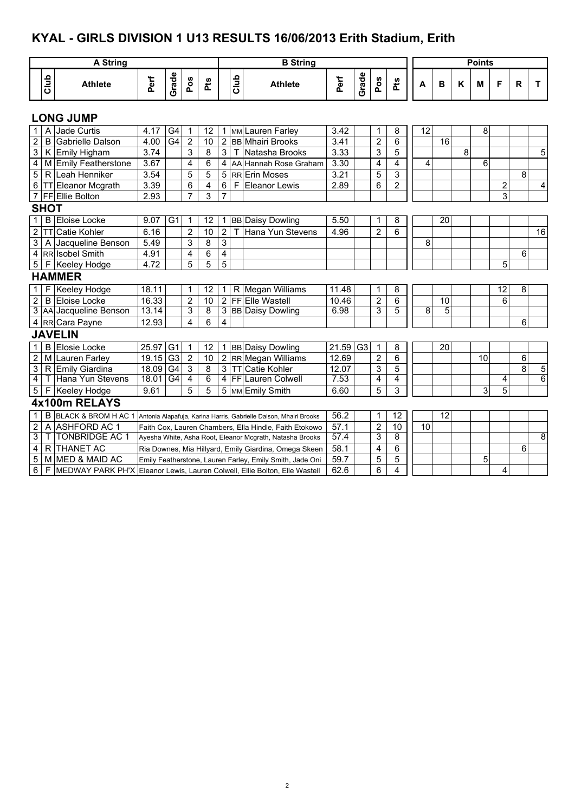# **KYAL - GIRLS DIVISION 1 U13 RESULTS 16/06/2013 Erith Stadium, Erith**

|                  |              | <b>A String</b>                                                              |       |                 |                         |                 |                |           | <b>B</b> String                                                   |       |       |                |                |    |    |   | <b>Points</b> |                |                |    |
|------------------|--------------|------------------------------------------------------------------------------|-------|-----------------|-------------------------|-----------------|----------------|-----------|-------------------------------------------------------------------|-------|-------|----------------|----------------|----|----|---|---------------|----------------|----------------|----|
|                  |              |                                                                              |       |                 |                         |                 |                |           |                                                                   |       |       |                |                |    |    |   |               |                |                |    |
|                  | Club         | <b>Athlete</b>                                                               | Perf  | Grade           | Pos                     | å               |                | Club      | <b>Athlete</b>                                                    | Perf  | Grade | Pos            | å              | A  | B  | Κ | M             | F              | R              | T  |
|                  |              | <b>LONG JUMP</b>                                                             |       |                 |                         |                 |                |           |                                                                   |       |       |                |                |    |    |   |               |                |                |    |
| $\mathbf{1}$     |              | A Jade Curtis                                                                | 4.17  | G4              | $\mathbf 1$             | 12              | 1              |           | MM Lauren Farley                                                  | 3.42  |       | 1              | 8              | 12 |    |   | 8             |                |                |    |
| $\boldsymbol{2}$ | B            | Gabrielle Dalson                                                             | 4.00  | G4              | $\overline{2}$          | $\overline{10}$ | $\overline{2}$ |           | <b>BB</b> Mhairi Brooks                                           | 3.41  |       | $\overline{2}$ | 6              |    | 16 |   |               |                |                |    |
| $\overline{3}$   |              | K Emily Higham                                                               | 3.74  |                 | 3                       | 8               | 3              | Т         | Natasha Brooks                                                    | 3.33  |       | 3              | 5              |    |    | 8 |               |                |                | 5  |
| 4                |              | M Emily Featherstone                                                         | 3.67  |                 | $\overline{\mathbf{4}}$ | 6               | 4              |           | AA Hannah Rose Graham                                             | 3.30  |       | 4              | 4              | 4  |    |   | 6             |                |                |    |
| $\overline{5}$   |              | R Leah Henniker                                                              | 3.54  |                 | $\overline{5}$          | 5               | 5              |           | <b>RR</b> Erin Moses                                              | 3.21  |       | 5              | 3              |    |    |   |               |                | 8              |    |
| $\sigma$         |              | <b>TT Eleanor Mcgrath</b>                                                    | 3.39  |                 | 6                       | 4               | 6              |           | F Eleanor Lewis                                                   | 2.89  |       | 6              | $\overline{2}$ |    |    |   |               | $\overline{2}$ |                | 4  |
|                  |              | 7 FF Ellie Bolton                                                            | 2.93  |                 | $\overline{7}$          | 3               | 7              |           |                                                                   |       |       |                |                |    |    |   |               | 3              |                |    |
|                  | <b>SHOT</b>  |                                                                              |       |                 |                         |                 |                |           |                                                                   |       |       |                |                |    |    |   |               |                |                |    |
| $\overline{1}$   |              | <b>B</b> Eloise Locke                                                        | 9.07  | $\overline{G1}$ | $\mathbf 1$             | 12              | 1              |           | <b>BB</b> Daisy Dowling                                           | 5.50  |       | 1              | 8              |    | 20 |   |               |                |                |    |
| $\overline{2}$   | <b>TT</b>    | Catie Kohler                                                                 | 6.16  |                 | $\overline{c}$          | 10              | $\overline{2}$ |           | Hana Yun Stevens                                                  | 4.96  |       | $\overline{2}$ | 6              |    |    |   |               |                |                | 16 |
| 3                |              | A Jacqueline Benson                                                          | 5.49  |                 | 3                       | 8               | 3              |           |                                                                   |       |       |                |                | 8  |    |   |               |                |                |    |
|                  |              | 4 RR Isobel Smith                                                            | 4.91  |                 | $\overline{\mathbf{4}}$ | 6               | 4              |           |                                                                   |       |       |                |                |    |    |   |               |                | 6              |    |
| $\overline{5}$   |              | F Keeley Hodge                                                               | 4.72  |                 | 5                       | 5               | 5              |           |                                                                   |       |       |                |                |    |    |   |               | 5              |                |    |
|                  |              | <b>HAMMER</b>                                                                |       |                 |                         |                 |                |           |                                                                   |       |       |                |                |    |    |   |               |                |                |    |
| $\mathbf{1}$     |              | F Keeley Hodge                                                               | 18.11 |                 | 1                       | 12              | 1              |           | R Megan Williams                                                  | 11.48 |       | 1              | 8              |    |    |   |               | 12             | 8              |    |
| $\overline{2}$   |              | <b>B</b> Eloise Locke                                                        | 16.33 |                 | $\overline{2}$          | 10              |                |           | 2 FF Elle Wastell                                                 | 10.46 |       | $\overline{2}$ | 6              |    | 10 |   |               | 6              |                |    |
|                  |              | 3 AA Jacqueline Benson                                                       | 13.14 |                 | 3                       | $\overline{8}$  |                |           | 3 BB Daisy Dowling                                                | 6.98  |       | 3              | 5              | 8  | 5  |   |               |                |                |    |
|                  |              | 4 RR Cara Payne                                                              | 12.93 |                 | $\overline{\mathbf{4}}$ | 6               | 4              |           |                                                                   |       |       |                |                |    |    |   |               |                | 6              |    |
|                  |              | <b>JAVELIN</b>                                                               |       |                 |                         |                 |                |           |                                                                   |       |       |                |                |    |    |   |               |                |                |    |
| $\mathbf{1}$     |              | <b>B</b> Elosie Locke                                                        | 25.97 | $\overline{G}$  | 1                       | 12              | 1              |           | <b>BB Daisy Dowling</b>                                           | 21.59 | G3    | 1              | 8              |    | 20 |   |               |                |                |    |
| $\overline{2}$   |              | M Lauren Farley                                                              | 19.15 | G <sub>3</sub>  | $\overline{2}$          | 10              | $\overline{2}$ |           | RR Megan Williams                                                 | 12.69 |       | $\overline{2}$ | 6              |    |    |   | 10            |                | 6              |    |
| $\overline{3}$   |              | R Emily Giardina                                                             | 18.09 | G4              | $\overline{3}$          | 8               | 3              | <b>TT</b> | Catie Kohler                                                      | 12.07 |       | 3              | 5              |    |    |   |               |                | $\overline{8}$ | 5  |
| $\overline{4}$   |              | T Hana Yun Stevens                                                           | 18.01 | G4              | $\overline{4}$          | 6               | 4              |           | <b>FF</b> Lauren Colwell                                          | 7.53  |       | 4              | 4              |    |    |   |               | 4              |                | 6  |
| 5 <sup>1</sup>   |              | F Keeley Hodge                                                               | 9.61  |                 | 5                       | 5               |                |           | 5 MM Emily Smith                                                  | 6.60  |       | 5              | 3              |    |    |   | 3             | 5              |                |    |
|                  |              | 4x100m RELAYS                                                                |       |                 |                         |                 |                |           |                                                                   |       |       |                |                |    |    |   |               |                |                |    |
| $\mathbf{1}$     | B            | <b>BLACK &amp; BROM H AC 1</b>                                               |       |                 |                         |                 |                |           | Antonia Alapafuia, Karina Harris, Gabrielle Dalson, Mhairi Brooks | 56.2  |       | 1              | 12             |    | 12 |   |               |                |                |    |
| $\overline{2}$   | A            | <b>ASHFORD AC 1</b>                                                          |       |                 |                         |                 |                |           | Faith Cox, Lauren Chambers, Ella Hindle, Faith Etokowo            | 57.1  |       | $\overline{2}$ | 10             | 10 |    |   |               |                |                |    |
| 3                | $\mathbf{I}$ | <b>TONBRIDGE AC 1</b>                                                        |       |                 |                         |                 |                |           | Ayesha White, Asha Root, Eleanor Mcgrath, Natasha Brooks          | 57.4  |       | 3              | 8              |    |    |   |               |                |                | 8  |
| 4                |              | R THANET AC                                                                  |       |                 |                         |                 |                |           | Ria Downes, Mia Hillyard, Emily Giardina, Omega Skeen             | 58.1  |       | 4              | 6              |    |    |   |               |                | 6              |    |
| 5                |              | M MED & MAID AC                                                              |       |                 |                         |                 |                |           | Emily Featherstone, Lauren Farley, Emily Smith, Jade Oni          | 59.7  |       | 5              | 5              |    |    |   | 5             |                |                |    |
| $6 \overline{}$  |              | F MEDWAY PARK PH'X Eleanor Lewis, Lauren Colwell, Ellie Bolton, Elle Wastell |       |                 |                         |                 |                |           |                                                                   | 62.6  |       | 6              | 4              |    |    |   |               | 4              |                |    |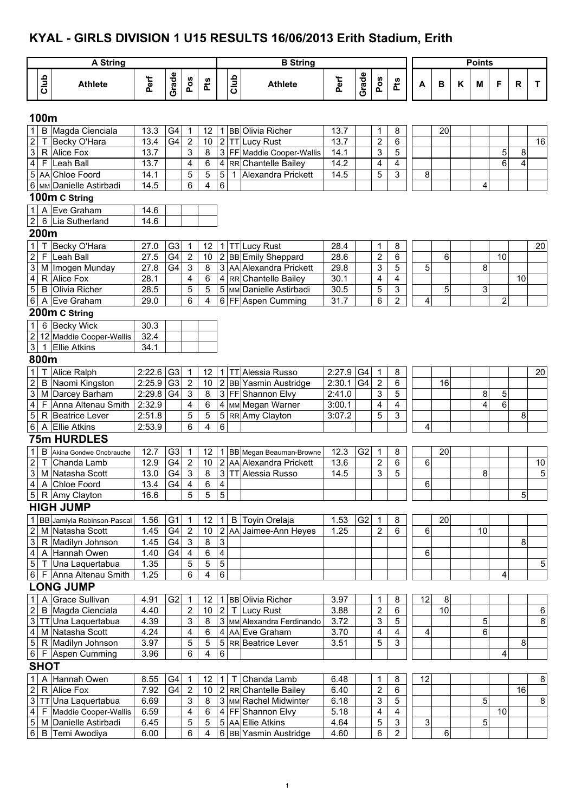## **KYAL - GIRLS DIVISION 1 U15 RESULTS 16/06/2013 Erith Stadium, Erith**

|                                                      |              | <b>A String</b>                                |                           |                 |                                             |                 |                           |              | <b>B</b> String                                    |              |                |                     |                                        |    |    |   | <b>Points</b> |                         |                              |      |
|------------------------------------------------------|--------------|------------------------------------------------|---------------------------|-----------------|---------------------------------------------|-----------------|---------------------------|--------------|----------------------------------------------------|--------------|----------------|---------------------|----------------------------------------|----|----|---|---------------|-------------------------|------------------------------|------|
|                                                      | Club         | <b>Athlete</b>                                 | Perf                      | Grade           | Pos                                         | Pts             |                           | Club         | <b>Athlete</b>                                     | Perf         | Grade          | Pos                 | Pts                                    | A  | B  | K | M             | F                       | R                            | T    |
|                                                      |              |                                                |                           |                 |                                             |                 |                           |              |                                                    |              |                |                     |                                        |    |    |   |               |                         |                              |      |
|                                                      | 100m         |                                                |                           |                 |                                             |                 |                           |              |                                                    |              |                |                     |                                        |    |    |   |               |                         |                              |      |
| $\mathbf 1$                                          |              | B Magda Cienciala                              | 13.3                      | G4              | 1                                           | 12              |                           |              | 1 BB Olivia Richer                                 | 13.7         |                | 1                   | 8                                      |    | 20 |   |               |                         |                              |      |
| $\overline{2}$                                       | Τ            | Becky O'Hara<br>R Alice Fox                    | $\overline{13.4}$<br>13.7 | $\overline{G4}$ | $\overline{2}$<br>$\ensuremath{\mathsf{3}}$ | 10<br>8         |                           |              | 2 TT Lucy Rust                                     | 13.7<br>14.1 |                | $\overline{2}$<br>3 | 6<br>$\overline{5}$                    |    |    |   |               |                         |                              | 16   |
| $\ensuremath{\mathsf{3}}$<br>$\overline{\mathbf{4}}$ |              | F Leah Ball                                    | 13.7                      |                 | 4                                           | 6               |                           |              | 3 FF Maddie Cooper-Wallis<br>4 RR Chantelle Bailey | 14.2         |                | 4                   | 4                                      |    |    |   |               | 5<br>6                  | 8<br>$\overline{\mathbf{4}}$ |      |
|                                                      |              | 5 AA Chloe Foord                               | 14.1                      |                 | 5                                           | $\overline{5}$  | $5\overline{)}$           | $\mathbf{1}$ | Alexandra Prickett                                 | 14.5         |                | 5                   | $\overline{3}$                         | 8  |    |   |               |                         |                              |      |
|                                                      |              | 6 MM Danielle Astirbadi                        | 14.5                      |                 | 6                                           | 4               | 6                         |              |                                                    |              |                |                     |                                        |    |    |   | 4             |                         |                              |      |
|                                                      |              | 100m C String                                  |                           |                 |                                             |                 |                           |              |                                                    |              |                |                     |                                        |    |    |   |               |                         |                              |      |
| $\mathbf{1}$                                         | A            | Eve Graham                                     | 14.6                      |                 |                                             |                 |                           |              |                                                    |              |                |                     |                                        |    |    |   |               |                         |                              |      |
| $\overline{2}$                                       |              | 6 Lia Sutherland                               | 14.6                      |                 |                                             |                 |                           |              |                                                    |              |                |                     |                                        |    |    |   |               |                         |                              |      |
|                                                      | 200m         |                                                |                           |                 |                                             |                 |                           |              |                                                    |              |                |                     |                                        |    |    |   |               |                         |                              |      |
| $\mathbf{1}$                                         |              | Becky O'Hara                                   | 27.0                      | G <sub>3</sub>  | 1                                           | 12 <sub>2</sub> |                           |              | 1 TT Lucy Rust                                     | 28.4         |                | 1                   | 8                                      |    |    |   |               |                         |                              | 20   |
| $\overline{2}$                                       | F            | Leah Ball                                      | 27.5                      | G4              | $\overline{2}$                              | 10 <sup>1</sup> |                           |              | 2 BB Emily Sheppard                                | 28.6         |                | $\overline{2}$      | 6                                      |    | 6  |   |               | 10                      |                              |      |
| 3                                                    |              | M Imogen Munday                                | 27.8                      | G <sub>4</sub>  | $\sqrt{3}$                                  | 8               |                           |              | 3 AA Alexandra Prickett                            | 29.8         |                | 3                   | 5                                      | 5  |    |   | 8             |                         |                              |      |
| $\overline{\mathbf{4}}$                              |              | R Alice Fox                                    | 28.1                      |                 | 4                                           | 6               |                           |              | 4 RR Chantelle Bailey                              | 30.1         |                | 4                   | 4                                      |    |    |   |               |                         | 10                           |      |
| $\overline{5}$                                       |              | <b>B</b> Olivia Richer                         | 28.5                      |                 | 5                                           | 5               |                           |              | 5 MM Danielle Astirbadi                            | 30.5         |                | 5                   | 3                                      |    | 5  |   | 3             |                         |                              |      |
| 6                                                    |              | A Eve Graham                                   | 29.0                      |                 | 6                                           | 4               |                           |              | 6 FF Aspen Cumming                                 | 31.7         |                | 6                   | $\overline{2}$                         | 4  |    |   |               | $\overline{\mathbf{c}}$ |                              |      |
|                                                      |              | 200m C String                                  |                           |                 |                                             |                 |                           |              |                                                    |              |                |                     |                                        |    |    |   |               |                         |                              |      |
| $\mathbf{1}$                                         |              | 6 Becky Wick                                   | 30.3                      |                 |                                             |                 |                           |              |                                                    |              |                |                     |                                        |    |    |   |               |                         |                              |      |
| $\overline{2}$                                       |              | 12 Maddie Cooper-Wallis                        | 32.4                      |                 |                                             |                 |                           |              |                                                    |              |                |                     |                                        |    |    |   |               |                         |                              |      |
| $\ensuremath{\mathsf{3}}$                            | $\mathbf{1}$ | <b>Ellie Atkins</b>                            | 34.1                      |                 |                                             |                 |                           |              |                                                    |              |                |                     |                                        |    |    |   |               |                         |                              |      |
|                                                      | 800m         |                                                |                           |                 |                                             |                 |                           |              |                                                    |              |                |                     |                                        |    |    |   |               |                         |                              |      |
| $\mathbf{1}$                                         |              | Alice Ralph                                    | 2:22.6                    | G <sub>3</sub>  | $\mathbf 1$                                 | 12 <sup>°</sup> | $\mathbf{1}$              |              | <b>TT</b> Alessia Russo                            | 2:27.9       | G4             | 1                   | 8                                      |    |    |   |               |                         |                              | 20   |
| $\boldsymbol{2}$                                     |              | B Naomi Kingston                               | 2:25.9                    | G <sub>3</sub>  | $\overline{2}$                              | 10              |                           |              | 2 BB Yasmin Austridge                              | 2:30.1       | G <sub>4</sub> | $\overline{2}$      | 6                                      |    | 16 |   |               |                         |                              |      |
| $\mathbf{3}$                                         |              | M Darcey Barham                                | 2:29.8                    | G4              | $\overline{3}$                              | 8               |                           |              | 3 FF Shannon Elvy                                  | 2:41.0       |                | 3                   | 5                                      |    |    |   | 8             | 5                       |                              |      |
| 4                                                    |              | F Anna Altenau Smith                           | 2:32.9                    |                 | 4                                           | 6               |                           |              | 4 MM Megan Warner                                  | 3:00.1       |                | 4                   | 4                                      |    |    |   | 4             | 6                       |                              |      |
| 5                                                    |              | R Beatrice Lever                               | 2:51.8                    |                 | 5                                           | $\overline{5}$  |                           |              | 5 RR Amy Clayton                                   | 3:07.2       |                | 5                   | 3                                      |    |    |   |               |                         | 8                            |      |
| 6                                                    |              | A Ellie Atkins                                 | 2:53.9                    |                 | 6                                           | 4               | 6                         |              |                                                    |              |                |                     |                                        | 4  |    |   |               |                         |                              |      |
|                                                      |              | 75m HURDLES                                    |                           |                 |                                             |                 |                           |              |                                                    |              |                |                     |                                        |    |    |   |               |                         |                              |      |
| $\mathbf{1}$                                         | В            | Akina Gondwe Onobrauche                        | 12.7                      | G <sub>3</sub>  | $\mathbf 1$                                 | 12              |                           |              | 1 BB Megan Beauman-Browne                          | 12.3         | G <sub>2</sub> | 1                   | 8                                      |    | 20 |   |               |                         |                              |      |
| $\mathbf 2$                                          | Т            | Chanda Lamb                                    | 12.9                      | G4              | $\overline{2}$                              | 10              |                           |              | 2 AA Alexandra Prickett                            | 13.6         |                | $\overline{2}$      | 6                                      | 6  |    |   |               |                         |                              | $10$ |
| 3                                                    |              | M Natasha Scott                                | 13.0                      | G4              | 3                                           | 8               | $\mathbf{3}$              |              | TT Alessia Russo                                   | 14.5         |                | 3                   | 5                                      |    |    |   | 8             |                         |                              | 5    |
|                                                      |              | 4 A Chloe Foord                                | 13.4                      | G4              | 4                                           | 6               | 4                         |              |                                                    |              |                |                     |                                        | 6  |    |   |               |                         |                              |      |
|                                                      |              | 5 R Amy Clayton                                | 16.6                      |                 | $\overline{5}$                              | $\overline{5}$  | $\overline{5}$            |              |                                                    |              |                |                     |                                        |    |    |   |               |                         | 5                            |      |
|                                                      |              | <b>HIGH JUMP</b>                               |                           |                 |                                             |                 |                           |              |                                                    |              |                |                     |                                        |    |    |   |               |                         |                              |      |
|                                                      |              | BB Jamiyla Robinson-Pascal                     | 1.56                      | G1              | 1                                           | 12 <sub>2</sub> | <u>1 l</u>                |              | B Toyin Orelaja                                    | 1.53         | G <sub>2</sub> | 1                   | 8                                      |    | 20 |   |               |                         |                              |      |
| $\overline{c}$                                       |              | M Natasha Scott                                | 1.45                      | G4              | $\sqrt{2}$                                  | 10              |                           |              | 2 AA Jaimee-Ann Heyes                              | 1.25         |                | $\overline{2}$      | 6                                      | 6  |    |   | 10            |                         |                              |      |
| $\mathbf{3}$                                         |              | R Madilyn Johnson                              | 1.45                      | G4              | $\mathbf{3}$                                | $\bf 8$         | $\ensuremath{\mathsf{3}}$ |              |                                                    |              |                |                     |                                        |    |    |   |               |                         | 8                            |      |
| $\overline{4}$                                       |              | A Hannah Owen                                  | 1.40                      | G4              | 4                                           | 6               | $\overline{\mathbf{4}}$   |              |                                                    |              |                |                     |                                        | 6  |    |   |               |                         |                              |      |
| $5\phantom{.0}$                                      |              | T Una Laquertabua                              | 1.35                      |                 | 5                                           | 5               | $\overline{5}$            |              |                                                    |              |                |                     |                                        |    |    |   |               |                         |                              | 5    |
| 6                                                    |              | F Anna Altenau Smith                           | 1.25                      |                 | 6                                           | 4               | $\,6\,$                   |              |                                                    |              |                |                     |                                        |    |    |   |               | 4                       |                              |      |
|                                                      |              | <b>LONG JUMP</b>                               |                           |                 |                                             |                 |                           |              |                                                    |              |                |                     |                                        |    |    |   |               |                         |                              |      |
| 1                                                    | Α            | Grace Sullivan                                 | 4.91                      | G <sub>2</sub>  | -1                                          | 12 <sub>2</sub> |                           |              | 1 BB Olivia Richer                                 | 3.97         |                | 1                   | 8                                      | 12 | 8  |   |               |                         |                              |      |
| $\overline{2}$                                       |              | B Magda Cienciala                              | 4.40                      |                 | $\mathbf 2$                                 | 10 <sub>1</sub> | $\overline{2}$            |              | T Lucy Rust                                        | 3.88         |                | 2                   | 6                                      |    | 10 |   |               |                         |                              | 6    |
|                                                      |              | 3 TT Una Laquertabua                           | 4.39                      |                 | 3                                           | 8               |                           |              | 3 MM Alexandra Ferdinando                          | 3.72         |                | 3                   | 5                                      |    |    |   | 5             |                         |                              | 8    |
| 4                                                    |              | M Natasha Scott                                | 4.24                      |                 | 4                                           | 6               |                           |              | 4 AA Eve Graham                                    | 3.70         |                | 4                   | 4                                      | 4  |    |   | 6             |                         |                              |      |
| 5 <sub>5</sub>                                       |              | R Madilyn Johnson                              | 3.97                      |                 | 5                                           | 5               |                           |              | 5 RR Beatrice Lever                                | 3.51         |                | 5                   | $\mathsf 3$                            |    |    |   |               |                         | 8                            |      |
| $6 \overline{6}$                                     |              | F Aspen Cumming                                | 3.96                      |                 | 6                                           | 4               | 6                         |              |                                                    |              |                |                     |                                        |    |    |   |               | 4                       |                              |      |
|                                                      | <b>SHOT</b>  |                                                |                           |                 |                                             |                 |                           |              |                                                    |              |                |                     |                                        |    |    |   |               |                         |                              |      |
| $\mathbf 1$                                          |              | A Hannah Owen                                  | 8.55                      | G4              | $\mathbf 1$                                 | 12              | 1 <sup>1</sup>            | T            | Chanda Lamb                                        | 6.48         |                | 1                   | 8                                      | 12 |    |   |               |                         |                              | 8    |
| $\overline{2}$                                       |              | R Alice Fox                                    | 7.92                      | G4              | $\overline{2}$                              | 10              |                           |              | 2 RR Chantelle Bailey                              | 6.40         |                | $\boldsymbol{2}$    | 6                                      |    |    |   |               |                         | 16                           |      |
| 4                                                    |              | 3 TT Una Laquertabua<br>F Maddie Cooper-Wallis | 6.69<br>6.59              |                 | $\ensuremath{\mathsf{3}}$<br>4              | $\bf 8$<br>6    |                           |              | 3 MM Rachel Midwinter<br>4 FF Shannon Elvy         | 6.18<br>5.18 |                | 3<br>4              | $\,$ 5 $\,$<br>$\overline{\mathbf{4}}$ |    |    |   | 5             | 10                      |                              | 8    |
| 5                                                    |              | M Danielle Astirbadi                           | 6.45                      |                 | 5                                           | 5               |                           |              | 5 AA Ellie Atkins                                  | 4.64         |                | 5                   | $\mathsf 3$                            | 3  |    |   | 5             |                         |                              |      |
|                                                      |              | 6 B Temi Awodiya                               | 6.00                      |                 | 6                                           | 4               |                           |              | 6 BB Yasmin Austridge                              | 4.60         |                | 6                   | $\overline{2}$                         |    | 6  |   |               |                         |                              |      |
|                                                      |              |                                                |                           |                 |                                             |                 |                           |              |                                                    |              |                |                     |                                        |    |    |   |               |                         |                              |      |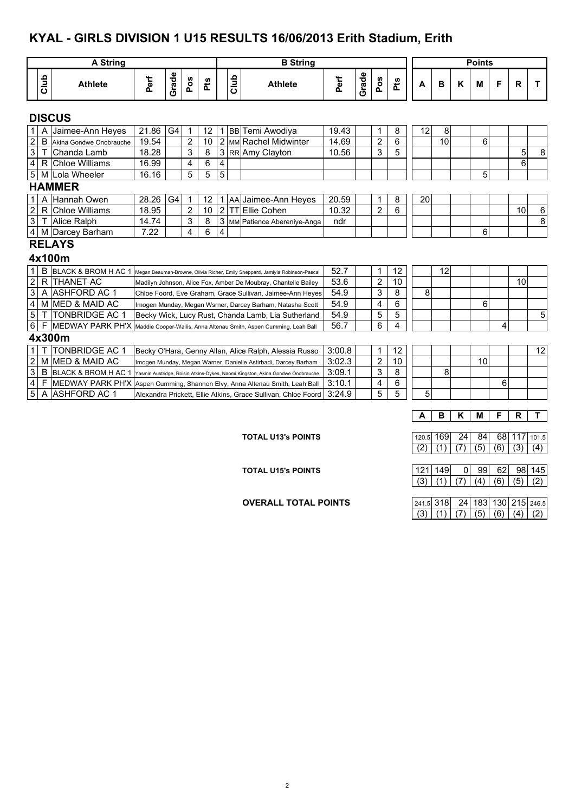#### **KYAL - GIRLS DIVISION 1 U15 RESULTS 16/06/2013 Erith Stadium, Erith**

|                         |                | <b>A String</b>                                                                                  |       |                |                |     |                |        | <b>B</b> String                                                                |        |       |                |     |    |    |   | <b>Points</b> |   |              |    |
|-------------------------|----------------|--------------------------------------------------------------------------------------------------|-------|----------------|----------------|-----|----------------|--------|--------------------------------------------------------------------------------|--------|-------|----------------|-----|----|----|---|---------------|---|--------------|----|
|                         | Club           | <b>Athlete</b>                                                                                   | Perf  | Grade          | Pos            | Pts |                | Club   | <b>Athlete</b>                                                                 | Perf   | Grade | Pos            | Pts | A  | B  | K | M             | F | $\mathsf{R}$ | т  |
|                         |                | <b>DISCUS</b>                                                                                    |       |                |                |     |                |        |                                                                                |        |       |                |     |    |    |   |               |   |              |    |
| $\mathbf{1}$            | A              | Jaimee-Ann Heyes                                                                                 | 21.86 | G <sub>4</sub> | 1              | 12  |                |        | 1 BB Temi Awodiya                                                              | 19.43  |       | 1              | 8   | 12 | 8  |   |               |   |              |    |
| $\overline{2}$          | $\overline{B}$ | Akina Gondwe Onobrauche                                                                          | 19.54 |                | $\overline{2}$ | 10  |                |        | 2 MM Rachel Midwinter                                                          | 14.69  |       | $\overline{2}$ | 6   |    | 10 |   | 6             |   |              |    |
| $\overline{3}$          |                | Chanda Lamb                                                                                      | 18.28 |                | 3              | 8   |                |        | 3 RR Amy Clayton                                                               | 10.56  |       | 3              | 5   |    |    |   |               |   | 5            | 8  |
| $\overline{\mathbf{4}}$ | R              | <b>Chloe Williams</b>                                                                            | 16.99 |                | 4              | 6   | 4              |        |                                                                                |        |       |                |     |    |    |   |               |   | 6            |    |
| $\sqrt{5}$              |                | M Lola Wheeler                                                                                   | 16.16 |                | 5              | 5   | $\overline{5}$ |        |                                                                                |        |       |                |     |    |    |   | 5             |   |              |    |
|                         |                | <b>HAMMER</b>                                                                                    |       |                |                |     |                |        |                                                                                |        |       |                |     |    |    |   |               |   |              |    |
| $\mathbf{1}$            | $\overline{A}$ | Hannah Owen                                                                                      | 28.26 | G <sub>4</sub> | 1              | 12  | 1.             |        | AA Jaimee-Ann Heyes                                                            | 20.59  |       | 1              | 8   | 20 |    |   |               |   |              |    |
| $\overline{2}$          | $\mathsf{R}$   | <b>Chloe Williams</b>                                                                            | 18.95 |                | $\overline{2}$ | 10  |                | $2$ TT | Ellie Cohen                                                                    | 10.32  |       | $\overline{2}$ | 6   |    |    |   |               |   | 10           | 6  |
| $\sqrt{3}$              |                | T Alice Ralph                                                                                    | 14.74 |                | 3              | 8   |                |        | 3 MM Patience Abereniye-Anga                                                   | ndr    |       |                |     |    |    |   |               |   |              | 8  |
| $\overline{4}$          |                | M Darcey Barham                                                                                  | 7.22  |                | 4              | 6   | 4              |        |                                                                                |        |       |                |     |    |    |   | 6             |   |              |    |
|                         |                | <b>RELAYS</b>                                                                                    |       |                |                |     |                |        |                                                                                |        |       |                |     |    |    |   |               |   |              |    |
|                         |                | 4x100m                                                                                           |       |                |                |     |                |        |                                                                                |        |       |                |     |    |    |   |               |   |              |    |
| $\mathbf{1}$            | B              | BLACK & BROM H AC 1 Megan Beauman-Browne, Olivia Richer, Emily Sheppard, Jamiyla Robinson-Pascal |       |                |                |     |                |        |                                                                                | 52.7   |       | 1              | 12  |    | 12 |   |               |   |              |    |
| $\overline{2}$          |                | R THANET AC                                                                                      |       |                |                |     |                |        | Madilyn Johnson, Alice Fox, Amber De Moubray, Chantelle Bailey                 | 53.6   |       | $\overline{2}$ | 10  |    |    |   |               |   | 10           |    |
| 3                       | A              | IASHFORD AC 1                                                                                    |       |                |                |     |                |        | Chloe Foord, Eve Graham, Grace Sullivan, Jaimee-Ann Heyes                      | 54.9   |       | 3              | 8   | 8  |    |   |               |   |              |    |
| $\overline{\mathbf{4}}$ |                | M IMED & MAID AC                                                                                 |       |                |                |     |                |        | Imogen Munday, Megan Wsrner, Darcey Barham, Natasha Scott                      | 54.9   |       | 4              | 6   |    |    |   | 6             |   |              |    |
| $\overline{5}$          |                | <b>TONBRIDGE AC 1</b>                                                                            |       |                |                |     |                |        | Becky Wick, Lucy Rust, Chanda Lamb, Lia Sutherland                             | 54.9   |       | 5              | 5   |    |    |   |               |   |              | 5  |
| $6\phantom{.}6$         |                | MEDWAY PARK PH'X Maddie Cooper-Wallis, Anna Altenau Smith, Aspen Cumming, Leah Ball              |       |                |                |     |                |        |                                                                                | 56.7   |       | 6              | 4   |    |    |   |               | 4 |              |    |
|                         |                | 4x300m                                                                                           |       |                |                |     |                |        |                                                                                |        |       |                |     |    |    |   |               |   |              |    |
| $\mathbf{1}$            |                | <b>TONBRIDGE AC 1</b>                                                                            |       |                |                |     |                |        | Becky O'Hara, Genny Allan, Alice Ralph, Alessia Russo                          | 3:00.8 |       | $\mathbf 1$    | 12  |    |    |   |               |   |              | 12 |
| $\overline{2}$          |                | M MED & MAID AC                                                                                  |       |                |                |     |                |        | Imogen Munday, Megan Warner, Danielle Astirbadi, Darcey Barham                 | 3:02.3 |       | $\overline{2}$ | 10  |    |    |   | 10            |   |              |    |
| $\overline{3}$          | B              | <b>BLACK &amp; BROM H AC 1</b>                                                                   |       |                |                |     |                |        | Yasmin Austridge, Roisin Atkins-Dykes, Naomi Kingston, Akina Gondwe Onobrauche | 3:09.1 |       | 3              | 8   |    | 8  |   |               |   |              |    |
| $\overline{\mathbf{4}}$ | F              | MEDWAY PARK PH'X Aspen Cumming, Shannon Elvy, Anna Altenau Smith, Leah Ball                      |       |                |                |     |                |        |                                                                                | 3:10.1 |       | 4              | 6   |    |    |   |               | 6 |              |    |
| 5                       |                | A ASHFORD AC 1                                                                                   |       |                |                |     |                |        | Alexandra Prickett, Ellie Atkins, Grace Sullivan, Chloe Foord                  | 3:24.9 |       | 5              | 5   | 5  |    |   |               |   |              |    |

**TOTAL U13's POINTS** 120.5 169 24 84 68 117 101.5  $(2)$   $(1)$   $(7)$   $(5)$   $(6)$   $(3)$   $(4)$ 

**A B K M F R T**

**TOTAL U15's POINTS**<br>
(3) (1) (7) (4) (6) (5) (2)

**OVERALL TOTAL POINTS** 

| 241.5 318 24 183 130 215 246.5 |  |  |  |
|--------------------------------|--|--|--|
| (3) (1) (7) (5) (6) (4) (2)    |  |  |  |

 $(3)$   $(1)$   $(7)$   $(4)$   $(6)$   $(5)$   $(2)$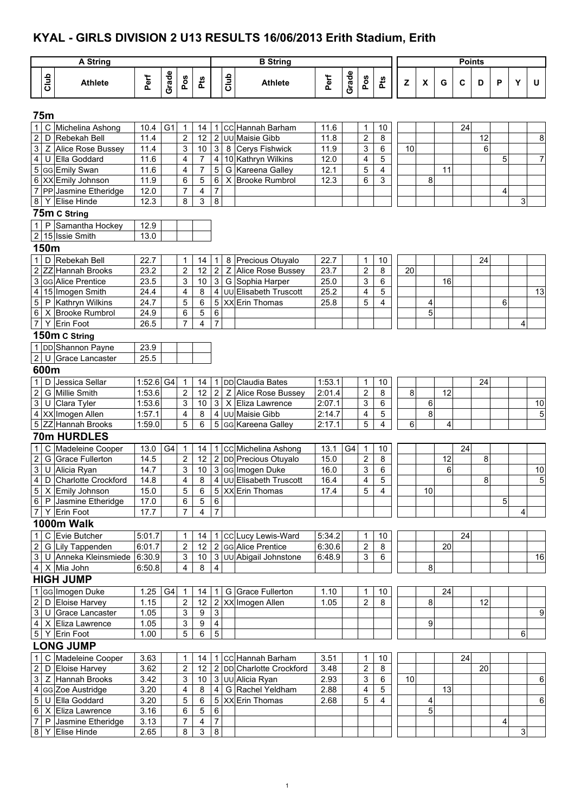#### **KYAL - GIRLS DIVISION 2 U13 RESULTS 16/06/2013 Erith Stadium, Erith**

|                |             | A String                                  |                  |                |                         |                |                |      | <b>B</b> String                                 |                  |       |                                                      |                           |    |                     |    | <b>Points</b> |              |   |   |                      |
|----------------|-------------|-------------------------------------------|------------------|----------------|-------------------------|----------------|----------------|------|-------------------------------------------------|------------------|-------|------------------------------------------------------|---------------------------|----|---------------------|----|---------------|--------------|---|---|----------------------|
|                | Club        | <b>Athlete</b>                            | Perf             | Grade          | Pos                     | Pts            |                | Club | <b>Athlete</b>                                  | Perf             | Grade | Pos                                                  | Pts                       | Z  | X                   | G  | C             | D            | P | Υ | U                    |
|                | <b>75m</b>  |                                           |                  |                |                         |                |                |      |                                                 |                  |       |                                                      |                           |    |                     |    |               |              |   |   |                      |
|                |             | 1 C Michelina Ashong                      | 10.4             | G <sub>1</sub> | $\overline{1}$          | 14             |                |      | 1 CC Hannah Barham                              | 11.6             |       | 1                                                    | 10                        |    |                     |    | 24            |              |   |   |                      |
| $\sqrt{2}$     |             | D Rebekah Bell                            | 11.4             |                | $\overline{c}$          | 12             |                |      | 2 UU Maisie Gibb                                | 11.8             |       | $\overline{2}$                                       | $\,8\,$                   |    |                     |    |               | 12           |   |   | 8                    |
| $\overline{3}$ |             | Z Alice Rose Bussey                       | 11.4             |                | 3                       | $10$           | 3 <sup>1</sup> |      | 8 Cerys Fishwick                                | 11.9             |       | 3                                                    | 6                         | 10 |                     |    |               | 6            |   |   |                      |
| $\overline{4}$ |             | U Ella Goddard                            | 11.6             |                | 4                       | 7              |                |      | 4 10 Kathryn Wilkins                            | 12.0             |       | 4                                                    | 5                         |    |                     |    |               |              | 5 |   | $\overline{7}$       |
|                |             | 5 GG Emily Swan                           | 11.6             |                | 4                       | $\overline{7}$ | 5              |      | G Kareena Galley                                | 12.1             |       | 5                                                    | $\overline{4}$            |    |                     | 11 |               |              |   |   |                      |
|                |             | 6 XX Emily Johnson                        | 11.9             |                | 6                       | 5              | 6              |      | X Brooke Rumbrol                                | 12.3             |       | 6                                                    | 3                         |    | 8                   |    |               |              |   |   |                      |
|                |             | 7 PP Jasmine Etheridge                    | 12.0             |                | 7                       | 4              | 7              |      |                                                 |                  |       |                                                      |                           |    |                     |    |               |              | 4 |   |                      |
|                |             | 8 Y Elise Hinde                           | 12.3             |                | 8                       | 3              | 8              |      |                                                 |                  |       |                                                      |                           |    |                     |    |               |              |   | 3 |                      |
|                |             | 75m C String                              |                  |                |                         |                |                |      |                                                 |                  |       |                                                      |                           |    |                     |    |               |              |   |   |                      |
|                |             | 1 P Samantha Hockey                       | 12.9             |                |                         |                |                |      |                                                 |                  |       |                                                      |                           |    |                     |    |               |              |   |   |                      |
|                |             | 2 15 Issie Smith                          | 13.0             |                |                         |                |                |      |                                                 |                  |       |                                                      |                           |    |                     |    |               |              |   |   |                      |
|                | 150m        |                                           |                  |                |                         |                |                |      |                                                 |                  |       |                                                      |                           |    |                     |    |               |              |   |   |                      |
| $\mathbf{1}$   |             | D Rebekah Bell                            | 22.7             |                | 1                       | 14             | 1              | 8    | Precious Otuyalo                                | 22.7             |       | 1                                                    | 10                        |    |                     |    |               | 24           |   |   |                      |
| $\overline{2}$ |             | ZZ Hannah Brooks                          | 23.2             |                | $\overline{c}$          | 12             | 2 <sup>1</sup> | Z    | Alice Rose Bussey                               | 23.7             |       | $\overline{2}$                                       | 8                         | 20 |                     |    |               |              |   |   |                      |
|                |             | 3 GG Alice Prentice                       | 23.5             |                | 3                       | 10             |                |      | 3 G Sophia Harper                               | 25.0             |       | 3                                                    | 6                         |    |                     | 16 |               |              |   |   |                      |
|                |             | 4 15 Imogen Smith                         | 24.4             |                | 4                       | 8              |                |      | 4 JUU Elisabeth Truscott                        | 25.2             |       | 4                                                    | 5                         |    |                     |    |               |              |   |   | 13                   |
|                |             | 5 P Kathryn Wilkins<br>6 X Brooke Rumbrol | 24.7             |                | 5                       | 6              | $\,6\,$        |      | 5 XX Erin Thomas                                | 25.8             |       | 5                                                    | 4                         |    | 4<br>5              |    |               |              | 6 |   |                      |
|                |             | 7 Y Erin Foot                             | 24.9<br>26.5     |                | 6<br>7                  | 5<br>4         | $\overline{7}$ |      |                                                 |                  |       |                                                      |                           |    |                     |    |               |              |   | 4 |                      |
|                |             | 150m C String                             |                  |                |                         |                |                |      |                                                 |                  |       |                                                      |                           |    |                     |    |               |              |   |   |                      |
|                |             | 1 DD Shannon Payne                        | 23.9             |                |                         |                |                |      |                                                 |                  |       |                                                      |                           |    |                     |    |               |              |   |   |                      |
|                |             | 2 U Grace Lancaster                       | 25.5             |                |                         |                |                |      |                                                 |                  |       |                                                      |                           |    |                     |    |               |              |   |   |                      |
|                |             |                                           |                  |                |                         |                |                |      |                                                 |                  |       |                                                      |                           |    |                     |    |               |              |   |   |                      |
|                | 600m        |                                           |                  |                |                         |                |                |      |                                                 |                  |       |                                                      |                           |    |                     |    |               |              |   |   |                      |
| $\mathbf{1}$   |             | D Jessica Sellar                          | $1.52.6$ G4      |                | $\mathbf 1$             | 14             |                |      | 1 DD Claudia Bates                              | 1:53.1           |       | 1                                                    | 10                        |    |                     |    |               | 24           |   |   |                      |
| $\overline{2}$ |             | G Millie Smith                            | 1:53.6           |                | $\sqrt{2}$              | 12             |                |      | 2 Z Alice Rose Bussey                           | 2.01.4           |       | $\overline{2}$                                       | $\,8\,$                   | 8  |                     | 12 |               |              |   |   |                      |
|                |             | 3 U Clara Tyler                           | 1:53.6           |                | 3                       | 10             |                |      | 3   X Eliza Lawrence                            | 2:07.1           |       | 3                                                    | 6                         |    | 6<br>$\overline{8}$ |    |               |              |   |   | 10                   |
|                |             | 4 XX Imogen Allen<br>5 ZZ Hannah Brooks   | 1:57.1<br>1.59.0 |                | 4<br>5                  | 8<br>6         |                |      | 4 JUU Maisie Gibb<br>5 GG Kareena Galley        | 2:14.7<br>2:17.1 |       | 4<br>5                                               | 5<br>4                    | 6  |                     | 4  |               |              |   |   | 5                    |
|                |             | 70m HURDLES                               |                  |                |                         |                |                |      |                                                 |                  |       |                                                      |                           |    |                     |    |               |              |   |   |                      |
|                |             |                                           |                  |                |                         |                |                |      |                                                 |                  |       |                                                      |                           |    |                     |    |               |              |   |   |                      |
| $\mathbf{1}$   | $\mathbf C$ | Madeleine Cooper                          | 13.0             | G <sub>4</sub> | $\mathbf 1$             | 14             |                |      | 1 CC Michelina Ashong                           | 13.1             | G4    | $\mathbf 1$                                          | 10                        |    |                     |    | 24            |              |   |   |                      |
| $\sqrt{2}$     |             | G Grace Fullerton<br>3 U Alicia Ryan      | 14.5             |                | 2                       | 12             |                |      | 2 DD Precious Otuyalo                           | 15.0             |       | 2                                                    | $\bf 8$                   |    |                     | 12 |               | 8            |   |   |                      |
|                |             | 4 D Charlotte Crockford                   | 14.7<br>14.8     |                | 3<br>4                  | 8              |                |      | 10 3 GG Imogen Duke<br>4 JUU Elisabeth Truscott | 16.0<br>16.4     |       | $\ensuremath{\mathsf{3}}$<br>$\overline{\mathbf{r}}$ | $\,6\,$<br>$\overline{5}$ |    |                     | 6  |               | $\mathbf{8}$ |   |   | 10<br>$\overline{5}$ |
|                |             | 5 X Emily Johnson                         | 15.0             |                | 5                       | 6              |                |      | 5 XX Erin Thomas                                | 17.4             |       | 5                                                    | 4                         |    | 10                  |    |               |              |   |   |                      |
|                |             | 6 P Jasmine Etheridge                     | 17.0             |                | 6                       | 5              | 6              |      |                                                 |                  |       |                                                      |                           |    |                     |    |               |              | 5 |   |                      |
|                |             | 7 Y Erin Foot                             | 17.7             |                | 7                       | $\overline{4}$ | $\overline{7}$ |      |                                                 |                  |       |                                                      |                           |    |                     |    |               |              |   | 4 |                      |
|                |             | 1000m Walk                                |                  |                |                         |                |                |      |                                                 |                  |       |                                                      |                           |    |                     |    |               |              |   |   |                      |
|                |             | 1 C Evie Butcher                          | 5:01.7           |                | 1                       | 14             |                |      | 1 CC Lucy Lewis-Ward                            | 5:34.2           |       | 1                                                    | 10                        |    |                     |    | 24            |              |   |   |                      |
| $\overline{2}$ |             | G Lily Tappenden                          | 6:01.7           |                | 2                       | 12             |                |      | 2 GG Alice Prentice                             | 6:30.6           |       | 2                                                    | 8                         |    |                     | 20 |               |              |   |   |                      |
|                |             | 3 U Anneka Kleinsmiede                    | 6:30.9           |                | 3                       |                |                |      | 10 3 UU Abigail Johnstone                       | 6:48.9           |       | 3                                                    | $\,6\,$                   |    |                     |    |               |              |   |   | 16                   |
|                |             | $4 \times$ Mia John                       | 6.50.8           |                | 4                       | 8              | $\overline{4}$ |      |                                                 |                  |       |                                                      |                           |    | 8                   |    |               |              |   |   |                      |
|                |             | <b>HIGH JUMP</b>                          |                  |                |                         |                |                |      |                                                 |                  |       |                                                      |                           |    |                     |    |               |              |   |   |                      |
|                |             | 1 GG Imogen Duke                          | 1.25             | G4             | -1                      | 14             |                |      | 1 G Grace Fullerton                             | 1.10             |       | 1                                                    | 10                        |    |                     | 24 |               |              |   |   |                      |
| $\overline{2}$ |             | D Eloise Harvey                           | 1.15             |                | $\overline{\mathbf{c}}$ | 12             |                |      | 2 XX Imogen Allen                               | 1.05             |       | $\overline{2}$                                       | 8                         |    | 8                   |    |               | 12           |   |   |                      |
|                |             | 3 U Grace Lancaster                       | 1.05             |                | 3                       | 9              | $\mathbf{3}$   |      |                                                 |                  |       |                                                      |                           |    |                     |    |               |              |   |   | 9                    |
|                |             | 4 X Eliza Lawrence                        | 1.05             |                | 3                       | 9              | $\overline{4}$ |      |                                                 |                  |       |                                                      |                           |    | $\overline{9}$      |    |               |              |   |   |                      |
|                |             | 5 Y Erin Foot                             | 1.00             |                | 5                       | 6              | $\overline{5}$ |      |                                                 |                  |       |                                                      |                           |    |                     |    |               |              |   | 6 |                      |
|                |             | <b>LONG JUMP</b>                          |                  |                |                         |                |                |      |                                                 |                  |       |                                                      |                           |    |                     |    |               |              |   |   |                      |
| 1              |             | C Madeleine Cooper                        | 3.63             |                | 1                       | 14             |                |      | 1 CC Hannah Barham                              | 3.51             |       | 1                                                    | 10                        |    |                     |    | 24            |              |   |   |                      |
| $\mathbf{2}$   |             | D Eloise Harvey                           | 3.62             |                | $\boldsymbol{2}$        | 12             |                |      | 2 DD Charlotte Crockford                        | 3.48             |       | $\overline{2}$                                       | 8                         |    |                     |    |               | 20           |   |   |                      |
| دى             |             | Z Hannah Brooks                           | 3.42             |                | 3                       | $10\,$         |                |      | 3 UU Alicia Ryan                                | 2.93             |       | 3                                                    | 6                         | 10 |                     |    |               |              |   |   | 6                    |
| $\overline{4}$ |             | GG Zoe Austridge                          | 3.20             |                | 4                       | 8              | 4 <sup>1</sup> |      | G Rachel Yeldham                                | 2.88             |       | 4                                                    | 5                         |    |                     | 13 |               |              |   |   |                      |
| $\sqrt{5}$     |             | U Ella Goddard                            | 3.20             |                | 5                       | 6              |                |      | 5 XX Erin Thomas                                | 2.68             |       | 5                                                    | $\overline{4}$            |    | $\overline{4}$      |    |               |              |   |   | 6                    |
|                |             | 6 X Eliza Lawrence                        | 3.16             |                | 6                       | 5              | 6              |      |                                                 |                  |       |                                                      |                           |    | 5                   |    |               |              |   |   |                      |
| $\overline{7}$ |             | P Jasmine Etheridge                       | 3.13             |                | 7                       | 4              | $\overline{7}$ |      |                                                 |                  |       |                                                      |                           |    |                     |    |               |              | 4 |   |                      |
| $\infty$       |             | Y Elise Hinde                             | 2.65             |                | 8                       | 3              | 8              |      |                                                 |                  |       |                                                      |                           |    |                     |    |               |              |   | 3 |                      |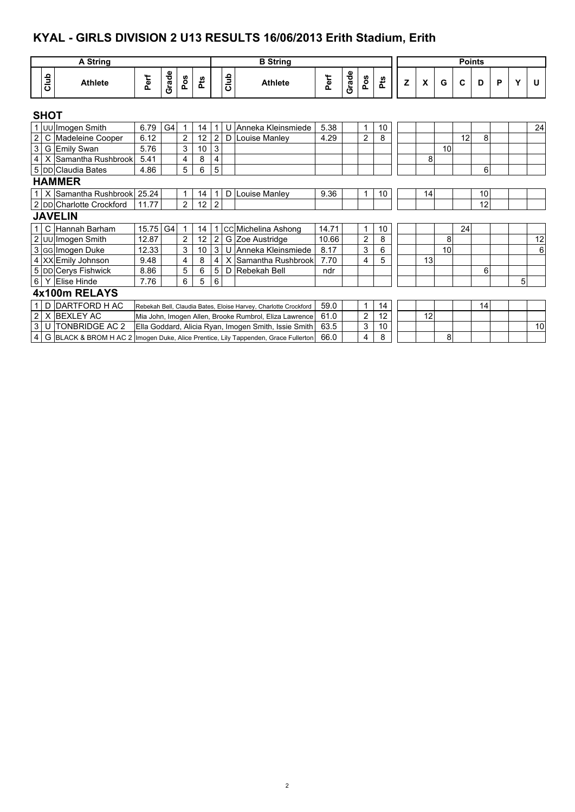#### **KYAL - GIRLS DIVISION 2 U13 RESULTS 16/06/2013 Erith Stadium, Erith**

4 G BLACK & BROM H AC 2 66.0 4 8 8

Imogen Duke, Alice Prentice, Lily Tappenden, Grace Fullerton

|                         | <b>A</b> String                  |          |                |                |     |                |      | <b>B</b> String                                                 |       |       |                |     |   |    |    | <b>Points</b> |    |   |   |    |
|-------------------------|----------------------------------|----------|----------------|----------------|-----|----------------|------|-----------------------------------------------------------------|-------|-------|----------------|-----|---|----|----|---------------|----|---|---|----|
|                         |                                  |          |                |                |     |                |      |                                                                 |       |       |                |     |   |    |    |               |    |   |   |    |
| Club                    | <b>Athlete</b>                   | Perf     | Grade          | Pos            | Pts |                | Club | <b>Athlete</b>                                                  | Perf  | Grade | Pos            | Pts | z | X  | G  | C             | D  | P | Υ | U  |
| <b>SHOT</b>             |                                  |          |                |                |     |                |      |                                                                 |       |       |                |     |   |    |    |               |    |   |   |    |
|                         | 1 UU Imogen Smith                | 6.79     | G <sub>4</sub> | $\mathbf{1}$   | 14  |                | U    | Anneka Kleinsmiede                                              | 5.38  |       | 1              | 10  |   |    |    |               |    |   |   | 24 |
| $\overline{\mathbf{c}}$ | C Madeleine Cooper               | 6.12     |                | $\overline{2}$ | 12  | $\overline{c}$ | D    | Louise Manley                                                   | 4.29  |       | $\overline{2}$ | 8   |   |    |    | 12            | 8  |   |   |    |
| $\overline{3}$          | G Emily Swan                     | 5.76     |                | 3              | 10  | $\mathsf 3$    |      |                                                                 |       |       |                |     |   |    | 10 |               |    |   |   |    |
| $\overline{4}$          | X Samantha Rushbrook             | 5.41     |                | 4              | 8   | 4              |      |                                                                 |       |       |                |     |   | 8  |    |               |    |   |   |    |
|                         | 5 DD Claudia Bates               | 4.86     |                | 5              | 6   | 5              |      |                                                                 |       |       |                |     |   |    |    |               | 6  |   |   |    |
|                         | <b>HAMMER</b>                    |          |                |                |     |                |      |                                                                 |       |       |                |     |   |    |    |               |    |   |   |    |
|                         | 1   X Samantha Rushbrook   25.24 |          |                | 1              | 14  |                | D    | Louise Manley                                                   | 9.36  |       | 1              | 10  |   | 14 |    |               | 10 |   |   |    |
|                         | 2 DD Charlotte Crockford         | 11.77    |                | $\overline{2}$ | 12  | $\overline{2}$ |      |                                                                 |       |       |                |     |   |    |    |               | 12 |   |   |    |
|                         | <b>JAVELIN</b>                   |          |                |                |     |                |      |                                                                 |       |       |                |     |   |    |    |               |    |   |   |    |
| 1 <sup>1</sup>          | C Hannah Barham                  | 15.75 G4 |                | $\mathbf{1}$   | 14  | 1              |      | cc Michelina Ashong                                             | 14.71 |       | 1              | 10  |   |    |    | 24            |    |   |   |    |
|                         | 2 UU Imogen Smith                | 12.87    |                | 2              | 12  | $\overline{2}$ | G    | Zoe Austridge                                                   | 10.66 |       | $\overline{2}$ | 8   |   |    | 8  |               |    |   |   | 12 |
|                         | 3 GG Imogen Duke                 | 12.33    |                | 3              | 10  | 3              | U    | Anneka Kleinsmiede                                              | 8.17  |       | 3              | 6   |   |    | 10 |               |    |   |   | 6  |
|                         | 4 XX Emily Johnson               | 9.48     |                | 4              | 8   | 4              | X    | Samantha Rushbrook                                              | 7.70  |       | 4              | 5   |   | 13 |    |               |    |   |   |    |
|                         | 5 DD Cerys Fishwick              | 8.86     |                | 5              | 6   | 5              | D    | Rebekah Bell                                                    | ndr   |       |                |     |   |    |    |               | 6  |   |   |    |
| 6 <sup>1</sup>          | Y Elise Hinde                    | 7.76     |                | 6              | 5   | 6              |      |                                                                 |       |       |                |     |   |    |    |               |    |   | 5 |    |
|                         | 4x100m RELAYS                    |          |                |                |     |                |      |                                                                 |       |       |                |     |   |    |    |               |    |   |   |    |
| 1 <sup>1</sup>          | D DARTFORD H AC                  |          |                |                |     |                |      | Rebekah Bell, Claudia Bates, Eloise Harvey, Charlotte Crockford | 59.0  |       | 1              | 14  |   |    |    |               | 14 |   |   |    |
| $\sqrt{2}$              | X BEXLEY AC                      |          |                |                |     |                |      | Mia John, Imogen Allen, Brooke Rumbrol, Eliza Lawrence          | 61.0  |       | $\overline{2}$ | 12  |   | 12 |    |               |    |   |   |    |
| $\overline{3}$          | U TONBRIDGE AC 2                 |          |                |                |     |                |      | Ella Goddard, Alicia Ryan, Imogen Smith, Issie Smith            | 63.5  |       | 3              | 10  |   |    |    |               |    |   |   | 10 |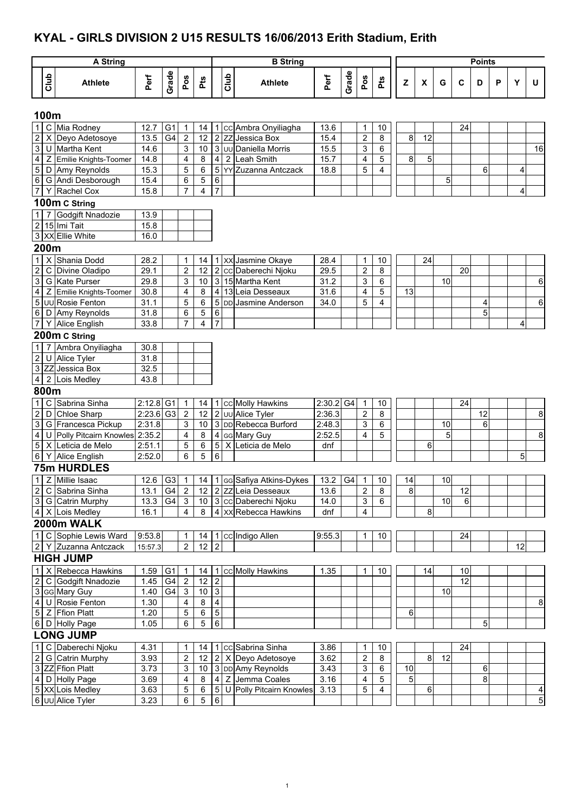#### **KYAL - GIRLS DIVISION 2 U15 RESULTS 16/06/2013 Erith Stadium, Erith**

|                                 |                | A String                        |              |                      |                         |             |                |                | <b>B</b> String                               |              |        |                              |                 |                |                    |    |             | <b>Points</b> |   |    |                         |
|---------------------------------|----------------|---------------------------------|--------------|----------------------|-------------------------|-------------|----------------|----------------|-----------------------------------------------|--------------|--------|------------------------------|-----------------|----------------|--------------------|----|-------------|---------------|---|----|-------------------------|
|                                 | Club           | <b>Athlete</b>                  | Perf         | Grade                | Pos                     | Pts         |                | Club           | <b>Athlete</b>                                | Perf         | Grade  | Pos                          | Pts             | $\mathsf z$    | $\pmb{\mathsf{x}}$ | G  | $\mathbf c$ | D             | P | Y  | U                       |
|                                 | 100m           |                                 |              |                      |                         |             |                |                |                                               |              |        |                              |                 |                |                    |    |             |               |   |    |                         |
|                                 |                |                                 |              |                      |                         |             |                |                |                                               |              |        |                              |                 |                |                    |    |             |               |   |    |                         |
| $\mathbf{1}$                    |                | C Mia Rodney                    | 12.7         | G <sub>1</sub>       | $\mathbf{1}$            | 14          |                |                | 1 cc Ambra Onyiliagha                         | 13.6         |        | $\mathbf{1}$                 | 10              |                |                    |    | 24          |               |   |    |                         |
| $\boldsymbol{2}$<br>$\mathsf 3$ | X<br>U         | Deyo Adetosoye<br>Martha Kent   | 13.5<br>14.6 | G4                   | 2<br>3                  | 12<br>10    |                |                | 2 ZZ Jessica Box<br>3 Juu Daniella Morris     | 15.4<br>15.5 |        | $\overline{\mathbf{c}}$<br>3 | 8<br>6          | 8              | 12                 |    |             |               |   |    | 16                      |
| $\overline{\mathbf{4}}$         | Z              | Emilie Knights-Toomer           | 14.8         |                      | $\overline{\mathbf{4}}$ | 8           | 4 <sup>1</sup> | $\overline{2}$ | <b>Leah Smith</b>                             | 15.7         |        | 4                            | $\overline{5}$  | 8              | 5                  |    |             |               |   |    |                         |
| 5                               |                | D Amy Reynolds                  | 15.3         |                      | 5                       | 6           |                |                | 5 YY Zuzanna Antczack                         | 18.8         |        | 5                            | $\overline{4}$  |                |                    |    |             | 6             |   | 4  |                         |
| $\,6\,$                         |                | G Andi Desborough               | 15.4         |                      | 6                       | 5           | $\,6\,$        |                |                                               |              |        |                              |                 |                |                    |    |             |               |   |    |                         |
| $\overline{7}$                  | Y              | Rachel Cox                      | 15.8         |                      | $\overline{7}$          | 4           | $\overline{7}$ |                |                                               |              |        |                              |                 |                |                    | 5  |             |               |   | 4  |                         |
|                                 |                |                                 |              |                      |                         |             |                |                |                                               |              |        |                              |                 |                |                    |    |             |               |   |    |                         |
|                                 |                | 100m C String                   |              |                      |                         |             |                |                |                                               |              |        |                              |                 |                |                    |    |             |               |   |    |                         |
| $\mathbf{1}$                    | $\overline{7}$ | Godgift Nnadozie                | 13.9         |                      |                         |             |                |                |                                               |              |        |                              |                 |                |                    |    |             |               |   |    |                         |
|                                 |                | 2 15 Imi Tait                   | 15.8         |                      |                         |             |                |                |                                               |              |        |                              |                 |                |                    |    |             |               |   |    |                         |
|                                 |                | 3 XX Ellie White                | 16.0         |                      |                         |             |                |                |                                               |              |        |                              |                 |                |                    |    |             |               |   |    |                         |
|                                 | 200m           |                                 |              |                      |                         |             |                |                |                                               |              |        |                              |                 |                |                    |    |             |               |   |    |                         |
| $\mathbf{1}$                    | X              | Shania Dodd                     | 28.2         |                      | 1                       | 14          |                |                | 1 XX Jasmine Okaye                            | 28.4         |        | 1                            | 10              |                | 24                 |    |             |               |   |    |                         |
| $\sqrt{2}$                      | C              | Divine Oladipo                  | 29.1         |                      | $\overline{c}$          | 12          |                |                | 2 cc Daberechi Njoku                          | 29.5         |        | $\overline{2}$               | 8               |                |                    |    | 20          |               |   |    |                         |
| $\ensuremath{\mathsf{3}}$       |                | G Kate Purser                   | 29.8         |                      | 3                       | 10          |                |                | 3 15 Martha Kent                              | 31.2         |        | 3                            | 6               |                |                    | 10 |             |               |   |    | 6                       |
| 4                               |                | Z Emilie Knights-Toomer         | 30.8         |                      | 4                       | 8           | 4 <sup>1</sup> |                | 13 Leia Desseaux                              | 31.6         |        | 4                            | $\overline{5}$  | 13             |                    |    |             |               |   |    |                         |
| $\mathbf 5$                     |                | <b>UURosie Fenton</b>           | 31.1         |                      | 5                       | 6           |                |                | 5 DD Jasmine Anderson                         | 34.0         |        | 5                            | 4               |                |                    |    |             | 4             |   |    | 6                       |
| $\,6\,$                         |                | D Amy Reynolds                  | 31.8         |                      | 6                       | 5           | 6              |                |                                               |              |        |                              |                 |                |                    |    |             | 5             |   |    |                         |
| $\overline{7}$                  | Y              | <b>Alice English</b>            | 33.8         |                      | $\overline{7}$          | 4           | $\overline{7}$ |                |                                               |              |        |                              |                 |                |                    |    |             |               |   | 4  |                         |
|                                 |                | 200m C String                   |              |                      |                         |             |                |                |                                               |              |        |                              |                 |                |                    |    |             |               |   |    |                         |
| $\mathbf{1}$                    | 7              | Ambra Onyiliagha                | 30.8         |                      |                         |             |                |                |                                               |              |        |                              |                 |                |                    |    |             |               |   |    |                         |
| $\overline{2}$                  |                | U Alice Tyler                   | 31.8         |                      |                         |             |                |                |                                               |              |        |                              |                 |                |                    |    |             |               |   |    |                         |
| $\sqrt{3}$                      | ZZ             | Jessica Box                     | 32.5         |                      |                         |             |                |                |                                               |              |        |                              |                 |                |                    |    |             |               |   |    |                         |
| $\overline{\mathbf{4}}$         | $\overline{2}$ | Lois Medley                     | 43.8         |                      |                         |             |                |                |                                               |              |        |                              |                 |                |                    |    |             |               |   |    |                         |
|                                 | 800m           |                                 |              |                      |                         |             |                |                |                                               |              |        |                              |                 |                |                    |    |             |               |   |    |                         |
| $\mathbf{1}$                    | $\mathsf{C}$   | Sabrina Sinha                   | $2:12.8$ G1  |                      | $\overline{1}$          | 14          |                |                | 1 cc Molly Hawkins                            | $2:30.2$ G4  |        | $\overline{1}$               | 10              |                |                    |    | 24          |               |   |    |                         |
| $\boldsymbol{2}$                | D              | <b>Chloe Sharp</b>              | 2:23.6       | G <sub>3</sub>       | $\overline{c}$          | 12          |                |                | 2 UU Alice Tyler                              | 2:36.3       |        | $\overline{2}$               | 8               |                |                    |    |             | 12            |   |    | 8                       |
| 3                               |                | G Francesca Pickup              | 2:31.8       |                      | 3                       | 10          |                |                | 3 DD Rebecca Burford                          | 2:48.3       |        | 3                            | 6               |                |                    | 10 |             | 6             |   |    |                         |
| 4                               |                | U Polly Pitcairn Knowles 2:35.2 |              |                      | 4                       | 8           |                |                | 4 GG Mary Guy                                 | 2:52.5       |        | 4                            | 5               |                |                    | 5  |             |               |   |    | $\bf 8$                 |
| $\overline{5}$                  |                | $X$ Leticia de Melo             | 2:51.1       |                      | 5                       | 6           |                |                | 5 X Leticia de Melo                           | dnf          |        |                              |                 |                | 6                  |    |             |               |   |    |                         |
| $\,6\,$                         | Y              | <b>Alice English</b>            | 2:52.0       |                      | 6                       | 5           | 6              |                |                                               |              |        |                              |                 |                |                    |    |             |               |   | 5  |                         |
|                                 |                | <b>75m HURDLES</b>              |              |                      |                         |             |                |                |                                               |              |        |                              |                 |                |                    |    |             |               |   |    |                         |
|                                 |                | 1 Z Millie Isaac                |              |                      |                         |             |                |                | 12.6 G3 1 14 1 GG Safiya Atkins-Dykes         | 13.2         | $G4$ 1 |                              | 10 <sup>1</sup> | 14             |                    | 10 |             |               |   |    |                         |
|                                 |                | 2 C Sabrina Sinha               |              |                      |                         |             |                |                |                                               |              |        | $\sqrt{2}$                   |                 |                |                    |    | 12          |               |   |    |                         |
|                                 |                | 3 G Catrin Murphy               | 13.1<br>13.3 | G4<br>G <sub>4</sub> | $\overline{2}$          | 12          |                |                | 2 ZZ Leia Desseaux<br>10 3 cc Daberechi Njoku | 13.6<br>14.0 |        |                              | 8<br>6          | 8              |                    | 10 | 6           |               |   |    |                         |
|                                 |                | $4 \mid X \mid$ Lois Medley     | 16.1         |                      | 3 <sup>5</sup><br>4     | 8           |                |                | 4 XX Rebecca Hawkins                          | dnf          |        | 3<br>4                       |                 |                | 8                  |    |             |               |   |    |                         |
|                                 |                |                                 |              |                      |                         |             |                |                |                                               |              |        |                              |                 |                |                    |    |             |               |   |    |                         |
|                                 |                | 2000m WALK                      |              |                      |                         |             |                |                |                                               |              |        |                              |                 |                |                    |    |             |               |   |    |                         |
|                                 |                | 1 C Sophie Lewis Ward           | 9:53.8       |                      | 1                       | 14          |                |                | 1 cc Indigo Allen                             | 9:55.3       |        | 1                            | 10              |                |                    |    | 24          |               |   |    |                         |
|                                 |                | 2 Y Zuzanna Antczack            | 15:57.3      |                      | $\overline{2}$          | $12$ 2      |                |                |                                               |              |        |                              |                 |                |                    |    |             |               |   | 12 |                         |
|                                 |                | <b>HIGH JUMP</b>                |              |                      |                         |             |                |                |                                               |              |        |                              |                 |                |                    |    |             |               |   |    |                         |
| 1                               |                | X Rebecca Hawkins               | 1.59         | G1                   | $\overline{1}$          | 14          |                |                | 1 CC Molly Hawkins                            | 1.35         |        | 1                            | 10              |                | 14                 |    | 10          |               |   |    |                         |
| $\mathbf{2}$                    |                | C Godgift Nnadozie              | 1.45         | G4                   | $\overline{2}$          | $12 \mid 2$ |                |                |                                               |              |        |                              |                 |                |                    |    | 12          |               |   |    |                         |
|                                 |                | 3 GG Mary Guy                   | 1.40         | G4                   | $\mathbf{3}$            | 10 3        |                |                |                                               |              |        |                              |                 |                |                    | 10 |             |               |   |    |                         |
| $\overline{4}$                  |                | U Rosie Fenton                  | 1.30         |                      | 4                       | 8           | $\overline{4}$ |                |                                               |              |        |                              |                 |                |                    |    |             |               |   |    | $\bf 8$                 |
|                                 |                | 5 Z Ffion Platt                 | 1.20         |                      | 5                       | $\,6\,$     | $\overline{5}$ |                |                                               |              |        |                              |                 | 6              |                    |    |             |               |   |    |                         |
|                                 |                | 6 D Holly Page                  | 1.05         |                      | 6                       | 5           | $\overline{6}$ |                |                                               |              |        |                              |                 |                |                    |    |             | 5             |   |    |                         |
|                                 |                | <b>LONG JUMP</b>                |              |                      |                         |             |                |                |                                               |              |        |                              |                 |                |                    |    |             |               |   |    |                         |
| $\mathbf{1}$                    |                | C Daberechi Njoku               | 4.31         |                      | 1                       | 14          |                |                | 1 CC Sabrina Sinha                            | 3.86         |        | $\mathbf{1}$                 | $10$            |                |                    |    | 24          |               |   |    |                         |
|                                 |                | 2 G Catrin Murphy               | 3.93         |                      | $\overline{\mathbf{c}}$ | 12          |                |                | 2 X Deyo Adetosoye                            | 3.62         |        | $\overline{c}$               | 8               |                | 8                  | 12 |             |               |   |    |                         |
|                                 |                | 3 ZZ Ffion Platt                | 3.73         |                      | 3                       | $10\,$      |                |                | 3 DD Amy Reynolds                             | 3.43         |        | 3                            | 6               | 10             |                    |    |             | 6             |   |    |                         |
| $\overline{\mathbf{4}}$         |                | D Holly Page                    | 3.69         |                      | 4                       | 8           |                |                | 4 Z Jemma Coales                              | 3.16         |        | 4                            | 5               | 5 <sup>1</sup> |                    |    |             | 8             |   |    |                         |
|                                 |                | 5 XX Lois Medley                | 3.63         |                      | 5                       | 6           |                |                | 5 U Polly Pitcairn Knowles                    | 3.13         |        | $\sqrt{5}$                   | $\overline{4}$  |                | 6                  |    |             |               |   |    | $\overline{\mathbf{r}}$ |
|                                 |                | 6 UU Alice Tyler                | 3.23         |                      | 6                       | 5           | $\,6\,$        |                |                                               |              |        |                              |                 |                |                    |    |             |               |   |    | 5                       |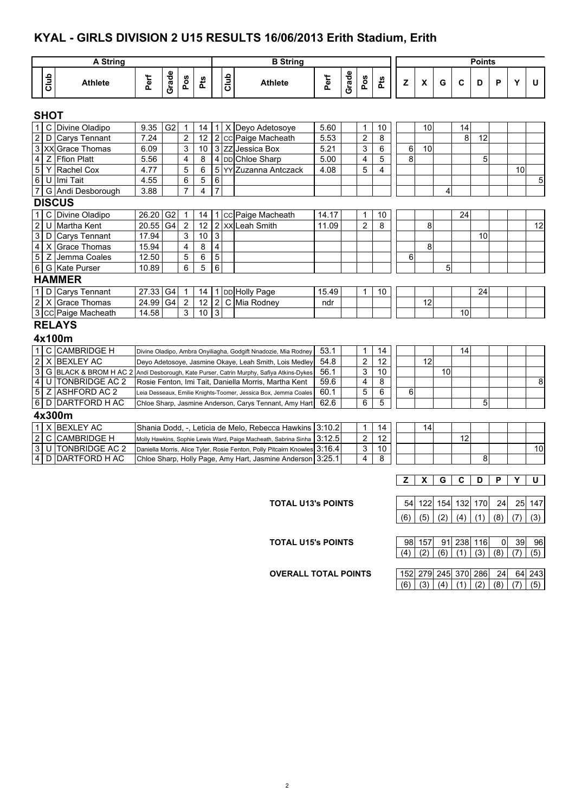#### **KYAL - GIRLS DIVISION 2 U15 RESULTS 16/06/2013 Erith Stadium, Erith**

|                  |             | <b>A String</b><br><b>B</b> String                                               |          |                |                |     |                           |      |                                                                                        |        |       |                  |                 |     |                    |     |     | <b>Points</b> |     |     |                 |
|------------------|-------------|----------------------------------------------------------------------------------|----------|----------------|----------------|-----|---------------------------|------|----------------------------------------------------------------------------------------|--------|-------|------------------|-----------------|-----|--------------------|-----|-----|---------------|-----|-----|-----------------|
|                  | Club        | <b>Athlete</b>                                                                   | Perf     | Grade          | Pos            | Pts |                           | Club | <b>Athlete</b>                                                                         | Perf   | Grade | Pos              | Pts             | z   | $\pmb{\mathsf{X}}$ | G   | C   | D             | P   | Y   | U               |
|                  | <b>SHOT</b> |                                                                                  |          |                |                |     |                           |      |                                                                                        |        |       |                  |                 |     |                    |     |     |               |     |     |                 |
| $\mathbf{1}$     |             | C Divine Oladipo                                                                 | 9.35     | G <sub>2</sub> | 1              | 14  | -1                        |      | X Deyo Adetosoye                                                                       | 5.60   |       | $\mathbf{1}$     | 10              |     | 10                 |     | 14  |               |     |     |                 |
| $\sqrt{2}$       |             | D Carys Tennant                                                                  | 7.24     |                | $\overline{c}$ | 12  | $\sqrt{2}$                |      | cc Paige Macheath                                                                      | 5.53   |       | $\overline{c}$   | 8               |     |                    |     | 8   | 12            |     |     |                 |
| $\overline{3}$   |             | XX Grace Thomas                                                                  | 6.09     |                | 3              | 10  |                           |      | 3 ZZ Jessica Box                                                                       | 5.21   |       | 3                | 6               | 6   | 10                 |     |     |               |     |     |                 |
| $\overline{4}$   |             | Z Ffion Platt                                                                    | 5.56     |                | 4              | 8   |                           |      | 4 DD Chloe Sharp                                                                       | 5.00   |       | 4                | 5               | 8   |                    |     |     | 5             |     |     |                 |
| $\overline{5}$   |             | Y Rachel Cox                                                                     | 4.77     |                | 5              | 6   | 5                         |      | YY Zuzanna Antczack                                                                    | 4.08   |       | 5                | 4               |     |                    |     |     |               |     | 10  |                 |
| $\overline{6}$   |             | U Imi Tait                                                                       | 4.55     |                | 6              | 5   | 6                         |      |                                                                                        |        |       |                  |                 |     |                    |     |     |               |     |     | 5               |
|                  |             | 7 G Andi Desborough                                                              | 3.88     |                | $\overline{7}$ | 4   | $\overline{7}$            |      |                                                                                        |        |       |                  |                 |     |                    | 4   |     |               |     |     |                 |
|                  |             | <b>DISCUS</b>                                                                    |          |                |                |     |                           |      |                                                                                        |        |       |                  |                 |     |                    |     |     |               |     |     |                 |
| $\mathbf{1}$     |             | C Divine Oladipo                                                                 | 26.20 G2 |                | $\mathbf{1}$   | 14  | 1                         |      | cc Paige Macheath                                                                      | 14.17  |       | 1                | 10              |     |                    |     | 24  |               |     |     |                 |
| $\overline{2}$   |             | U Martha Kent                                                                    | 20.55    | G <sub>4</sub> | $\overline{2}$ | 12  | $\overline{2}$            |      | <b>XX</b> Leah Smith                                                                   | 11.09  |       | $\overline{2}$   | 8               |     | 8                  |     |     |               |     |     | $\overline{12}$ |
| $\mathbf{3}$     |             | D Carys Tennant                                                                  | 17.94    |                | 3              | 10  | $\ensuremath{\mathsf{3}}$ |      |                                                                                        |        |       |                  |                 |     |                    |     |     | 10            |     |     |                 |
| $\overline{4}$   |             | X Grace Thomas                                                                   | 15.94    |                | $\overline{4}$ | 8   | $\overline{\mathbf{4}}$   |      |                                                                                        |        |       |                  |                 |     | 8                  |     |     |               |     |     |                 |
| $\overline{5}$   |             | Z Jemma Coales                                                                   | 12.50    |                | 5              | 6   | $\overline{5}$            |      |                                                                                        |        |       |                  |                 | 6   |                    |     |     |               |     |     |                 |
|                  |             | 6 G Kate Purser                                                                  | 10.89    |                | 6              | 5   | $\overline{6}$            |      |                                                                                        |        |       |                  |                 |     |                    | 5   |     |               |     |     |                 |
|                  |             | <b>HAMMER</b>                                                                    |          |                |                |     |                           |      |                                                                                        |        |       |                  |                 |     |                    |     |     |               |     |     |                 |
| $\mathbf{1}$     |             | D Carys Tennant                                                                  | 27.33 G4 |                | $\mathbf{1}$   | 14  | $\mathbf{1}$              |      | DD Holly Page                                                                          | 15.49  |       | 1                | 10              |     |                    |     |     | 24            |     |     |                 |
| $\overline{2}$   |             | X Grace Thomas                                                                   | 24.99 G4 |                | $\overline{2}$ | 12  | $\overline{2}$            |      | C Mia Rodney                                                                           | ndr    |       |                  |                 |     | 12                 |     |     |               |     |     |                 |
|                  |             | 3 CC Paige Macheath                                                              | 14.58    |                | 3              | 10  | $\overline{3}$            |      |                                                                                        |        |       |                  |                 |     |                    |     | 10  |               |     |     |                 |
|                  |             | <b>RELAYS</b>                                                                    |          |                |                |     |                           |      |                                                                                        |        |       |                  |                 |     |                    |     |     |               |     |     |                 |
|                  |             | 4x100m                                                                           |          |                |                |     |                           |      |                                                                                        |        |       |                  |                 |     |                    |     |     |               |     |     |                 |
| $\mathbf{1}$     |             | C CAMBRIDGE H                                                                    |          |                |                |     |                           |      | Divine Oladipo, Ambra Onyiliagha, Godgift Nnadozie, Mia Rodney                         | 53.1   |       | 1                | 14              |     |                    |     | 14  |               |     |     |                 |
| $\boldsymbol{2}$ |             | X BEXLEY AC                                                                      |          |                |                |     |                           |      | Deyo Adetosoye, Jasmine Okaye, Leah Smith, Lois Medley                                 | 54.8   |       | $\overline{2}$   | 12              |     | 12                 |     |     |               |     |     |                 |
| $\overline{3}$   |             |                                                                                  |          |                |                |     |                           |      | G BLACK & BROM H AC 2 Andi Desborough, Kate Purser, Catrin Murphy, Safiya Atkins-Dykes | 56.1   |       | 3                | 10              |     |                    | 10  |     |               |     |     |                 |
| $\overline{4}$   |             | U TONBRIDGE AC 2                                                                 |          |                |                |     |                           |      | Rosie Fenton, Imi Tait, Daniella Morris, Martha Kent                                   | 59.6   |       | 4                | 8               |     |                    |     |     |               |     |     | 8               |
| $\overline{5}$   | Ζ           | <b>ASHFORD AC 2</b>                                                              |          |                |                |     |                           |      | Leia Desseaux, Emilie Knights-Toomer, Jessica Box, Jemma Coales                        | 60.1   |       | 5                | 6               | 6   |                    |     |     |               |     |     |                 |
| $\overline{6}$   |             | D DARTFORD H AC                                                                  |          |                |                |     |                           |      | Chloe Sharp, Jasmine Anderson, Carys Tennant, Amy Hart                                 | 62.6   |       | 6                | 5               |     |                    |     |     | 5             |     |     |                 |
|                  |             | 4x300m                                                                           |          |                |                |     |                           |      |                                                                                        |        |       |                  |                 |     |                    |     |     |               |     |     |                 |
| $\overline{1}$   |             | X BEXLEY AC                                                                      |          |                |                |     |                           |      | Shania Dodd, -, Leticia de Melo, Rebecca Hawkins                                       | 3:10.2 |       | $\mathbf{1}$     | 14              |     | 14                 |     |     |               |     |     |                 |
| $\overline{2}$   |             | C CAMBRIDGE H                                                                    |          |                |                |     |                           |      | Molly Hawkins, Sophie Lewis Ward, Paige Macheath, Sabrina Sinha                        | 3:12.5 |       | $\boldsymbol{2}$ | $\overline{12}$ |     |                    |     | 12  |               |     |     |                 |
| $\overline{3}$   |             | U TONBRIDGE AC 2                                                                 |          |                |                |     |                           |      | Daniella Morris, Alice Tyler, Rosie Fenton, Polly Pitcairn Knowles                     | 3:16.4 |       | 3                | 10              |     |                    |     |     |               |     |     | 10              |
| $\overline{4}$   |             | D DARTFORD H AC<br>3.25.1<br>Chloe Sharp, Holly Page, Amy Hart, Jasmine Anderson |          |                |                |     |                           |      |                                                                                        |        |       |                  |                 |     |                    |     |     | 8             |     |     |                 |
|                  |             |                                                                                  |          |                |                |     |                           |      |                                                                                        |        |       | z                | x               | G   | С                  | D   | P   | Y             | U   |     |                 |
|                  |             |                                                                                  |          |                |                |     |                           |      |                                                                                        |        |       |                  |                 |     |                    |     |     |               |     |     |                 |
|                  |             |                                                                                  |          |                |                |     |                           |      | <b>TOTAL U13's POINTS</b>                                                              |        |       |                  |                 | 54  | 122                | 154 | 132 | 170           | 24  | 25  | 147             |
|                  |             |                                                                                  |          |                |                |     |                           |      |                                                                                        |        |       |                  |                 | (6) | (5)                | (2) | (4) | (1)           | (8) | (7) | (3)             |

**TOTAL U15's POINTS** 

|  | 98 157 91 238 116                               |  | 0 39 |  |
|--|-------------------------------------------------|--|------|--|
|  | $(4)$ $(2)$ $(6)$ $(1)$ $(3)$ $(8)$ $(7)$ $(5)$ |  |      |  |

**OVERALL TOTAL POINTS** 

|  |  |  | 152 279 245 370 286 24 64 243                   |
|--|--|--|-------------------------------------------------|
|  |  |  | $(6)$ $(3)$ $(4)$ $(1)$ $(2)$ $(8)$ $(7)$ $(5)$ |